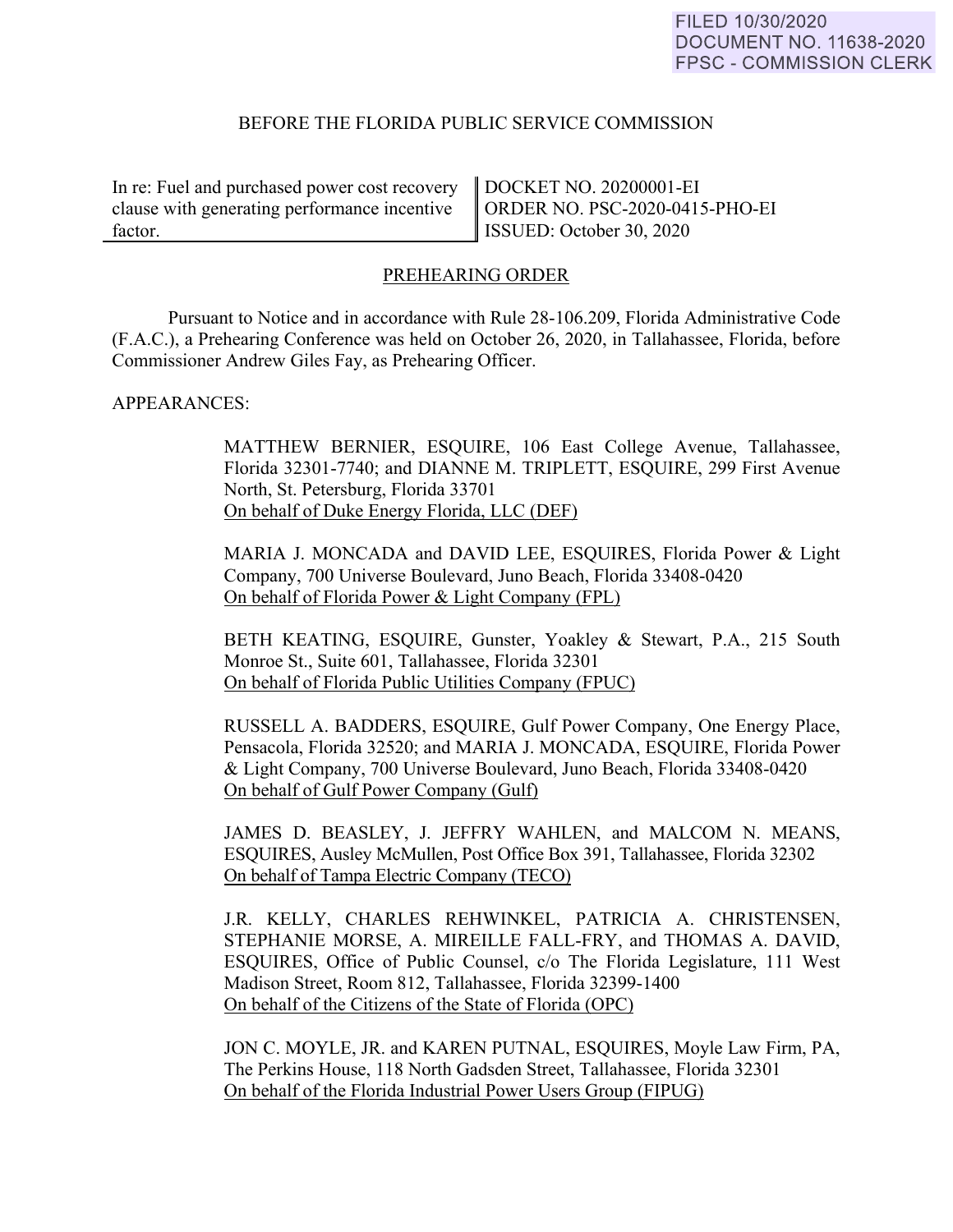#### FILED 10/30/2020 **DOCUMENT NO. 11638-2020** FPSC - COMMISSION CLERK

# BEFORE THE FLORIDA PUBLIC SERVICE COMMISSION

In re: Fuel and purchased power cost recovery clause with generating performance incentive factor.

DOCKET NO. 20200001-EI ORDER NO. PSC-2020-0415-PHO-EI ISSUED: October 30, 2020

# PREHEARING ORDER

Pursuant to Notice and in accordance with Rule 28-106.209, Florida Administrative Code (F.A.C.), a Prehearing Conference was held on October 26, 2020, in Tallahassee, Florida, before Commissioner Andrew Giles Fay, as Prehearing Officer.

#### APPEARANCES:

MATTHEW BERNIER, ESQUIRE, 106 East College Avenue, Tallahassee, Florida 32301-7740; and DIANNE M. TRIPLETT, ESQUIRE, 299 First Avenue North, St. Petersburg, Florida 33701 On behalf of Duke Energy Florida, LLC (DEF)

MARIA J. MONCADA and DAVID LEE, ESQUIRES, Florida Power & Light Company, 700 Universe Boulevard, Juno Beach, Florida 33408-0420 On behalf of Florida Power & Light Company (FPL)

BETH KEATING, ESQUIRE, Gunster, Yoakley & Stewart, P.A., 215 South Monroe St., Suite 601, Tallahassee, Florida 32301 On behalf of Florida Public Utilities Company (FPUC)

 RUSSELL A. BADDERS, ESQUIRE, Gulf Power Company, One Energy Place, Pensacola, Florida 32520; and MARIA J. MONCADA, ESQUIRE, Florida Power & Light Company, 700 Universe Boulevard, Juno Beach, Florida 33408-0420 On behalf of Gulf Power Company (Gulf)

 JAMES D. BEASLEY, J. JEFFRY WAHLEN, and MALCOM N. MEANS, ESQUIRES, Ausley McMullen, Post Office Box 391, Tallahassee, Florida 32302 On behalf of Tampa Electric Company (TECO)

 J.R. KELLY, CHARLES REHWINKEL, PATRICIA A. CHRISTENSEN, STEPHANIE MORSE, A. MIREILLE FALL-FRY, and THOMAS A. DAVID, ESQUIRES, Office of Public Counsel, c/o The Florida Legislature, 111 West Madison Street, Room 812, Tallahassee, Florida 32399-1400 On behalf of the Citizens of the State of Florida (OPC)

 JON C. MOYLE, JR. and KAREN PUTNAL, ESQUIRES, Moyle Law Firm, PA, The Perkins House, 118 North Gadsden Street, Tallahassee, Florida 32301 On behalf of the Florida Industrial Power Users Group (FIPUG)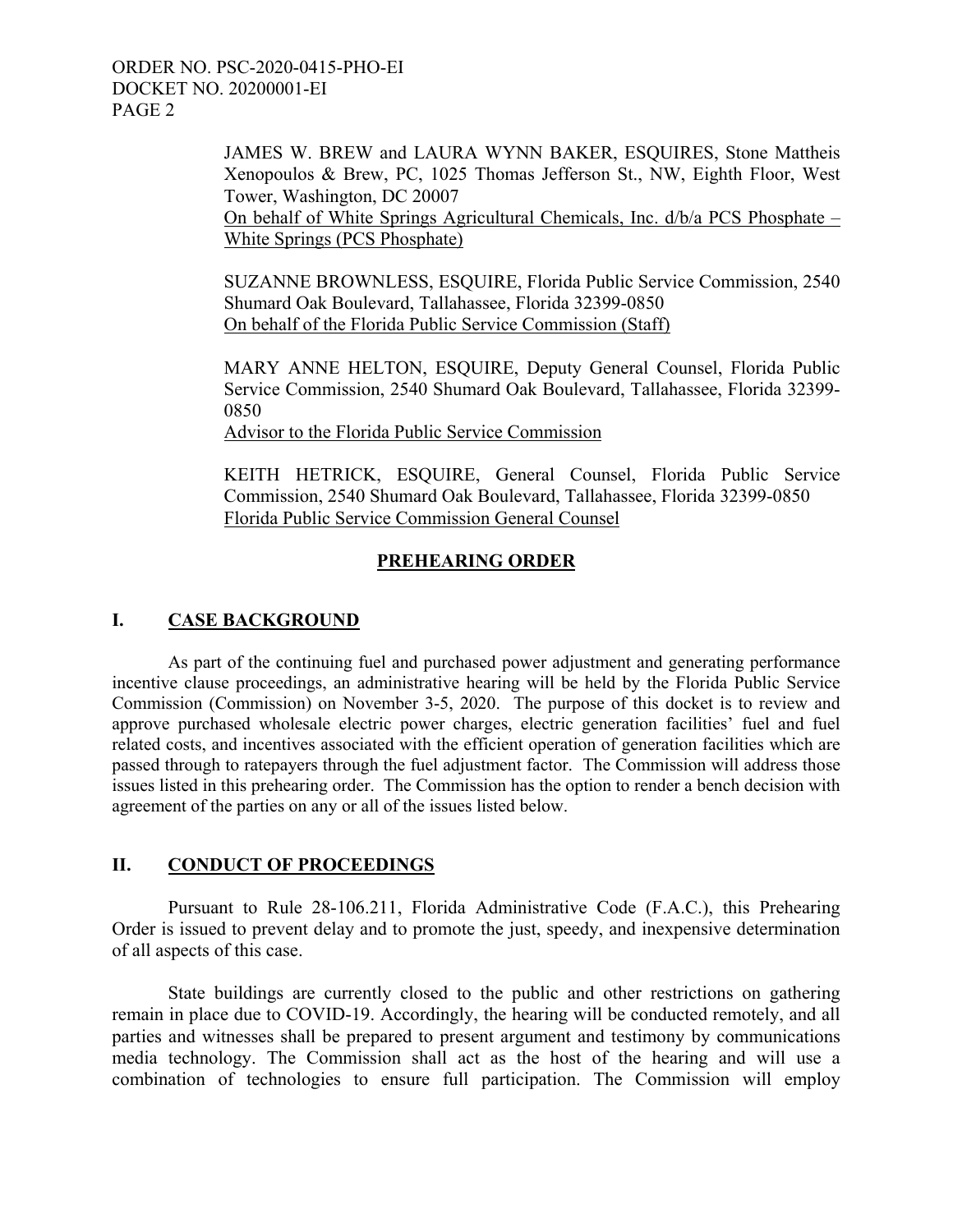> JAMES W. BREW and LAURA WYNN BAKER, ESQUIRES, Stone Mattheis Xenopoulos & Brew, PC, 1025 Thomas Jefferson St., NW, Eighth Floor, West Tower, Washington, DC 20007 On behalf of White Springs Agricultural Chemicals, Inc. d/b/a PCS Phosphate – White Springs (PCS Phosphate)

> SUZANNE BROWNLESS, ESQUIRE, Florida Public Service Commission, 2540 Shumard Oak Boulevard, Tallahassee, Florida 32399-0850 On behalf of the Florida Public Service Commission (Staff)

> MARY ANNE HELTON, ESQUIRE, Deputy General Counsel, Florida Public Service Commission, 2540 Shumard Oak Boulevard, Tallahassee, Florida 32399- 0850

Advisor to the Florida Public Service Commission

KEITH HETRICK, ESQUIRE, General Counsel, Florida Public Service Commission, 2540 Shumard Oak Boulevard, Tallahassee, Florida 32399-0850 Florida Public Service Commission General Counsel

# **PREHEARING ORDER**

# **I. CASE BACKGROUND**

As part of the continuing fuel and purchased power adjustment and generating performance incentive clause proceedings, an administrative hearing will be held by the Florida Public Service Commission (Commission) on November 3-5, 2020. The purpose of this docket is to review and approve purchased wholesale electric power charges, electric generation facilities' fuel and fuel related costs, and incentives associated with the efficient operation of generation facilities which are passed through to ratepayers through the fuel adjustment factor. The Commission will address those issues listed in this prehearing order. The Commission has the option to render a bench decision with agreement of the parties on any or all of the issues listed below.

# **II. CONDUCT OF PROCEEDINGS**

 Pursuant to Rule 28-106.211, Florida Administrative Code (F.A.C.), this Prehearing Order is issued to prevent delay and to promote the just, speedy, and inexpensive determination of all aspects of this case.

State buildings are currently closed to the public and other restrictions on gathering remain in place due to COVID-19. Accordingly, the hearing will be conducted remotely, and all parties and witnesses shall be prepared to present argument and testimony by communications media technology. The Commission shall act as the host of the hearing and will use a combination of technologies to ensure full participation. The Commission will employ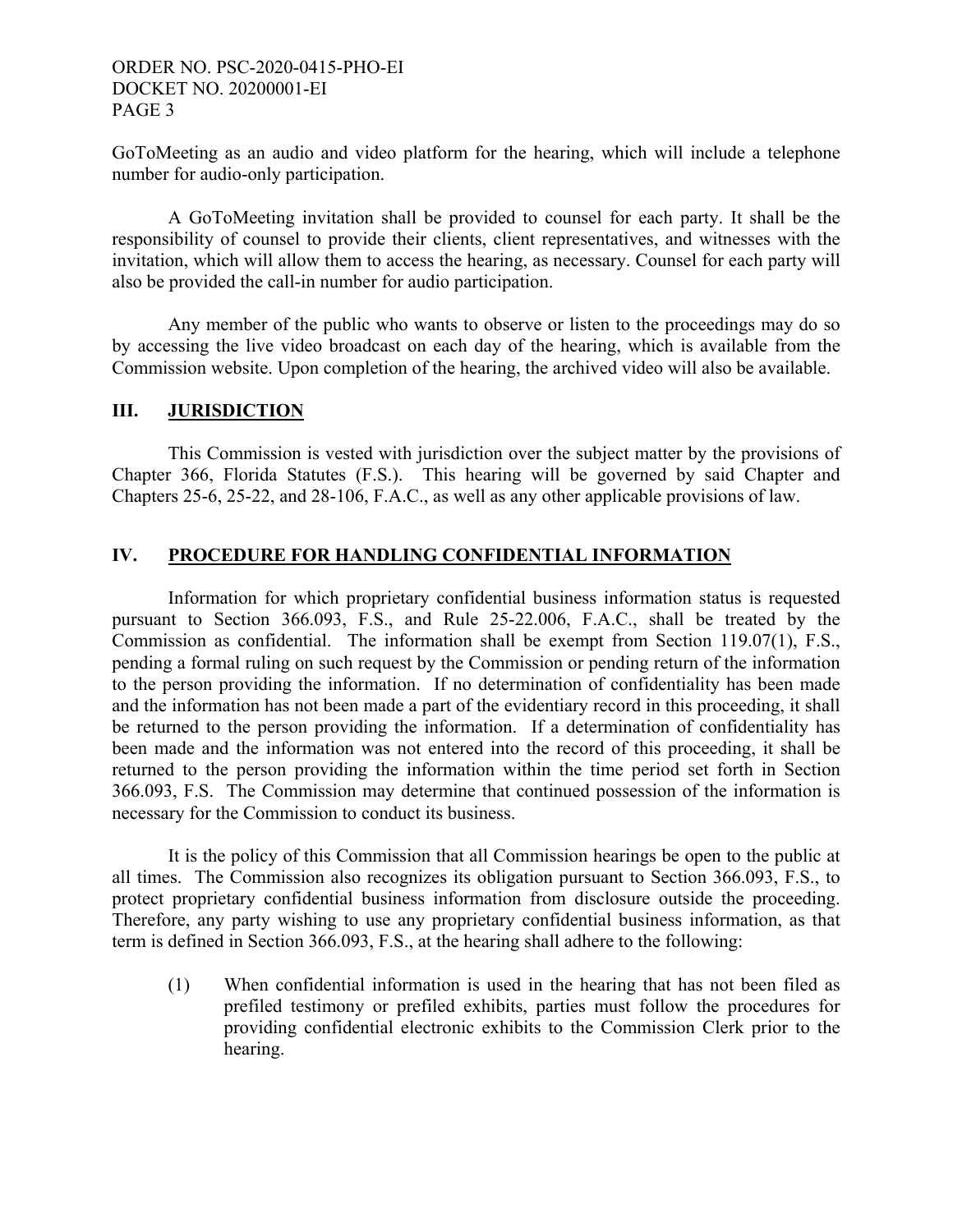GoToMeeting as an audio and video platform for the hearing, which will include a telephone number for audio-only participation.

 A GoToMeeting invitation shall be provided to counsel for each party. It shall be the responsibility of counsel to provide their clients, client representatives, and witnesses with the invitation, which will allow them to access the hearing, as necessary. Counsel for each party will also be provided the call-in number for audio participation.

Any member of the public who wants to observe or listen to the proceedings may do so by accessing the live video broadcast on each day of the hearing, which is available from the Commission website. Upon completion of the hearing, the archived video will also be available.

# **III. JURISDICTION**

 This Commission is vested with jurisdiction over the subject matter by the provisions of Chapter 366, Florida Statutes (F.S.). This hearing will be governed by said Chapter and Chapters 25-6, 25-22, and 28-106, F.A.C., as well as any other applicable provisions of law.

# **IV. PROCEDURE FOR HANDLING CONFIDENTIAL INFORMATION**

 Information for which proprietary confidential business information status is requested pursuant to Section 366.093, F.S., and Rule 25-22.006, F.A.C., shall be treated by the Commission as confidential. The information shall be exempt from Section 119.07(1), F.S., pending a formal ruling on such request by the Commission or pending return of the information to the person providing the information. If no determination of confidentiality has been made and the information has not been made a part of the evidentiary record in this proceeding, it shall be returned to the person providing the information. If a determination of confidentiality has been made and the information was not entered into the record of this proceeding, it shall be returned to the person providing the information within the time period set forth in Section 366.093, F.S. The Commission may determine that continued possession of the information is necessary for the Commission to conduct its business.

 It is the policy of this Commission that all Commission hearings be open to the public at all times. The Commission also recognizes its obligation pursuant to Section 366.093, F.S., to protect proprietary confidential business information from disclosure outside the proceeding. Therefore, any party wishing to use any proprietary confidential business information, as that term is defined in Section 366.093, F.S., at the hearing shall adhere to the following:

(1) When confidential information is used in the hearing that has not been filed as prefiled testimony or prefiled exhibits, parties must follow the procedures for providing confidential electronic exhibits to the Commission Clerk prior to the hearing.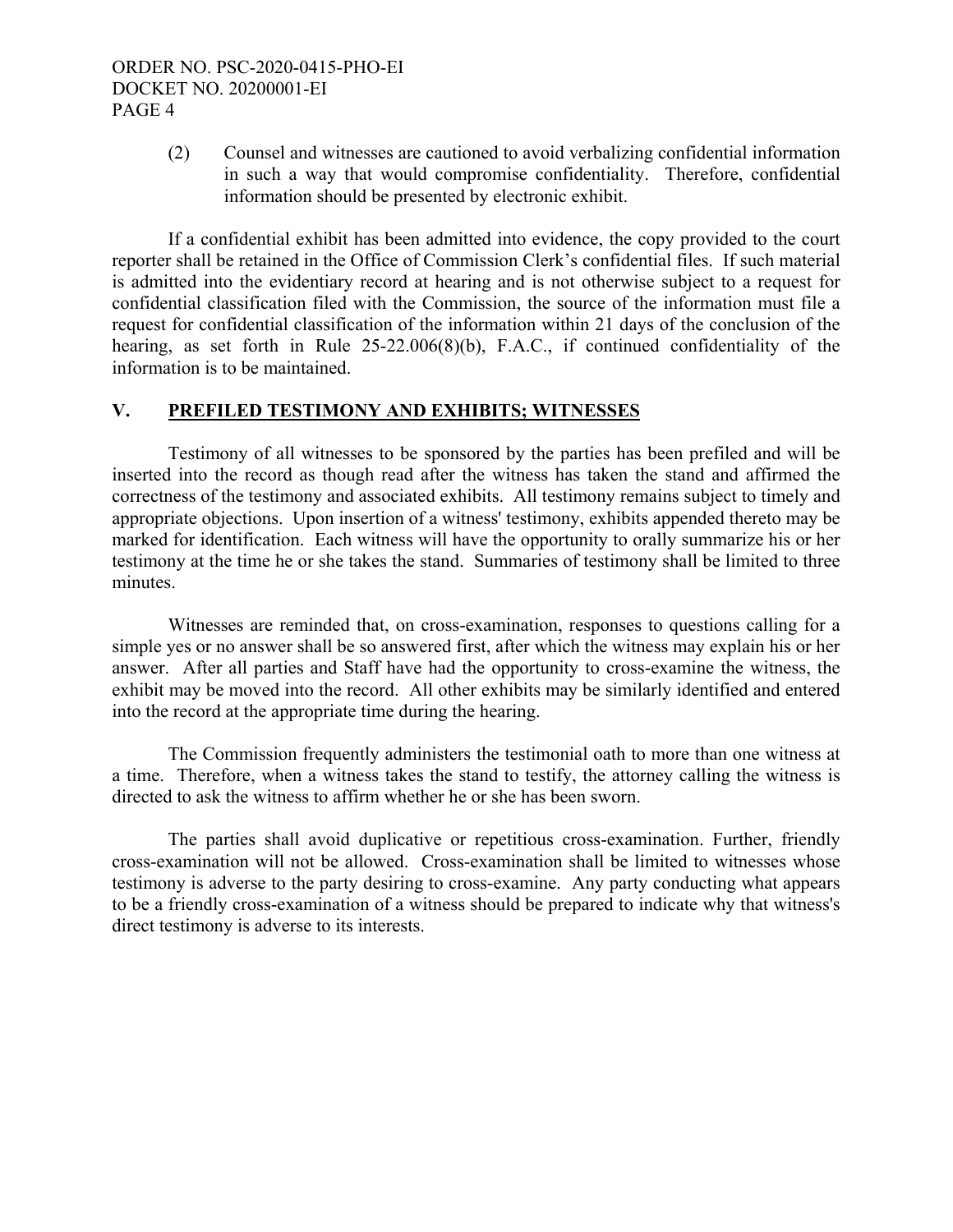(2) Counsel and witnesses are cautioned to avoid verbalizing confidential information in such a way that would compromise confidentiality. Therefore, confidential information should be presented by electronic exhibit.

 If a confidential exhibit has been admitted into evidence, the copy provided to the court reporter shall be retained in the Office of Commission Clerk's confidential files. If such material is admitted into the evidentiary record at hearing and is not otherwise subject to a request for confidential classification filed with the Commission, the source of the information must file a request for confidential classification of the information within 21 days of the conclusion of the hearing, as set forth in Rule 25-22.006(8)(b), F.A.C., if continued confidentiality of the information is to be maintained.

# **V. PREFILED TESTIMONY AND EXHIBITS; WITNESSES**

 Testimony of all witnesses to be sponsored by the parties has been prefiled and will be inserted into the record as though read after the witness has taken the stand and affirmed the correctness of the testimony and associated exhibits. All testimony remains subject to timely and appropriate objections. Upon insertion of a witness' testimony, exhibits appended thereto may be marked for identification. Each witness will have the opportunity to orally summarize his or her testimony at the time he or she takes the stand. Summaries of testimony shall be limited to three minutes.

Witnesses are reminded that, on cross-examination, responses to questions calling for a simple yes or no answer shall be so answered first, after which the witness may explain his or her answer. After all parties and Staff have had the opportunity to cross-examine the witness, the exhibit may be moved into the record. All other exhibits may be similarly identified and entered into the record at the appropriate time during the hearing.

 The Commission frequently administers the testimonial oath to more than one witness at a time. Therefore, when a witness takes the stand to testify, the attorney calling the witness is directed to ask the witness to affirm whether he or she has been sworn.

The parties shall avoid duplicative or repetitious cross-examination. Further, friendly cross-examination will not be allowed. Cross-examination shall be limited to witnesses whose testimony is adverse to the party desiring to cross-examine. Any party conducting what appears to be a friendly cross-examination of a witness should be prepared to indicate why that witness's direct testimony is adverse to its interests.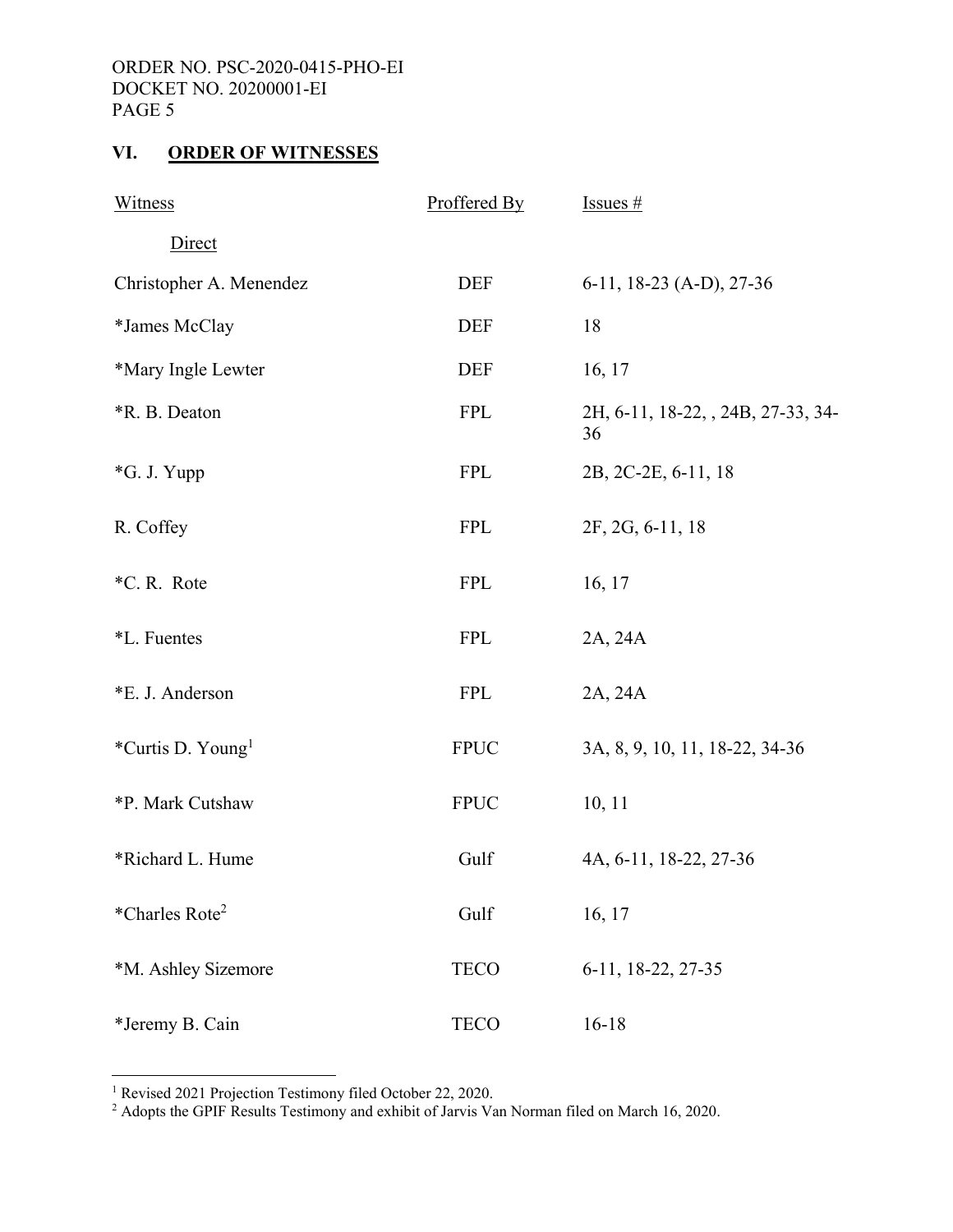# **VI. ORDER OF WITNESSES**

| Witness                              | Proffered By | Issues $#$                               |
|--------------------------------------|--------------|------------------------------------------|
| Direct                               |              |                                          |
| Christopher A. Menendez              | <b>DEF</b>   | 6-11, 18-23 (A-D), 27-36                 |
| *James McClay                        | <b>DEF</b>   | 18                                       |
| *Mary Ingle Lewter                   | <b>DEF</b>   | 16, 17                                   |
| <i><b>*R. B. Deaton</b></i>          | <b>FPL</b>   | 2H, 6-11, 18-22, , 24B, 27-33, 34-<br>36 |
| *G. J. Yupp                          | <b>FPL</b>   | 2B, 2C-2E, 6-11, 18                      |
| R. Coffey                            | <b>FPL</b>   | 2F, 2G, 6-11, 18                         |
| *C.R. Rote                           | <b>FPL</b>   | 16, 17                                   |
| *L. Fuentes                          | <b>FPL</b>   | 2A, 24A                                  |
| *E. J. Anderson                      | <b>FPL</b>   | 2A, 24A                                  |
| <i>*Curtis D. Young</i> <sup>1</sup> | <b>FPUC</b>  | 3A, 8, 9, 10, 11, 18-22, 34-36           |
| *P. Mark Cutshaw                     | <b>FPUC</b>  | 10, 11                                   |
| *Richard L. Hume                     | Gulf         | 4A, 6-11, 18-22, 27-36                   |
| *Charles Rote <sup>2</sup>           | Gulf         | 16, 17                                   |
| *M. Ashley Sizemore                  | <b>TECO</b>  | 6-11, 18-22, 27-35                       |
| *Jeremy B. Cain                      | <b>TECO</b>  | $16 - 18$                                |

 1 Revised 2021 Projection Testimony filed October 22, 2020. 2 Adopts the GPIF Results Testimony and exhibit of Jarvis Van Norman filed on March 16, 2020.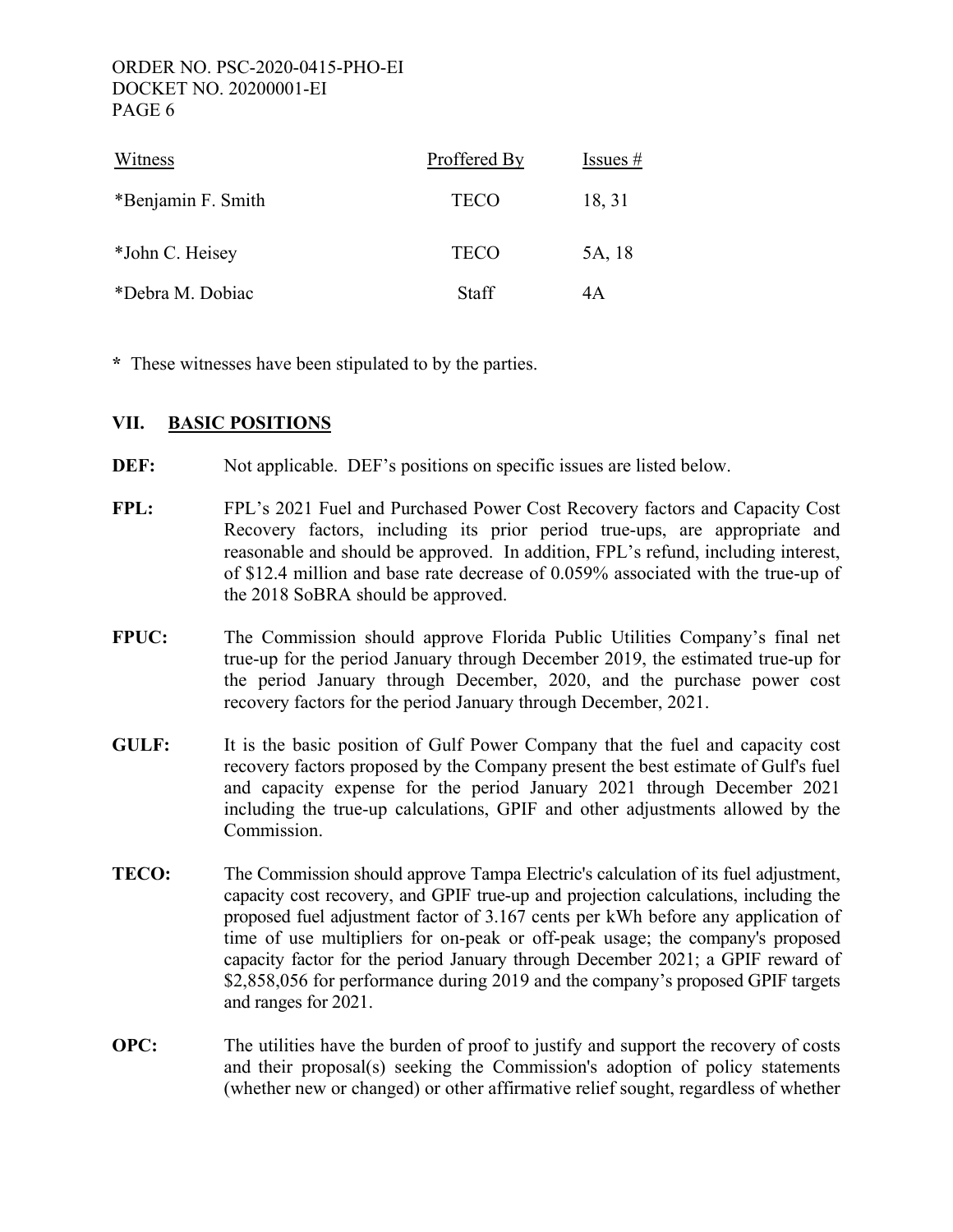| Witness            | Proffered By | Issues $#$ |
|--------------------|--------------|------------|
| *Benjamin F. Smith | <b>TECO</b>  | 18, 31     |
| *John C. Heisey    | <b>TECO</b>  | 5A, 18     |
| *Debra M. Dobiac   | <b>Staff</b> | 4Α         |

**\*** These witnesses have been stipulated to by the parties.

# **VII. BASIC POSITIONS**

- **DEF:** Not applicable. DEF's positions on specific issues are listed below.
- **FPL:** FPL's 2021 Fuel and Purchased Power Cost Recovery factors and Capacity Cost Recovery factors, including its prior period true-ups, are appropriate and reasonable and should be approved. In addition, FPL's refund, including interest, of \$12.4 million and base rate decrease of 0.059% associated with the true-up of the 2018 SoBRA should be approved.
- **FPUC:** The Commission should approve Florida Public Utilities Company's final net true-up for the period January through December 2019, the estimated true-up for the period January through December, 2020, and the purchase power cost recovery factors for the period January through December, 2021.
- **GULF:** It is the basic position of Gulf Power Company that the fuel and capacity cost recovery factors proposed by the Company present the best estimate of Gulf's fuel and capacity expense for the period January 2021 through December 2021 including the true-up calculations, GPIF and other adjustments allowed by the Commission.
- **TECO:** The Commission should approve Tampa Electric's calculation of its fuel adjustment, capacity cost recovery, and GPIF true-up and projection calculations, including the proposed fuel adjustment factor of 3.167 cents per kWh before any application of time of use multipliers for on-peak or off-peak usage; the company's proposed capacity factor for the period January through December 2021; a GPIF reward of \$2,858,056 for performance during 2019 and the company's proposed GPIF targets and ranges for 2021.
- **OPC:** The utilities have the burden of proof to justify and support the recovery of costs and their proposal(s) seeking the Commission's adoption of policy statements (whether new or changed) or other affirmative relief sought, regardless of whether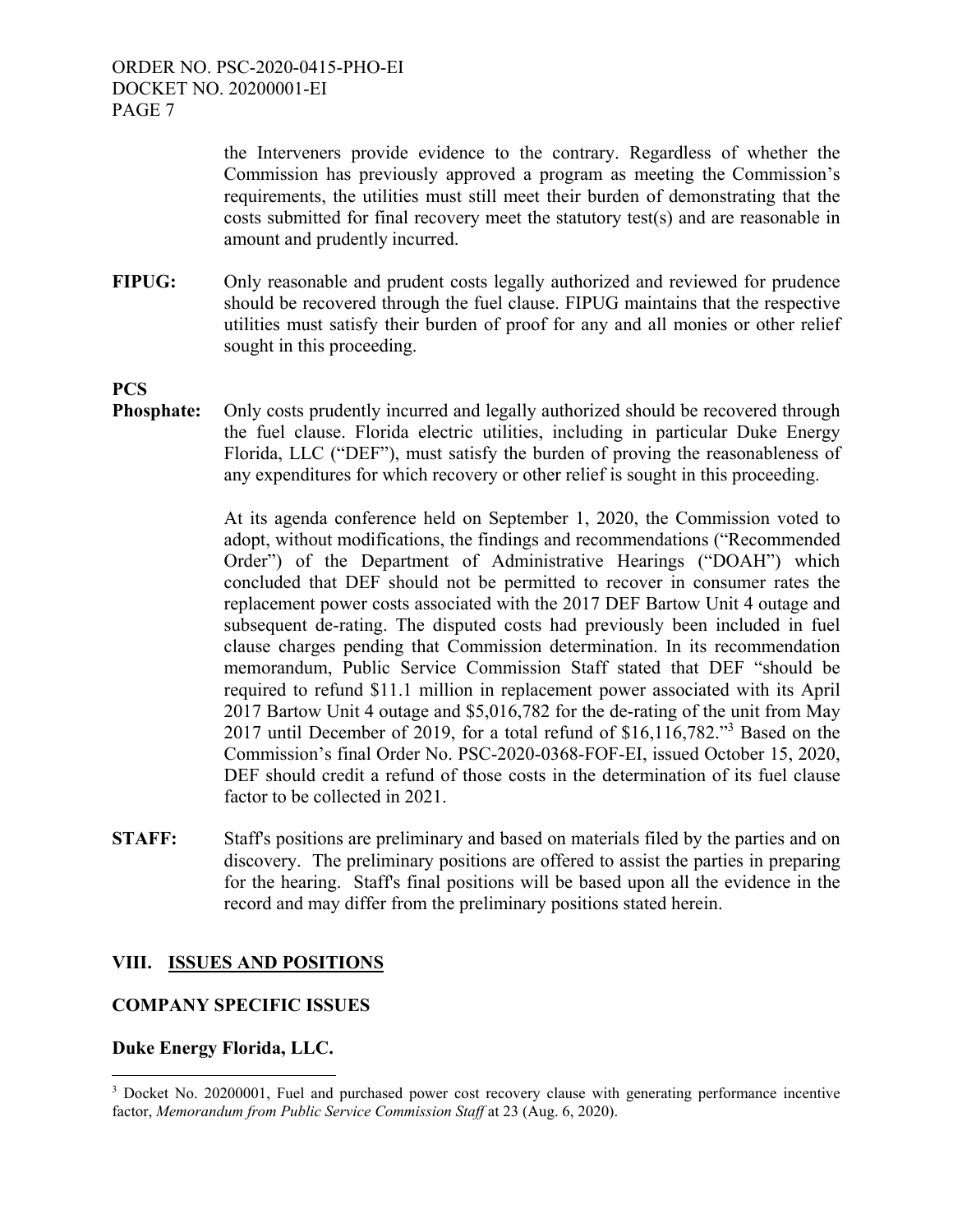the Interveners provide evidence to the contrary. Regardless of whether the Commission has previously approved a program as meeting the Commission's requirements, the utilities must still meet their burden of demonstrating that the costs submitted for final recovery meet the statutory test(s) and are reasonable in amount and prudently incurred.

**FIPUG:** Only reasonable and prudent costs legally authorized and reviewed for prudence should be recovered through the fuel clause. FIPUG maintains that the respective utilities must satisfy their burden of proof for any and all monies or other relief sought in this proceeding.

# **PCS**

**Phosphate:** Only costs prudently incurred and legally authorized should be recovered through the fuel clause. Florida electric utilities, including in particular Duke Energy Florida, LLC ("DEF"), must satisfy the burden of proving the reasonableness of any expenditures for which recovery or other relief is sought in this proceeding.

> At its agenda conference held on September 1, 2020, the Commission voted to adopt, without modifications, the findings and recommendations ("Recommended Order") of the Department of Administrative Hearings ("DOAH") which concluded that DEF should not be permitted to recover in consumer rates the replacement power costs associated with the 2017 DEF Bartow Unit 4 outage and subsequent de-rating. The disputed costs had previously been included in fuel clause charges pending that Commission determination. In its recommendation memorandum, Public Service Commission Staff stated that DEF "should be required to refund \$11.1 million in replacement power associated with its April 2017 Bartow Unit 4 outage and \$5,016,782 for the de-rating of the unit from May 2017 until December of 2019, for a total refund of \$16,116,782."3 Based on the Commission's final Order No. PSC-2020-0368-FOF-EI, issued October 15, 2020, DEF should credit a refund of those costs in the determination of its fuel clause factor to be collected in 2021.

**STAFF:** Staff's positions are preliminary and based on materials filed by the parties and on discovery. The preliminary positions are offered to assist the parties in preparing for the hearing. Staff's final positions will be based upon all the evidence in the record and may differ from the preliminary positions stated herein.

# **VIII. ISSUES AND POSITIONS**

# **COMPANY SPECIFIC ISSUES**

# **Duke Energy Florida, LLC.**

 $\overline{a}$ 

<sup>&</sup>lt;sup>3</sup> Docket No. 20200001, Fuel and purchased power cost recovery clause with generating performance incentive factor, *Memorandum from Public Service Commission Staff* at 23 (Aug. 6, 2020).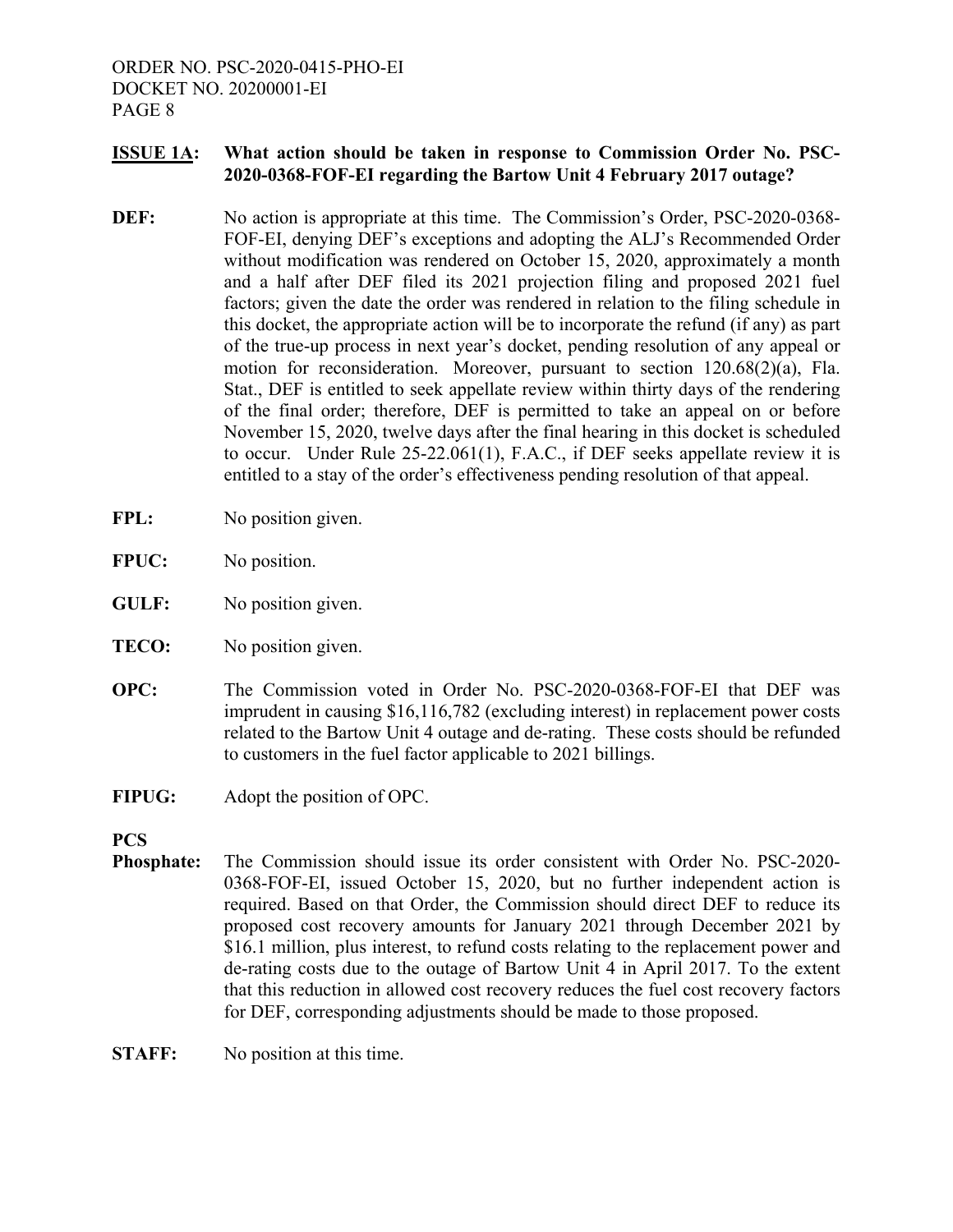# **ISSUE 1A: What action should be taken in response to Commission Order No. PSC-2020-0368-FOF-EI regarding the Bartow Unit 4 February 2017 outage?**

- **DEF:** No action is appropriate at this time. The Commission's Order, PSC-2020-0368-FOF-EI, denying DEF's exceptions and adopting the ALJ's Recommended Order without modification was rendered on October 15, 2020, approximately a month and a half after DEF filed its 2021 projection filing and proposed 2021 fuel factors; given the date the order was rendered in relation to the filing schedule in this docket, the appropriate action will be to incorporate the refund (if any) as part of the true-up process in next year's docket, pending resolution of any appeal or motion for reconsideration. Moreover, pursuant to section 120.68(2)(a), Fla. Stat., DEF is entitled to seek appellate review within thirty days of the rendering of the final order; therefore, DEF is permitted to take an appeal on or before November 15, 2020, twelve days after the final hearing in this docket is scheduled to occur. Under Rule 25-22.061(1), F.A.C., if DEF seeks appellate review it is entitled to a stay of the order's effectiveness pending resolution of that appeal.
- FPL: No position given.
- **FPUC:** No position.
- **GULF:** No position given.
- **TECO:** No position given.
- **OPC:** The Commission voted in Order No. PSC-2020-0368-FOF-EI that DEF was imprudent in causing \$16,116,782 (excluding interest) in replacement power costs related to the Bartow Unit 4 outage and de-rating. These costs should be refunded to customers in the fuel factor applicable to 2021 billings.
- **FIPUG:** Adopt the position of OPC.

**PCS** 

**Phosphate:** The Commission should issue its order consistent with Order No. PSC-2020- 0368-FOF-EI, issued October 15, 2020, but no further independent action is required. Based on that Order, the Commission should direct DEF to reduce its proposed cost recovery amounts for January 2021 through December 2021 by \$16.1 million, plus interest, to refund costs relating to the replacement power and de-rating costs due to the outage of Bartow Unit 4 in April 2017. To the extent that this reduction in allowed cost recovery reduces the fuel cost recovery factors for DEF, corresponding adjustments should be made to those proposed.

**STAFF:** No position at this time.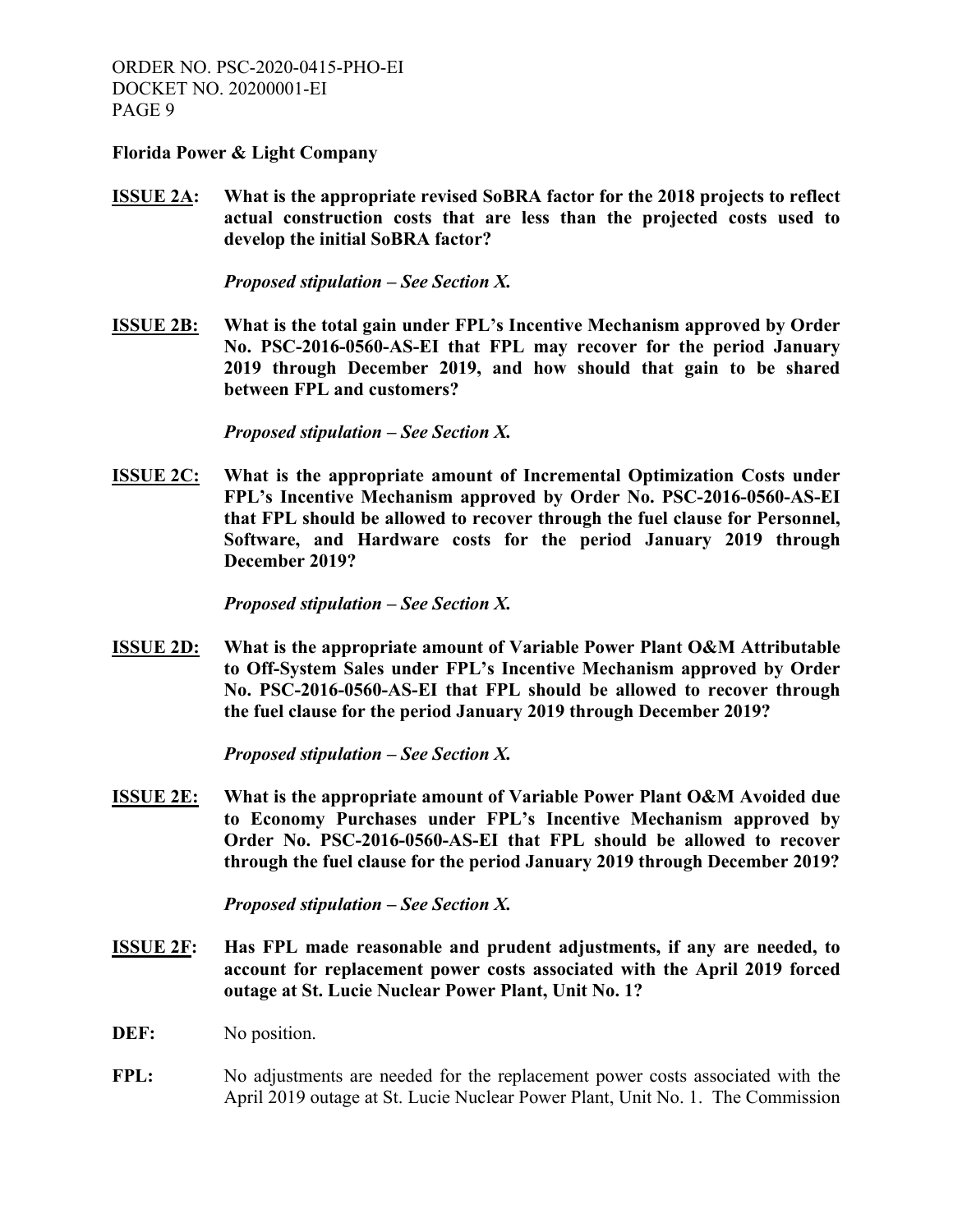**Florida Power & Light Company** 

**ISSUE 2A: What is the appropriate revised SoBRA factor for the 2018 projects to reflect actual construction costs that are less than the projected costs used to develop the initial SoBRA factor?**

*Proposed stipulation – See Section X.* 

**ISSUE 2B: What is the total gain under FPL's Incentive Mechanism approved by Order No. PSC-2016-0560-AS-EI that FPL may recover for the period January 2019 through December 2019, and how should that gain to be shared between FPL and customers?**

*Proposed stipulation – See Section X.* 

**ISSUE 2C: What is the appropriate amount of Incremental Optimization Costs under FPL's Incentive Mechanism approved by Order No. PSC-2016-0560-AS-EI that FPL should be allowed to recover through the fuel clause for Personnel, Software, and Hardware costs for the period January 2019 through December 2019?** 

*Proposed stipulation – See Section X.* 

**ISSUE 2D: What is the appropriate amount of Variable Power Plant O&M Attributable to Off-System Sales under FPL's Incentive Mechanism approved by Order No. PSC-2016-0560-AS-EI that FPL should be allowed to recover through the fuel clause for the period January 2019 through December 2019?** 

*Proposed stipulation – See Section X.*

**ISSUE 2E: What is the appropriate amount of Variable Power Plant O&M Avoided due to Economy Purchases under FPL's Incentive Mechanism approved by Order No. PSC-2016-0560-AS-EI that FPL should be allowed to recover through the fuel clause for the period January 2019 through December 2019?** 

*Proposed stipulation – See Section X.* 

- **ISSUE 2F: Has FPL made reasonable and prudent adjustments, if any are needed, to account for replacement power costs associated with the April 2019 forced outage at St. Lucie Nuclear Power Plant, Unit No. 1?**
- **DEF:** No position.
- **FPL:** No adjustments are needed for the replacement power costs associated with the April 2019 outage at St. Lucie Nuclear Power Plant, Unit No. 1. The Commission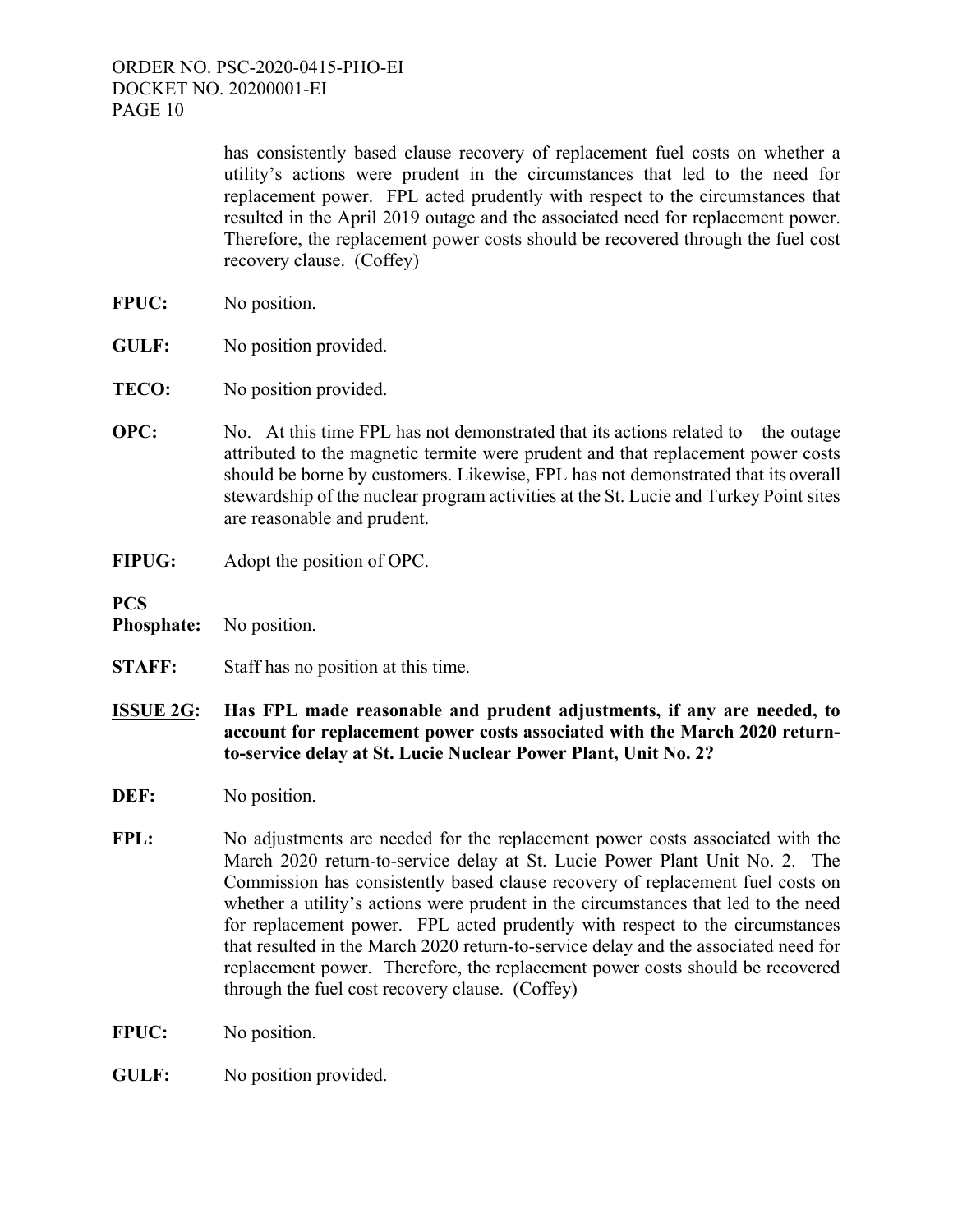has consistently based clause recovery of replacement fuel costs on whether a utility's actions were prudent in the circumstances that led to the need for replacement power. FPL acted prudently with respect to the circumstances that resulted in the April 2019 outage and the associated need for replacement power. Therefore, the replacement power costs should be recovered through the fuel cost recovery clause. (Coffey)

- **FPUC:** No position.
- **GULF:** No position provided.
- **TECO:** No position provided.
- **OPC:** No. At this time FPL has not demonstrated that its actions related to the outage attributed to the magnetic termite were prudent and that replacement power costs should be borne by customers. Likewise, FPL has not demonstrated that its overall stewardship of the nuclear program activities at the St. Lucie and Turkey Point sites are reasonable and prudent.
- **FIPUG:** Adopt the position of OPC.

**PCS** 

- **Phosphate:** No position.
- **STAFF:** Staff has no position at this time.
- **ISSUE 2G: Has FPL made reasonable and prudent adjustments, if any are needed, to account for replacement power costs associated with the March 2020 returnto-service delay at St. Lucie Nuclear Power Plant, Unit No. 2?**
- **DEF:** No position.
- FPL: No adjustments are needed for the replacement power costs associated with the March 2020 return-to-service delay at St. Lucie Power Plant Unit No. 2. The Commission has consistently based clause recovery of replacement fuel costs on whether a utility's actions were prudent in the circumstances that led to the need for replacement power. FPL acted prudently with respect to the circumstances that resulted in the March 2020 return-to-service delay and the associated need for replacement power. Therefore, the replacement power costs should be recovered through the fuel cost recovery clause. (Coffey)
- **FPUC:** No position.
- **GULF:** No position provided.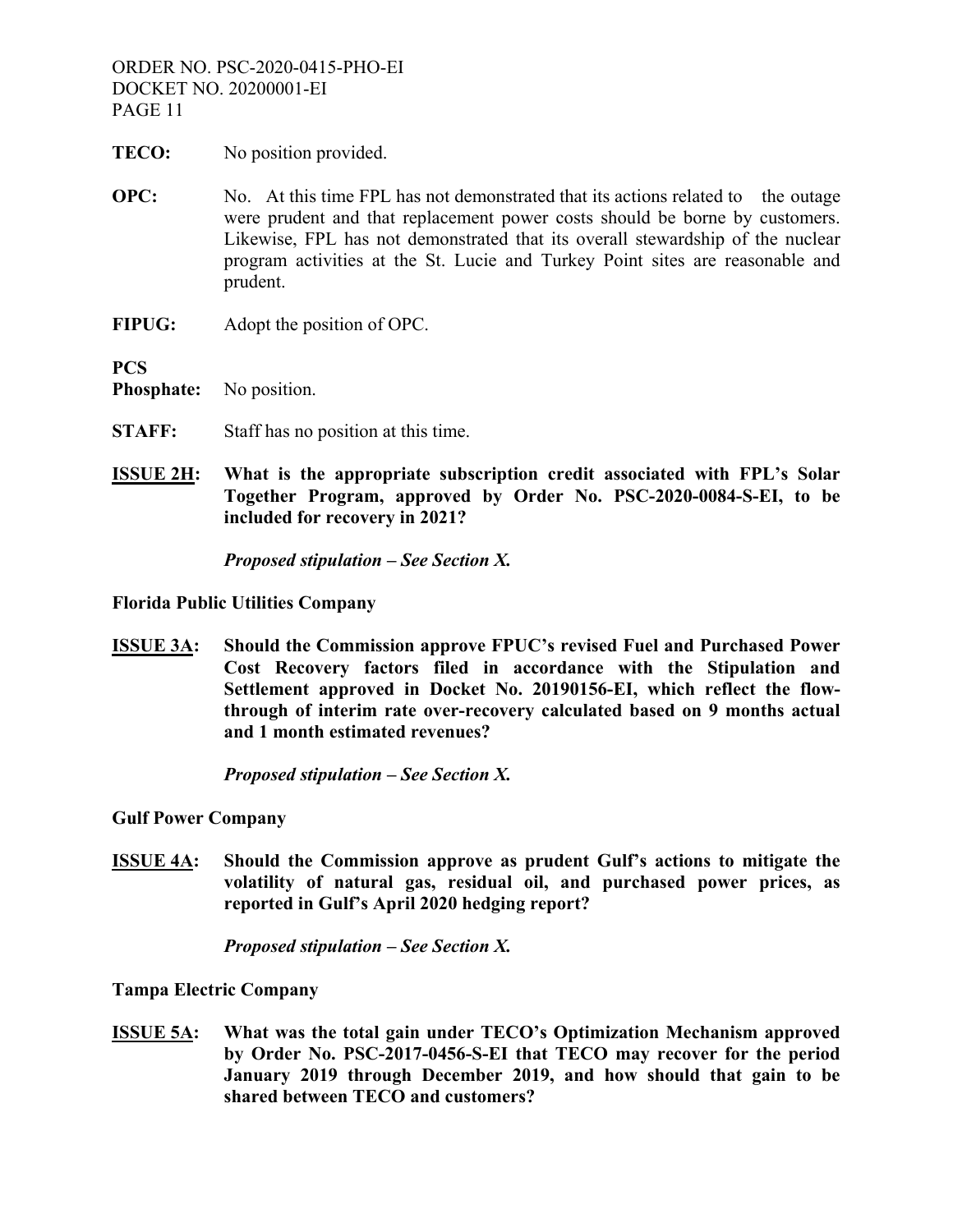- **TECO:** No position provided.
- **OPC:** No. At this time FPL has not demonstrated that its actions related to the outage were prudent and that replacement power costs should be borne by customers. Likewise, FPL has not demonstrated that its overall stewardship of the nuclear program activities at the St. Lucie and Turkey Point sites are reasonable and prudent.
- **FIPUG:** Adopt the position of OPC.

**PCS** 

**Phosphate:** No position.

- **STAFF:** Staff has no position at this time.
- **ISSUE 2H: What is the appropriate subscription credit associated with FPL's Solar Together Program, approved by Order No. PSC-2020-0084-S-EI, to be included for recovery in 2021?**

*Proposed stipulation – See Section X.*

**Florida Public Utilities Company** 

**ISSUE 3A: Should the Commission approve FPUC's revised Fuel and Purchased Power Cost Recovery factors filed in accordance with the Stipulation and Settlement approved in Docket No. 20190156-EI, which reflect the flowthrough of interim rate over-recovery calculated based on 9 months actual and 1 month estimated revenues?** 

*Proposed stipulation – See Section X.* 

**Gulf Power Company** 

**ISSUE 4A: Should the Commission approve as prudent Gulf's actions to mitigate the volatility of natural gas, residual oil, and purchased power prices, as reported in Gulf's April 2020 hedging report?** 

*Proposed stipulation – See Section X.* 

**Tampa Electric Company** 

**ISSUE 5A: What was the total gain under TECO's Optimization Mechanism approved by Order No. PSC-2017-0456-S-EI that TECO may recover for the period January 2019 through December 2019, and how should that gain to be shared between TECO and customers?**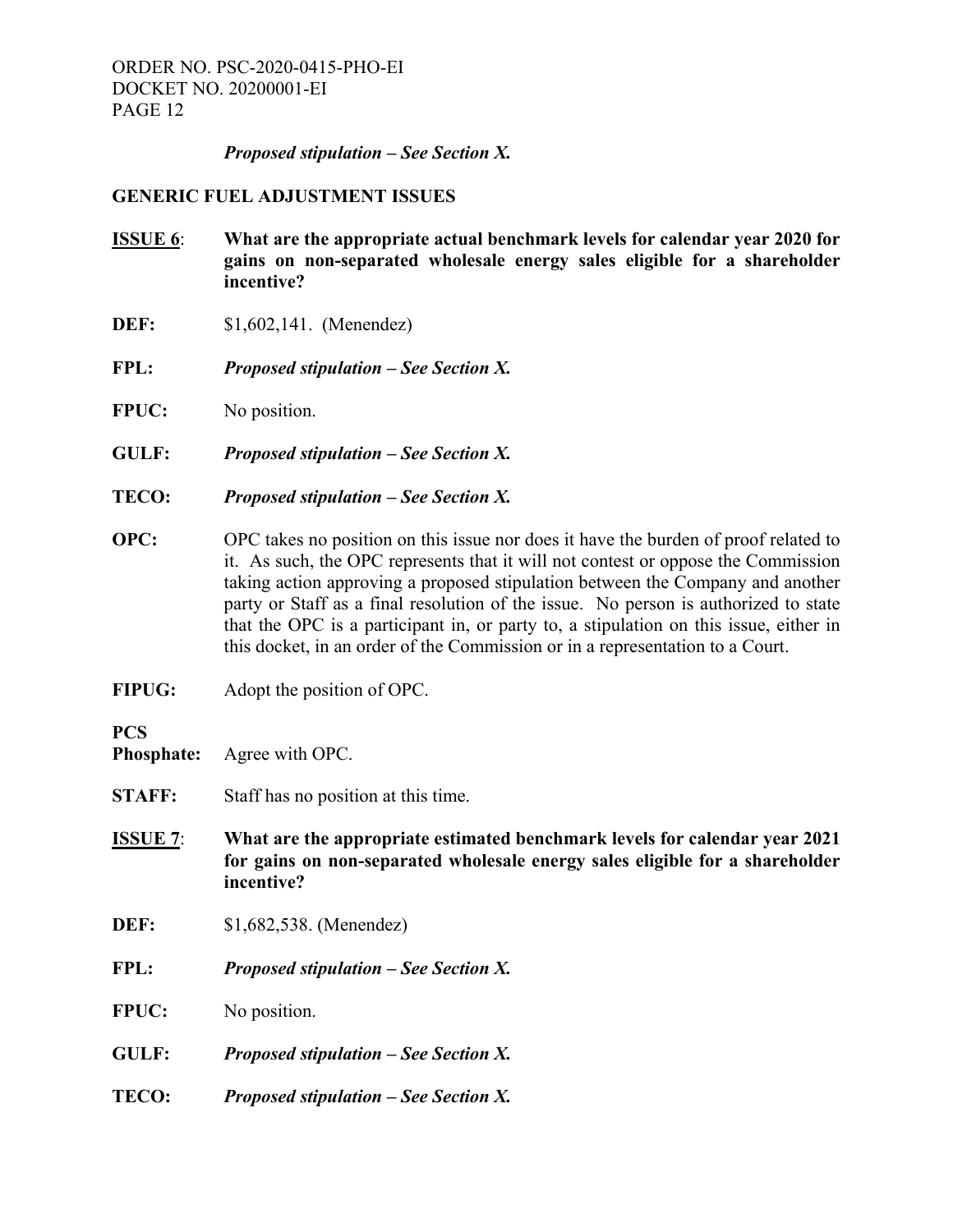#### *Proposed stipulation – See Section X.*

#### **GENERIC FUEL ADJUSTMENT ISSUES**

- **ISSUE 6**: **What are the appropriate actual benchmark levels for calendar year 2020 for gains on non-separated wholesale energy sales eligible for a shareholder incentive?**
- **DEF:** \$1,602,141. (Menendez)
- **FPL:** *Proposed stipulation See Section X.*
- **FPUC:** No position.
- **GULF:** *Proposed stipulation See Section X.*
- **TECO:** *Proposed stipulation See Section X.*
- **OPC:** OPC takes no position on this issue nor does it have the burden of proof related to it. As such, the OPC represents that it will not contest or oppose the Commission taking action approving a proposed stipulation between the Company and another party or Staff as a final resolution of the issue. No person is authorized to state that the OPC is a participant in, or party to, a stipulation on this issue, either in this docket, in an order of the Commission or in a representation to a Court.
- **FIPUG:** Adopt the position of OPC.

# **PCS**

- **Phosphate:** Agree with OPC.
- **STAFF:** Staff has no position at this time.
- **ISSUE 7**: **What are the appropriate estimated benchmark levels for calendar year 2021 for gains on non-separated wholesale energy sales eligible for a shareholder incentive?**
- **DEF:** \$1,682,538. (Menendez)
- **FPL:** *Proposed stipulation See Section X.*
- **FPUC:** No position.
- **GULF:** *Proposed stipulation See Section X.*
- **TECO:** *Proposed stipulation See Section X.*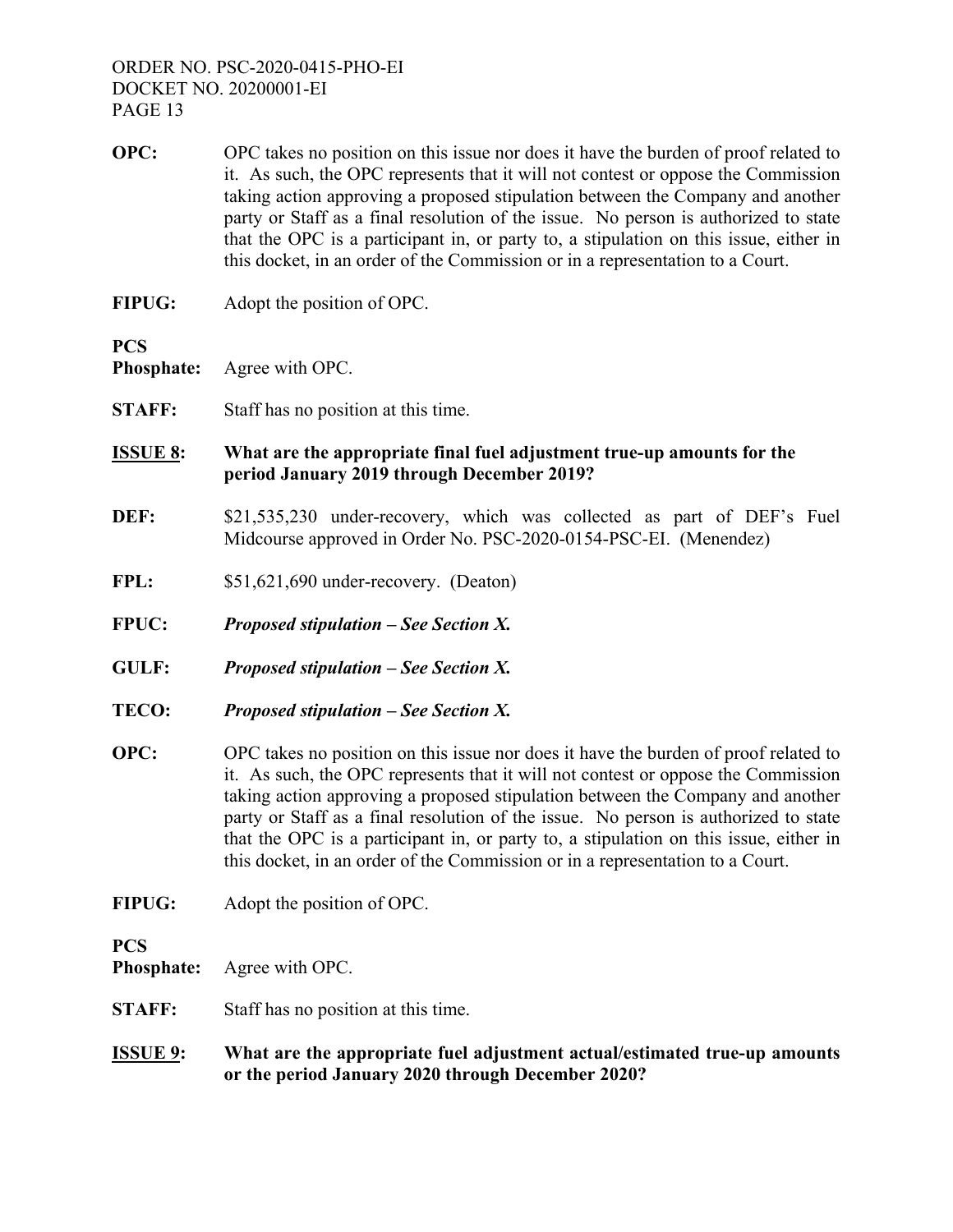- **OPC:** OPC takes no position on this issue nor does it have the burden of proof related to it. As such, the OPC represents that it will not contest or oppose the Commission taking action approving a proposed stipulation between the Company and another party or Staff as a final resolution of the issue. No person is authorized to state that the OPC is a participant in, or party to, a stipulation on this issue, either in this docket, in an order of the Commission or in a representation to a Court.
- **FIPUG:** Adopt the position of OPC.

**PCS** 

**Phosphate:** Agree with OPC.

**STAFF:** Staff has no position at this time.

**ISSUE 8: What are the appropriate final fuel adjustment true-up amounts for the period January 2019 through December 2019?** 

- **DEF:** \$21,535,230 under-recovery, which was collected as part of DEF's Fuel Midcourse approved in Order No. PSC-2020-0154-PSC-EI. (Menendez)
- FPL:  $$51,621,690$  under-recovery. (Deaton)
- **FPUC:** *Proposed stipulation See Section X.*
- **GULF:** *Proposed stipulation See Section X.*
- **TECO:** *Proposed stipulation See Section X.*
- **OPC:** OPC takes no position on this issue nor does it have the burden of proof related to it. As such, the OPC represents that it will not contest or oppose the Commission taking action approving a proposed stipulation between the Company and another party or Staff as a final resolution of the issue. No person is authorized to state that the OPC is a participant in, or party to, a stipulation on this issue, either in this docket, in an order of the Commission or in a representation to a Court.
- **FIPUG:** Adopt the position of OPC.

**PCS** 

**Phosphate:** Agree with OPC.

- **STAFF:** Staff has no position at this time.
- **ISSUE 9: What are the appropriate fuel adjustment actual/estimated true-up amounts or the period January 2020 through December 2020?**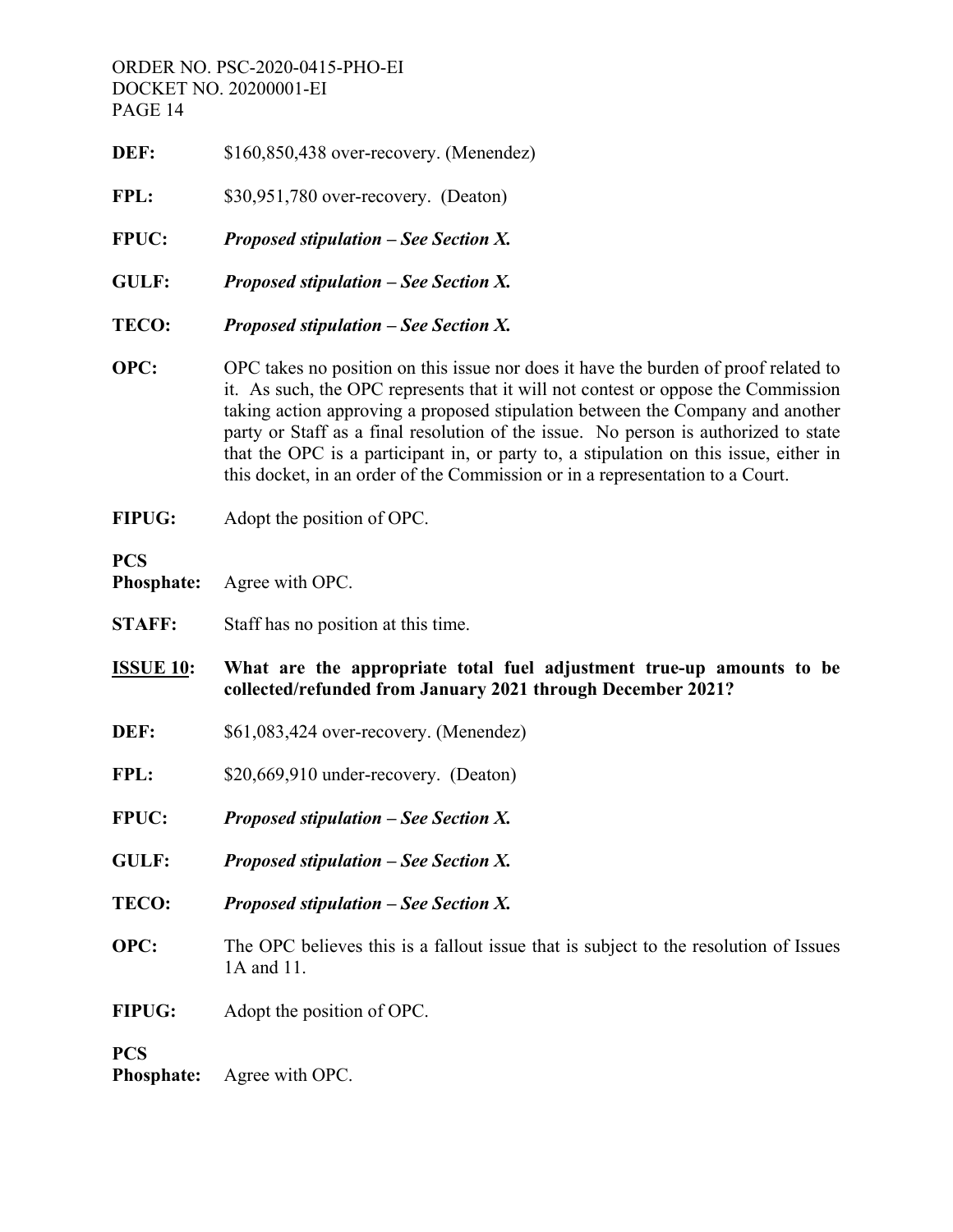- **DEF:** \$160,850,438 over-recovery. (Menendez)
- **FPL:** \$30,951,780 over-recovery. (Deaton)
- **FPUC:** *Proposed stipulation See Section X.*
- **GULF:** *Proposed stipulation See Section X.*
- **TECO:** *Proposed stipulation See Section X.*
- **OPC:** OPC takes no position on this issue nor does it have the burden of proof related to it. As such, the OPC represents that it will not contest or oppose the Commission taking action approving a proposed stipulation between the Company and another party or Staff as a final resolution of the issue. No person is authorized to state that the OPC is a participant in, or party to, a stipulation on this issue, either in this docket, in an order of the Commission or in a representation to a Court.
- **FIPUG:** Adopt the position of OPC.

# **PCS**

**Phosphate:** Agree with OPC.

- **STAFF:** Staff has no position at this time.
- **ISSUE 10: What are the appropriate total fuel adjustment true-up amounts to be collected/refunded from January 2021 through December 2021?**
- **DEF:** \$61,083,424 over-recovery. (Menendez)
- **FPL:** \$20,669,910 under-recovery. (Deaton)
- **FPUC:** *Proposed stipulation See Section X.*
- **GULF:** *Proposed stipulation See Section X.*
- **TECO:** *Proposed stipulation See Section X.*
- **OPC:** The OPC believes this is a fallout issue that is subject to the resolution of Issues 1A and 11.
- **FIPUG:** Adopt the position of OPC.

# **PCS**

**Phosphate:** Agree with OPC.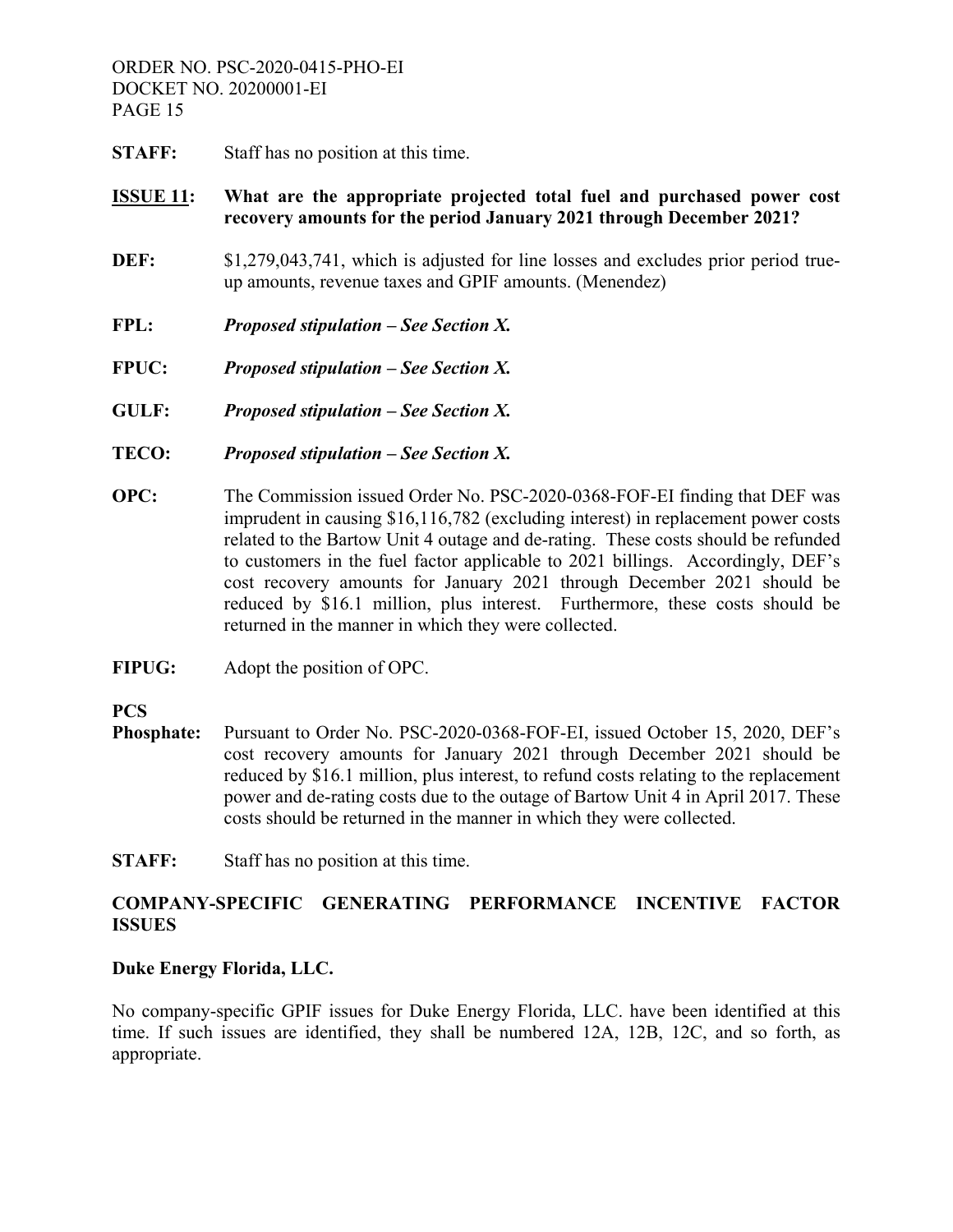**STAFF:** Staff has no position at this time.

# **ISSUE 11: What are the appropriate projected total fuel and purchased power cost recovery amounts for the period January 2021 through December 2021?**

- **DEF:** \$1,279,043,741, which is adjusted for line losses and excludes prior period trueup amounts, revenue taxes and GPIF amounts. (Menendez)
- **FPL:** *Proposed stipulation See Section X.*
- **FPUC:** *Proposed stipulation See Section X.*
- **GULF:** *Proposed stipulation See Section X.*
- **TECO:** *Proposed stipulation See Section X.*
- **OPC:** The Commission issued Order No. PSC-2020-0368-FOF-EI finding that DEF was imprudent in causing \$16,116,782 (excluding interest) in replacement power costs related to the Bartow Unit 4 outage and de-rating. These costs should be refunded to customers in the fuel factor applicable to 2021 billings. Accordingly, DEF's cost recovery amounts for January 2021 through December 2021 should be reduced by \$16.1 million, plus interest. Furthermore, these costs should be returned in the manner in which they were collected.
- **FIPUG:** Adopt the position of OPC.

# **PCS**

- **Phosphate:** Pursuant to Order No. PSC-2020-0368-FOF-EI, issued October 15, 2020, DEF's cost recovery amounts for January 2021 through December 2021 should be reduced by \$16.1 million, plus interest, to refund costs relating to the replacement power and de-rating costs due to the outage of Bartow Unit 4 in April 2017. These costs should be returned in the manner in which they were collected.
- **STAFF:** Staff has no position at this time.

# **COMPANY-SPECIFIC GENERATING PERFORMANCE INCENTIVE FACTOR ISSUES**

#### **Duke Energy Florida, LLC.**

No company-specific GPIF issues for Duke Energy Florida, LLC. have been identified at this time. If such issues are identified, they shall be numbered 12A, 12B, 12C, and so forth, as appropriate.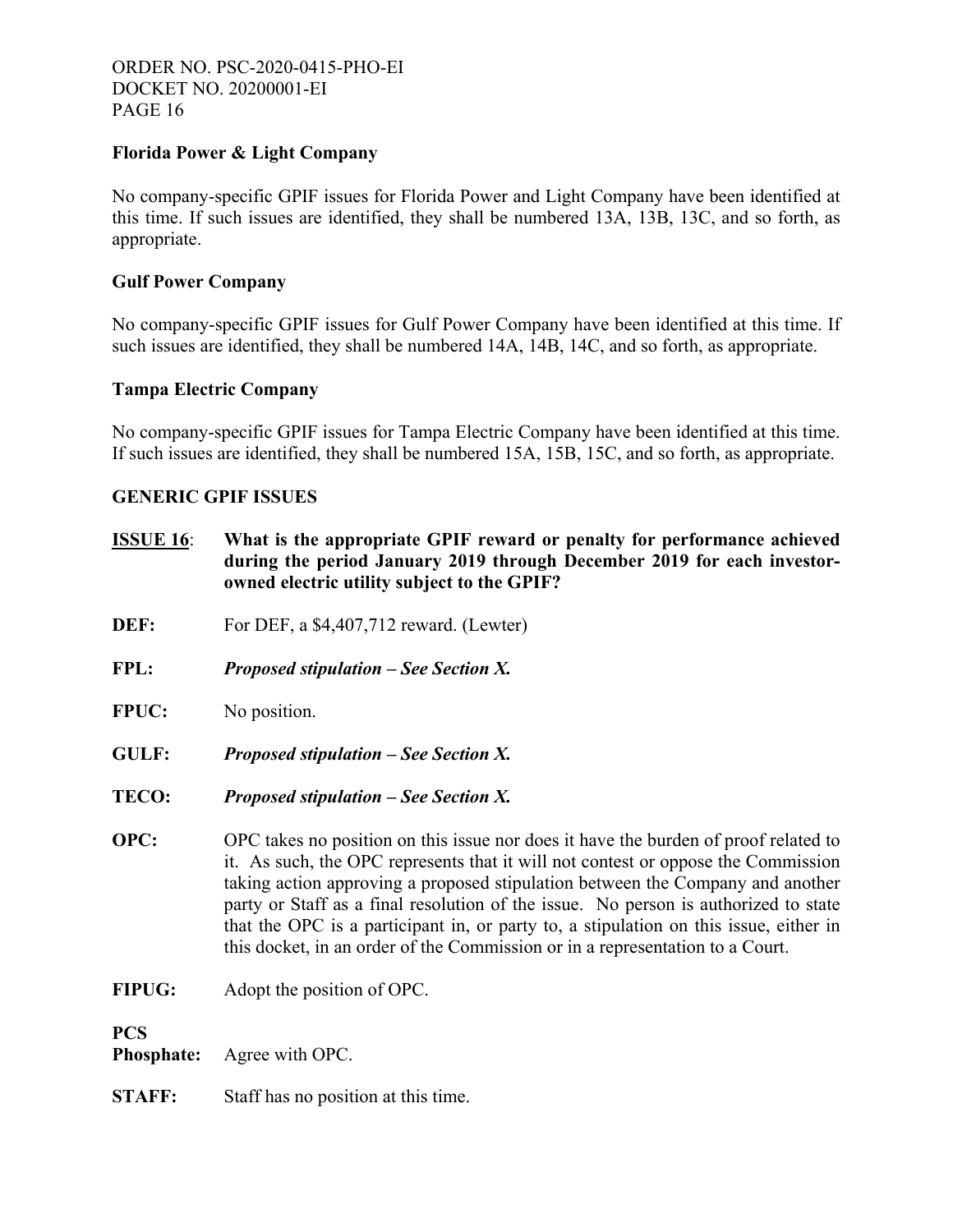# **Florida Power & Light Company**

No company-specific GPIF issues for Florida Power and Light Company have been identified at this time. If such issues are identified, they shall be numbered 13A, 13B, 13C, and so forth, as appropriate.

# **Gulf Power Company**

No company-specific GPIF issues for Gulf Power Company have been identified at this time. If such issues are identified, they shall be numbered 14A, 14B, 14C, and so forth, as appropriate.

# **Tampa Electric Company**

No company-specific GPIF issues for Tampa Electric Company have been identified at this time. If such issues are identified, they shall be numbered 15A, 15B, 15C, and so forth, as appropriate.

# **GENERIC GPIF ISSUES**

- **ISSUE 16**: **What is the appropriate GPIF reward or penalty for performance achieved during the period January 2019 through December 2019 for each investorowned electric utility subject to the GPIF?**
- **DEF:** For DEF, a \$4,407,712 reward. (Lewter)
- **FPL:** *Proposed stipulation See Section X.*
- **FPUC:** No position.
- **GULF:** *Proposed stipulation See Section X.*
- **TECO:** *Proposed stipulation See Section X.*
- **OPC:** OPC takes no position on this issue nor does it have the burden of proof related to it. As such, the OPC represents that it will not contest or oppose the Commission taking action approving a proposed stipulation between the Company and another party or Staff as a final resolution of the issue. No person is authorized to state that the OPC is a participant in, or party to, a stipulation on this issue, either in this docket, in an order of the Commission or in a representation to a Court.
- **FIPUG:** Adopt the position of OPC.

# **PCS**

**Phosphate:** Agree with OPC.

**STAFF:** Staff has no position at this time.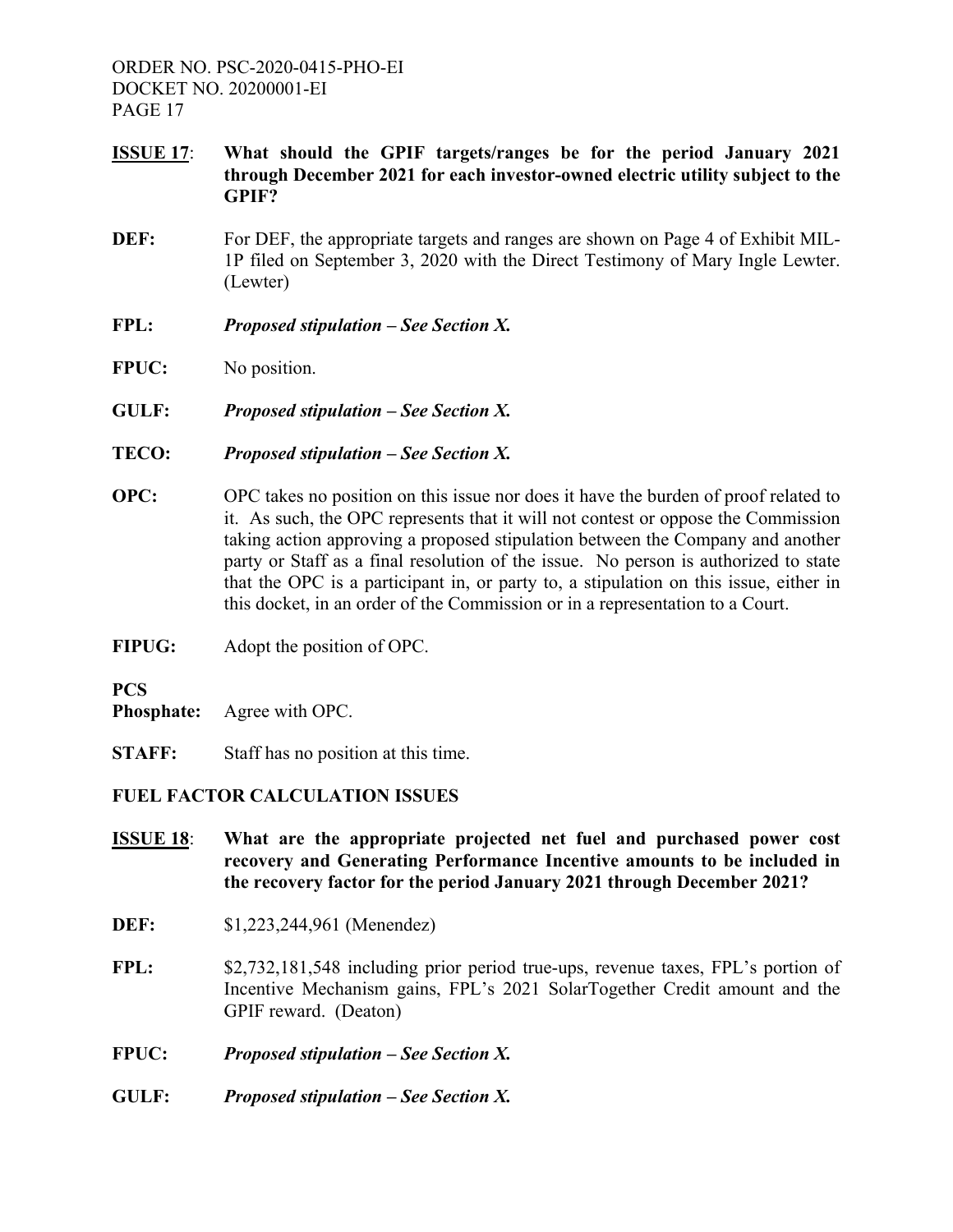- **ISSUE 17**: **What should the GPIF targets/ranges be for the period January 2021 through December 2021 for each investor-owned electric utility subject to the GPIF?**
- **DEF:** For DEF, the appropriate targets and ranges are shown on Page 4 of Exhibit MIL-1P filed on September 3, 2020 with the Direct Testimony of Mary Ingle Lewter. (Lewter)
- **FPL:** *Proposed stipulation See Section X.*
- **FPUC:** No position.
- **GULF:** *Proposed stipulation See Section X.*
- **TECO:** *Proposed stipulation See Section X.*
- **OPC:** OPC takes no position on this issue nor does it have the burden of proof related to it. As such, the OPC represents that it will not contest or oppose the Commission taking action approving a proposed stipulation between the Company and another party or Staff as a final resolution of the issue. No person is authorized to state that the OPC is a participant in, or party to, a stipulation on this issue, either in this docket, in an order of the Commission or in a representation to a Court.
- **FIPUG:** Adopt the position of OPC.

**PCS** 

- **Phosphate:** Agree with OPC.
- **STAFF:** Staff has no position at this time.

# **FUEL FACTOR CALCULATION ISSUES**

- **ISSUE 18**: **What are the appropriate projected net fuel and purchased power cost recovery and Generating Performance Incentive amounts to be included in the recovery factor for the period January 2021 through December 2021?**
- **DEF:** \$1,223,244,961 (Menendez)
- **FPL:** \$2,732,181,548 including prior period true-ups, revenue taxes, FPL's portion of Incentive Mechanism gains, FPL's 2021 SolarTogether Credit amount and the GPIF reward. (Deaton)

**FPUC:** *Proposed stipulation – See Section X.*

**GULF:** *Proposed stipulation – See Section X.*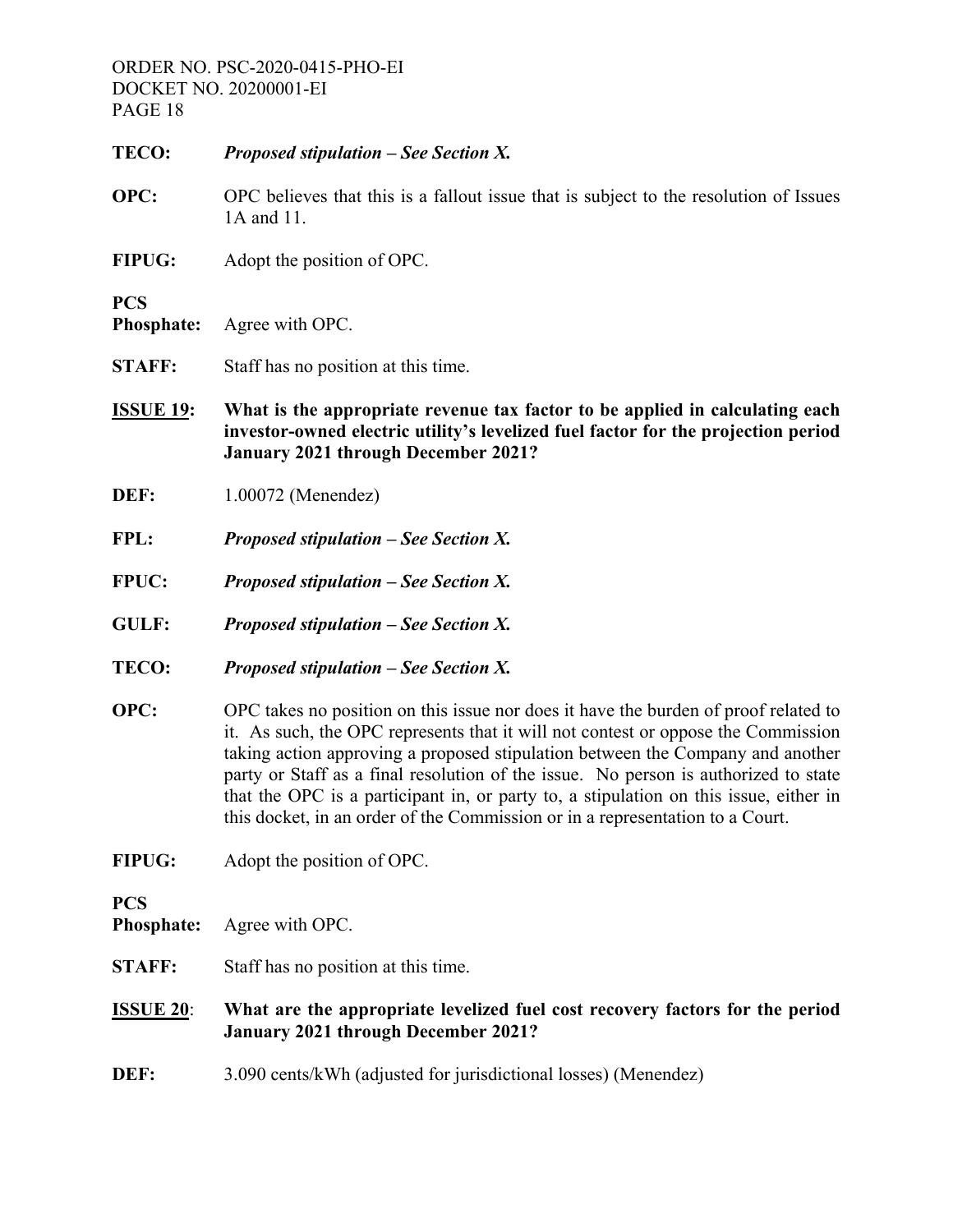| TECO:                           | Proposed stipulation $-$ See Section X.                                                                                                                                                                                                                                                                                                                                                                                                                                                                                     |
|---------------------------------|-----------------------------------------------------------------------------------------------------------------------------------------------------------------------------------------------------------------------------------------------------------------------------------------------------------------------------------------------------------------------------------------------------------------------------------------------------------------------------------------------------------------------------|
| OPC:                            | OPC believes that this is a fallout issue that is subject to the resolution of Issues<br>1A and 11.                                                                                                                                                                                                                                                                                                                                                                                                                         |
| <b>FIPUG:</b>                   | Adopt the position of OPC.                                                                                                                                                                                                                                                                                                                                                                                                                                                                                                  |
| <b>PCS</b><br><b>Phosphate:</b> | Agree with OPC.                                                                                                                                                                                                                                                                                                                                                                                                                                                                                                             |
| <b>STAFF:</b>                   | Staff has no position at this time.                                                                                                                                                                                                                                                                                                                                                                                                                                                                                         |
| <u>ISSUE 19:</u>                | What is the appropriate revenue tax factor to be applied in calculating each<br>investor-owned electric utility's levelized fuel factor for the projection period<br><b>January 2021 through December 2021?</b>                                                                                                                                                                                                                                                                                                             |
| DEF:                            | 1.00072 (Menendez)                                                                                                                                                                                                                                                                                                                                                                                                                                                                                                          |
| FPL:                            | <b>Proposed stipulation – See Section X.</b>                                                                                                                                                                                                                                                                                                                                                                                                                                                                                |
| FPUC:                           | <b>Proposed stipulation – See Section X.</b>                                                                                                                                                                                                                                                                                                                                                                                                                                                                                |
| <b>GULF:</b>                    | <b>Proposed stipulation – See Section X.</b>                                                                                                                                                                                                                                                                                                                                                                                                                                                                                |
| TECO:                           | <b>Proposed stipulation – See Section X.</b>                                                                                                                                                                                                                                                                                                                                                                                                                                                                                |
| OPC:                            | OPC takes no position on this issue nor does it have the burden of proof related to<br>it. As such, the OPC represents that it will not contest or oppose the Commission<br>taking action approving a proposed stipulation between the Company and another<br>party or Staff as a final resolution of the issue. No person is authorized to state<br>that the OPC is a participant in, or party to, a stipulation on this issue, either in<br>this docket, in an order of the Commission or in a representation to a Court. |
| <b>FIPUG:</b>                   | Adopt the position of OPC.                                                                                                                                                                                                                                                                                                                                                                                                                                                                                                  |
| <b>PCS</b><br><b>Phosphate:</b> | Agree with OPC.                                                                                                                                                                                                                                                                                                                                                                                                                                                                                                             |
| <b>STAFF:</b>                   | Staff has no position at this time.                                                                                                                                                                                                                                                                                                                                                                                                                                                                                         |
| <b>ISSUE 20:</b>                | What are the appropriate levelized fuel cost recovery factors for the period<br><b>January 2021 through December 2021?</b>                                                                                                                                                                                                                                                                                                                                                                                                  |
| DEF:                            | 3.090 cents/kWh (adjusted for jurisdictional losses) (Menendez)                                                                                                                                                                                                                                                                                                                                                                                                                                                             |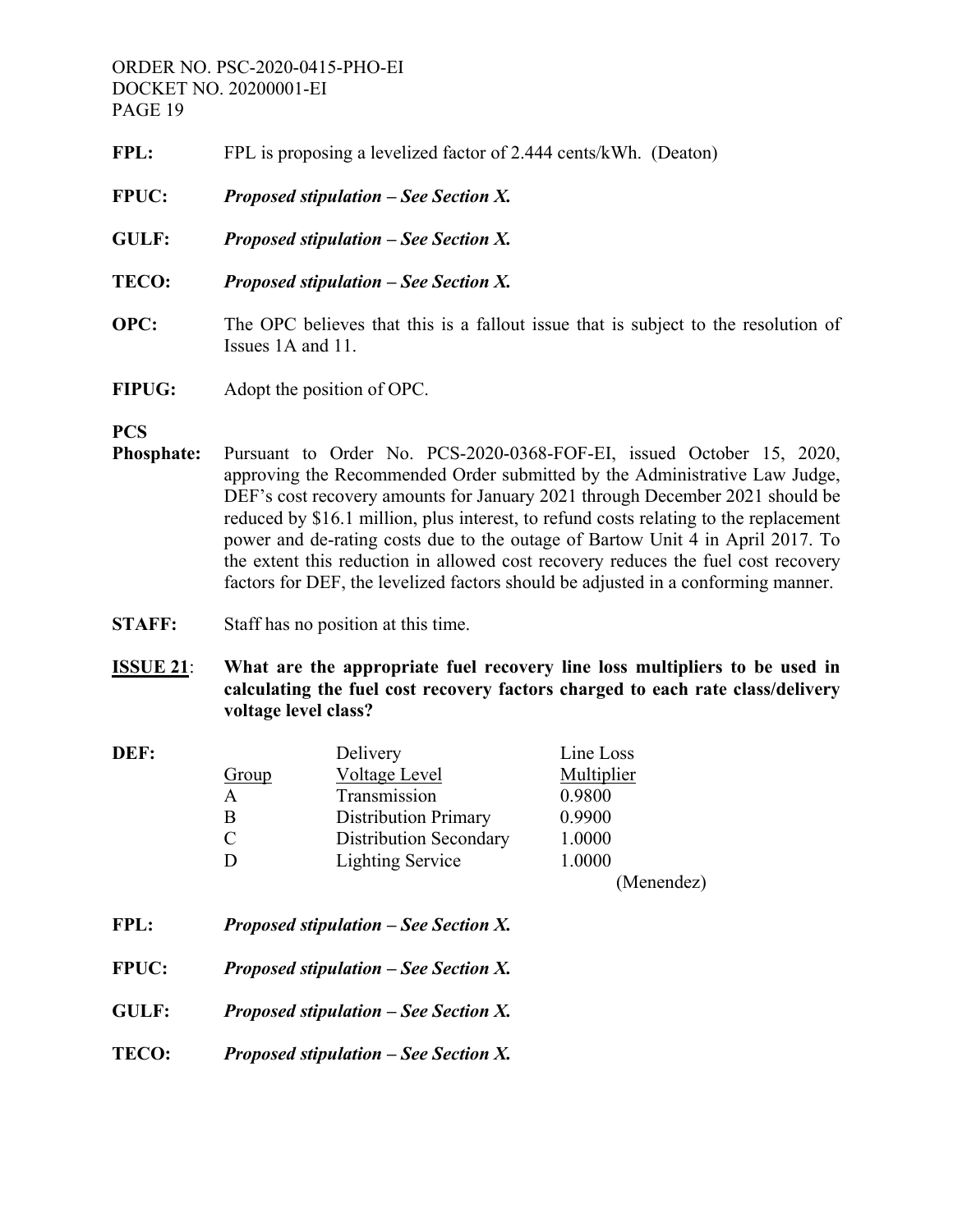- FPL: FPL is proposing a levelized factor of 2.444 cents/kWh. (Deaton)
- **FPUC:** *Proposed stipulation See Section X.*
- **GULF:** *Proposed stipulation See Section X.*
- **TECO:** *Proposed stipulation See Section X.*
- **OPC:** The OPC believes that this is a fallout issue that is subject to the resolution of Issues 1A and 11.
- **FIPUG:** Adopt the position of OPC.
- **PCS**
- **Phosphate:** Pursuant to Order No. PCS-2020-0368-FOF-EI, issued October 15, 2020, approving the Recommended Order submitted by the Administrative Law Judge, DEF's cost recovery amounts for January 2021 through December 2021 should be reduced by \$16.1 million, plus interest, to refund costs relating to the replacement power and de-rating costs due to the outage of Bartow Unit 4 in April 2017. To the extent this reduction in allowed cost recovery reduces the fuel cost recovery factors for DEF, the levelized factors should be adjusted in a conforming manner.
- **STAFF:** Staff has no position at this time.
- **ISSUE 21**: **What are the appropriate fuel recovery line loss multipliers to be used in calculating the fuel cost recovery factors charged to each rate class/delivery voltage level class?**

| DEF: |               | Delivery                      | Line Loss  |
|------|---------------|-------------------------------|------------|
|      | Group         | Voltage Level                 | Multiplier |
|      | A             | Transmission                  | 0.9800     |
|      | B             | <b>Distribution Primary</b>   | 0.9900     |
|      | $\mathcal{C}$ | <b>Distribution Secondary</b> | 1.0000     |
|      | D             | <b>Lighting Service</b>       | 1.0000     |
|      |               |                               | (Menendez) |
|      |               |                               |            |

- **FPL:** *Proposed stipulation See Section X.*
- **FPUC:** *Proposed stipulation See Section X.*
- **GULF:** *Proposed stipulation See Section X.*
- **TECO:** *Proposed stipulation See Section X.*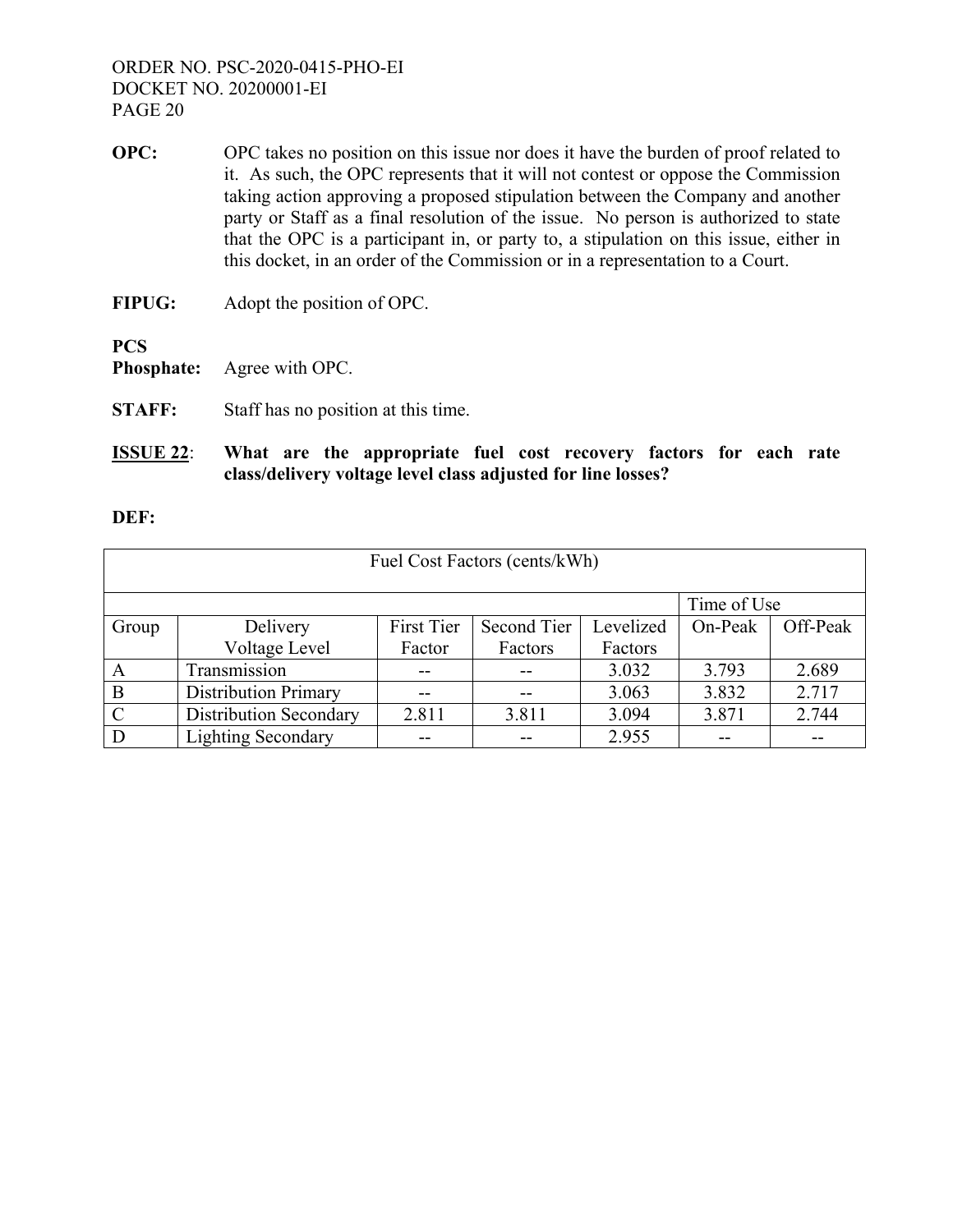- **OPC:** OPC takes no position on this issue nor does it have the burden of proof related to it. As such, the OPC represents that it will not contest or oppose the Commission taking action approving a proposed stipulation between the Company and another party or Staff as a final resolution of the issue. No person is authorized to state that the OPC is a participant in, or party to, a stipulation on this issue, either in this docket, in an order of the Commission or in a representation to a Court.
- **FIPUG:** Adopt the position of OPC.

**PCS** 

**Phosphate:** Agree with OPC.

- **STAFF:** Staff has no position at this time.
- **ISSUE 22**: **What are the appropriate fuel cost recovery factors for each rate class/delivery voltage level class adjusted for line losses?**

#### **DEF:**

| Fuel Cost Factors (cents/kWh) |                               |            |             |           |         |          |
|-------------------------------|-------------------------------|------------|-------------|-----------|---------|----------|
|                               | Time of Use                   |            |             |           |         |          |
| Group                         | Delivery                      | First Tier | Second Tier | Levelized | On-Peak | Off-Peak |
|                               | Voltage Level                 | Factor     | Factors     | Factors   |         |          |
| A                             | Transmission                  |            |             | 3.032     | 3.793   | 2.689    |
| B                             | <b>Distribution Primary</b>   |            |             | 3.063     | 3.832   | 2.717    |
| $\mathcal{C}$                 | <b>Distribution Secondary</b> | 2.811      | 3.811       | 3.094     | 3.871   | 2.744    |
| D                             | <b>Lighting Secondary</b>     |            |             | 2.955     |         |          |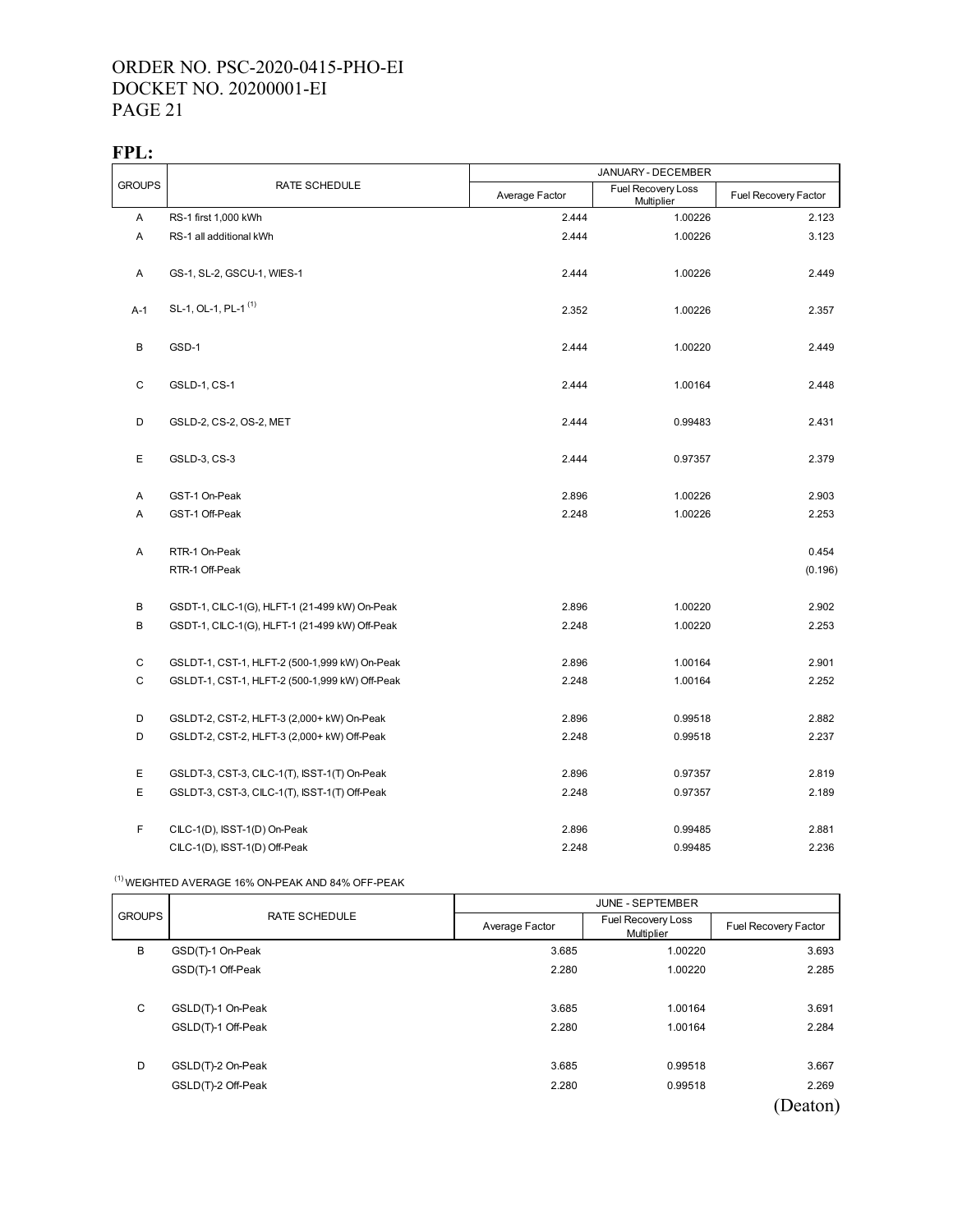#### **FPL:**

|               |                                                | JANUARY - DECEMBER |                                  |                      |
|---------------|------------------------------------------------|--------------------|----------------------------------|----------------------|
| <b>GROUPS</b> | RATE SCHEDULE                                  | Average Factor     | Fuel Recovery Loss<br>Multiplier | Fuel Recovery Factor |
| A             | RS-1 first 1,000 kWh                           | 2.444              | 1.00226                          | 2.123                |
| Α             | RS-1 all additional kWh                        | 2.444              | 1.00226                          | 3.123                |
| Α             | GS-1, SL-2, GSCU-1, WIES-1                     | 2.444              | 1.00226                          | 2.449                |
| A-1           | SL-1, OL-1, PL-1 <sup>(1)</sup>                | 2.352              | 1.00226                          | 2.357                |
| В             | GSD-1                                          | 2.444              | 1.00220                          | 2.449                |
| С             | GSLD-1, CS-1                                   | 2.444              | 1.00164                          | 2.448                |
| D             | GSLD-2, CS-2, OS-2, MET                        | 2.444              | 0.99483                          | 2.431                |
| E             | GSLD-3, CS-3                                   | 2.444              | 0.97357                          | 2.379                |
| Α             | GST-1 On-Peak                                  | 2.896              | 1.00226                          | 2.903                |
| Α             | GST-1 Off-Peak                                 | 2.248              | 1.00226                          | 2.253                |
| Α             | RTR-1 On-Peak                                  |                    |                                  | 0.454                |
|               | RTR-1 Off-Peak                                 |                    |                                  | (0.196)              |
| В             | GSDT-1, CILC-1(G), HLFT-1 (21-499 kW) On-Peak  | 2.896              | 1.00220                          | 2.902                |
| В             | GSDT-1, CILC-1(G), HLFT-1 (21-499 kW) Off-Peak | 2.248              | 1.00220                          | 2.253                |
| $\mathsf C$   | GSLDT-1, CST-1, HLFT-2 (500-1,999 kW) On-Peak  | 2.896              | 1.00164                          | 2.901                |
| $\mathbf C$   | GSLDT-1, CST-1, HLFT-2 (500-1,999 kW) Off-Peak | 2.248              | 1.00164                          | 2.252                |
| D             | GSLDT-2, CST-2, HLFT-3 (2,000+ kW) On-Peak     | 2.896              | 0.99518                          | 2.882                |
| D             | GSLDT-2, CST-2, HLFT-3 (2,000+ kW) Off-Peak    | 2.248              | 0.99518                          | 2.237                |
| Ε             | GSLDT-3, CST-3, CILC-1(T), ISST-1(T) On-Peak   | 2.896              | 0.97357                          | 2.819                |
| E             | GSLDT-3, CST-3, CILC-1(T), ISST-1(T) Off-Peak  | 2.248              | 0.97357                          | 2.189                |
| F             | CILC-1(D), ISST-1(D) On-Peak                   | 2.896              | 0.99485                          | 2.881                |
|               | CILC-1(D), ISST-1(D) Off-Peak                  | 2.248              | 0.99485                          | 2.236                |

#### $^{(1)}$  WEIGHTED AVERAGE 16% ON-PEAK AND 84% OFF-PEAK

|               |                      | <b>JUNE - SEPTEMBER</b> |                                  |                      |
|---------------|----------------------|-------------------------|----------------------------------|----------------------|
| <b>GROUPS</b> | <b>RATE SCHEDULE</b> | Average Factor          | Fuel Recovery Loss<br>Multiplier | Fuel Recovery Factor |
| B             | GSD(T)-1 On-Peak     | 3.685                   | 1.00220                          | 3.693                |
|               | GSD(T)-1 Off-Peak    | 2.280                   | 1.00220                          | 2.285                |
|               |                      |                         |                                  |                      |
| C             | GSLD(T)-1 On-Peak    | 3.685                   | 1.00164                          | 3.691                |
|               | GSLD(T)-1 Off-Peak   | 2.280                   | 1.00164                          | 2.284                |
|               |                      |                         |                                  |                      |
| D             | GSLD(T)-2 On-Peak    | 3.685                   | 0.99518                          | 3.667                |
|               | GSLD(T)-2 Off-Peak   | 2.280                   | 0.99518                          | 2.269                |
|               |                      |                         |                                  | (Deaton)             |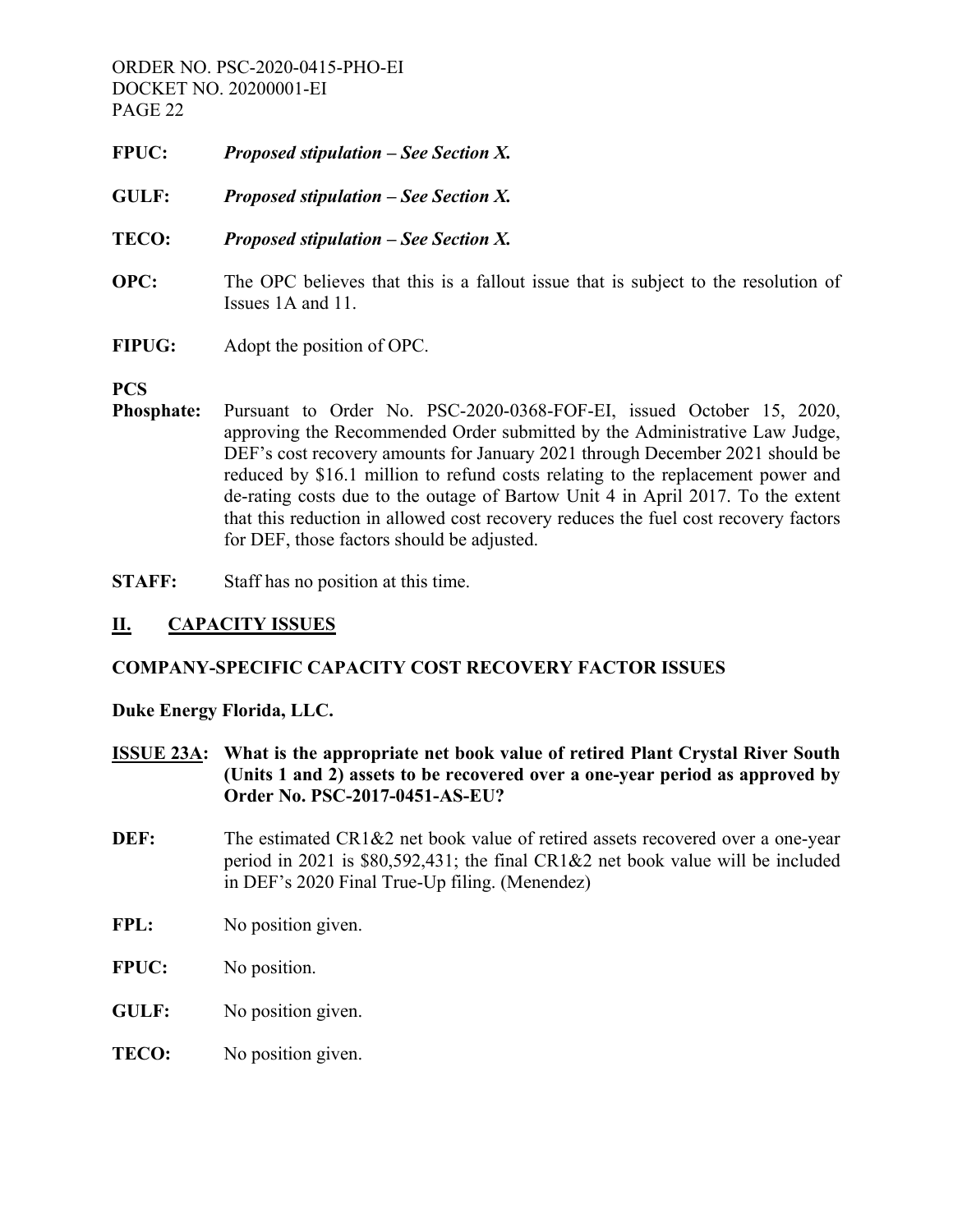- **FPUC:** *Proposed stipulation See Section X.*
- **GULF:** *Proposed stipulation See Section X.*
- **TECO:** *Proposed stipulation See Section X.*
- **OPC:** The OPC believes that this is a fallout issue that is subject to the resolution of Issues 1A and 11.
- **FIPUG:** Adopt the position of OPC.

#### **PCS**

- **Phosphate:** Pursuant to Order No. PSC-2020-0368-FOF-EI, issued October 15, 2020, approving the Recommended Order submitted by the Administrative Law Judge, DEF's cost recovery amounts for January 2021 through December 2021 should be reduced by \$16.1 million to refund costs relating to the replacement power and de-rating costs due to the outage of Bartow Unit 4 in April 2017. To the extent that this reduction in allowed cost recovery reduces the fuel cost recovery factors for DEF, those factors should be adjusted.
- **STAFF:** Staff has no position at this time.

# **II. CAPACITY ISSUES**

# **COMPANY-SPECIFIC CAPACITY COST RECOVERY FACTOR ISSUES**

# **Duke Energy Florida, LLC.**

- **ISSUE 23A: What is the appropriate net book value of retired Plant Crystal River South (Units 1 and 2) assets to be recovered over a one-year period as approved by Order No. PSC-2017-0451-AS-EU?**
- **DEF:** The estimated CR1&2 net book value of retired assets recovered over a one-year period in 2021 is \$80,592,431; the final CR1&2 net book value will be included in DEF's 2020 Final True-Up filing. (Menendez)
- FPL: No position given.
- **FPUC:** No position.
- **GULF:** No position given.
- **TECO:** No position given.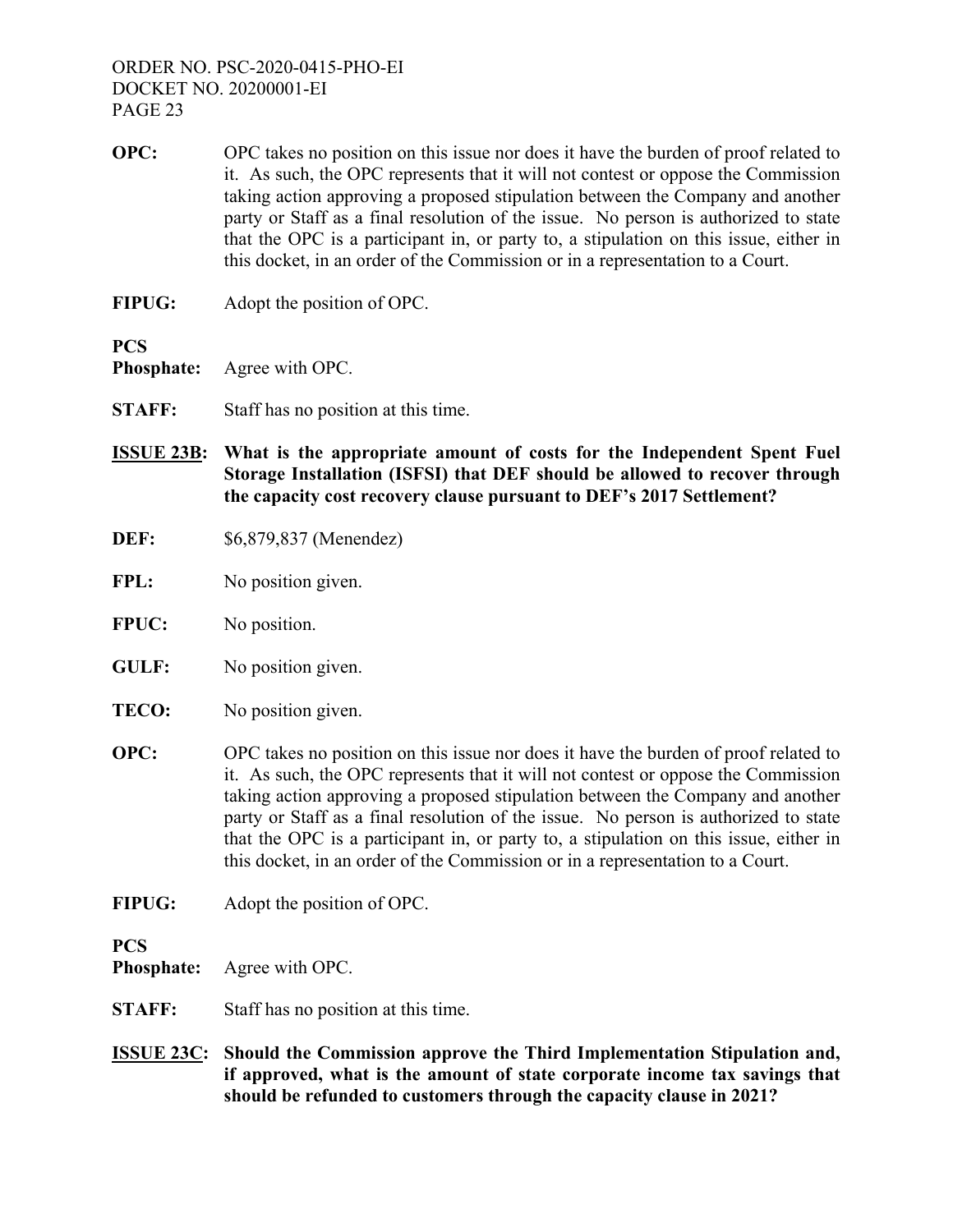- **OPC:** OPC takes no position on this issue nor does it have the burden of proof related to it. As such, the OPC represents that it will not contest or oppose the Commission taking action approving a proposed stipulation between the Company and another party or Staff as a final resolution of the issue. No person is authorized to state that the OPC is a participant in, or party to, a stipulation on this issue, either in this docket, in an order of the Commission or in a representation to a Court.
- **FIPUG:** Adopt the position of OPC.

**PCS** 

**Phosphate:** Agree with OPC.

- **STAFF:** Staff has no position at this time.
- **ISSUE 23B: What is the appropriate amount of costs for the Independent Spent Fuel Storage Installation (ISFSI) that DEF should be allowed to recover through the capacity cost recovery clause pursuant to DEF's 2017 Settlement?**
- **DEF:** \$6,879,837 (Menendez)
- FPL: No position given.
- **FPUC:** No position.
- **GULF:** No position given.
- **TECO:** No position given.
- **OPC:** OPC takes no position on this issue nor does it have the burden of proof related to it. As such, the OPC represents that it will not contest or oppose the Commission taking action approving a proposed stipulation between the Company and another party or Staff as a final resolution of the issue. No person is authorized to state that the OPC is a participant in, or party to, a stipulation on this issue, either in this docket, in an order of the Commission or in a representation to a Court.
- **FIPUG:** Adopt the position of OPC.

**PCS** 

**Phosphate:** Agree with OPC.

- **STAFF:** Staff has no position at this time.
- **ISSUE 23C: Should the Commission approve the Third Implementation Stipulation and, if approved, what is the amount of state corporate income tax savings that should be refunded to customers through the capacity clause in 2021?**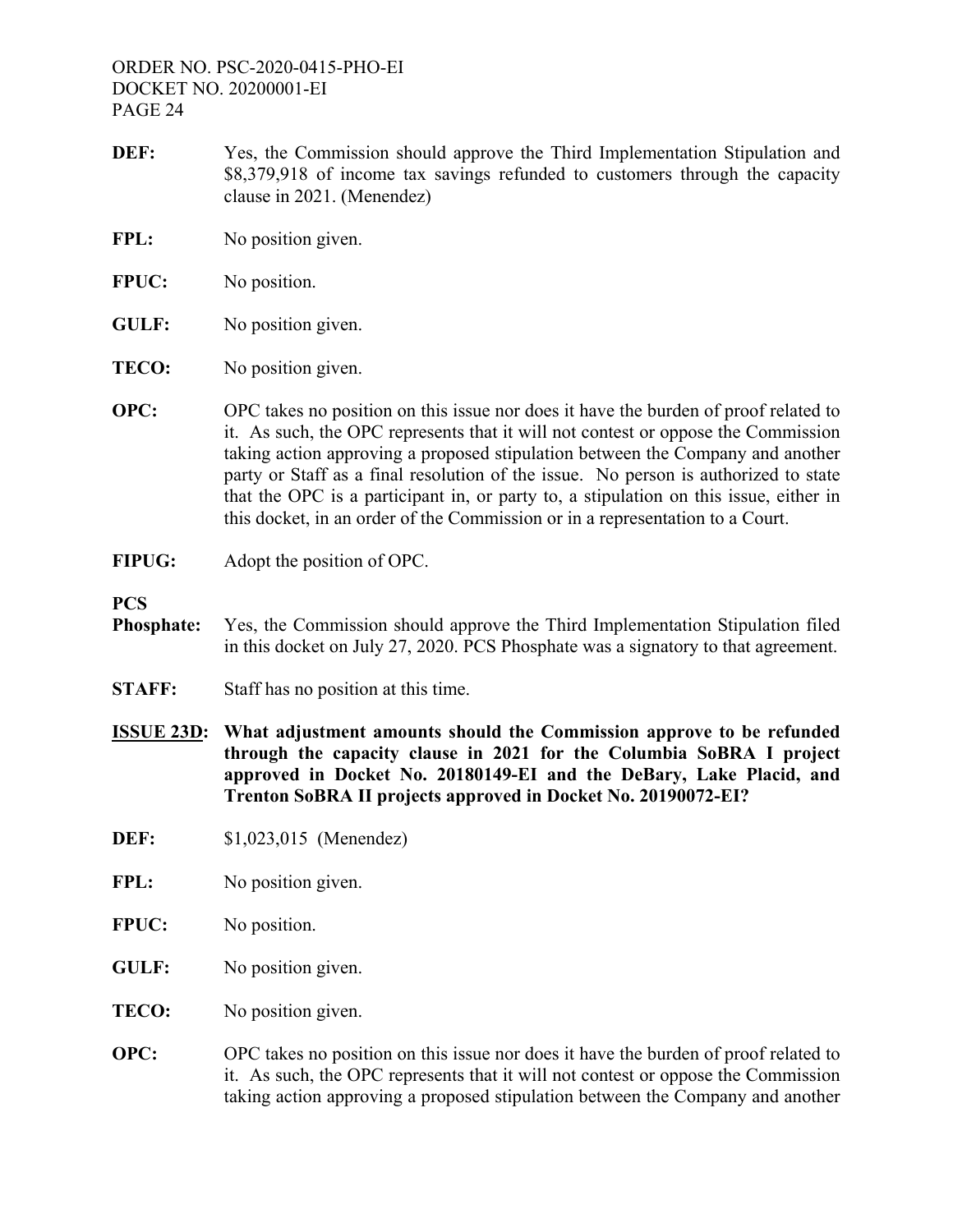- **DEF:** Yes, the Commission should approve the Third Implementation Stipulation and \$8,379,918 of income tax savings refunded to customers through the capacity clause in 2021. (Menendez)
- FPL: No position given.
- **FPUC:** No position.
- **GULF:** No position given.
- **TECO:** No position given.
- **OPC:** OPC takes no position on this issue nor does it have the burden of proof related to it. As such, the OPC represents that it will not contest or oppose the Commission taking action approving a proposed stipulation between the Company and another party or Staff as a final resolution of the issue. No person is authorized to state that the OPC is a participant in, or party to, a stipulation on this issue, either in this docket, in an order of the Commission or in a representation to a Court.
- **FIPUG:** Adopt the position of OPC.

**PCS** 

- **Phosphate:** Yes, the Commission should approve the Third Implementation Stipulation filed in this docket on July 27, 2020. PCS Phosphate was a signatory to that agreement.
- **STAFF:** Staff has no position at this time.
- **ISSUE 23D: What adjustment amounts should the Commission approve to be refunded through the capacity clause in 2021 for the Columbia SoBRA I project approved in Docket No. 20180149-EI and the DeBary, Lake Placid, and Trenton SoBRA II projects approved in Docket No. 20190072-EI?**
- **DEF:** \$1,023,015 (Menendez)
- FPL: No position given.
- **FPUC:** No position.
- **GULF:** No position given.
- **TECO:** No position given.
- **OPC:** OPC takes no position on this issue nor does it have the burden of proof related to it. As such, the OPC represents that it will not contest or oppose the Commission taking action approving a proposed stipulation between the Company and another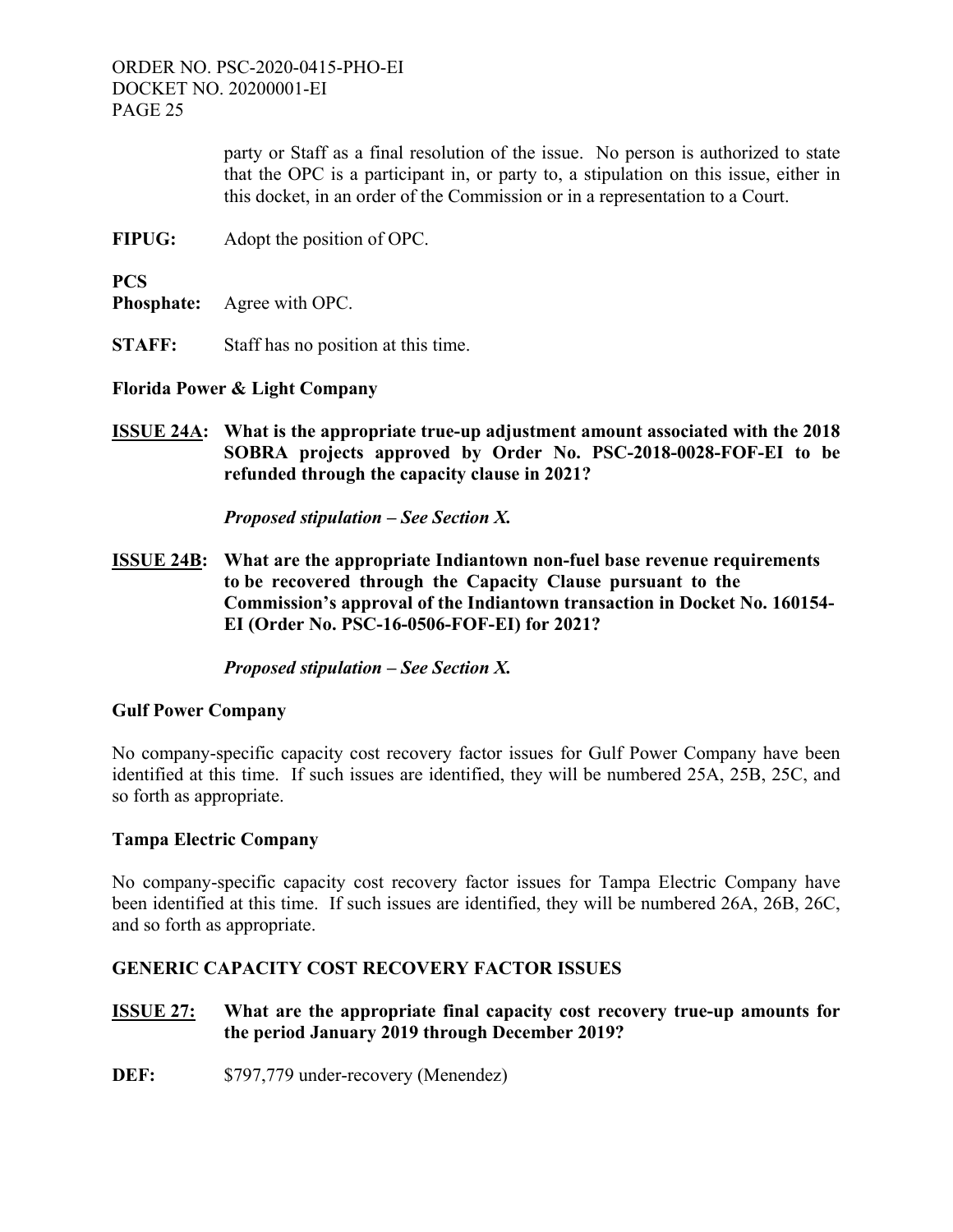> party or Staff as a final resolution of the issue. No person is authorized to state that the OPC is a participant in, or party to, a stipulation on this issue, either in this docket, in an order of the Commission or in a representation to a Court.

**FIPUG:** Adopt the position of OPC.

**PCS** 

**Phosphate:** Agree with OPC.

**STAFF:** Staff has no position at this time.

**Florida Power & Light Company** 

**ISSUE 24A: What is the appropriate true-up adjustment amount associated with the 2018 SOBRA projects approved by Order No. PSC-2018-0028-FOF-EI to be refunded through the capacity clause in 2021?** 

*Proposed stipulation – See Section X.*

**ISSUE 24B: What are the appropriate Indiantown non-fuel base revenue requirements to be recovered through the Capacity Clause pursuant to the Commission's approval of the Indiantown transaction in Docket No. 160154- EI (Order No. PSC-16-0506-FOF-EI) for 2021?** 

*Proposed stipulation – See Section X.* 

# **Gulf Power Company**

No company-specific capacity cost recovery factor issues for Gulf Power Company have been identified at this time. If such issues are identified, they will be numbered 25A, 25B, 25C, and so forth as appropriate.

# **Tampa Electric Company**

No company-specific capacity cost recovery factor issues for Tampa Electric Company have been identified at this time. If such issues are identified, they will be numbered 26A, 26B, 26C, and so forth as appropriate.

# **GENERIC CAPACITY COST RECOVERY FACTOR ISSUES**

- **ISSUE 27: What are the appropriate final capacity cost recovery true-up amounts for the period January 2019 through December 2019?**
- **DEF:** \$797,779 under-recovery (Menendez)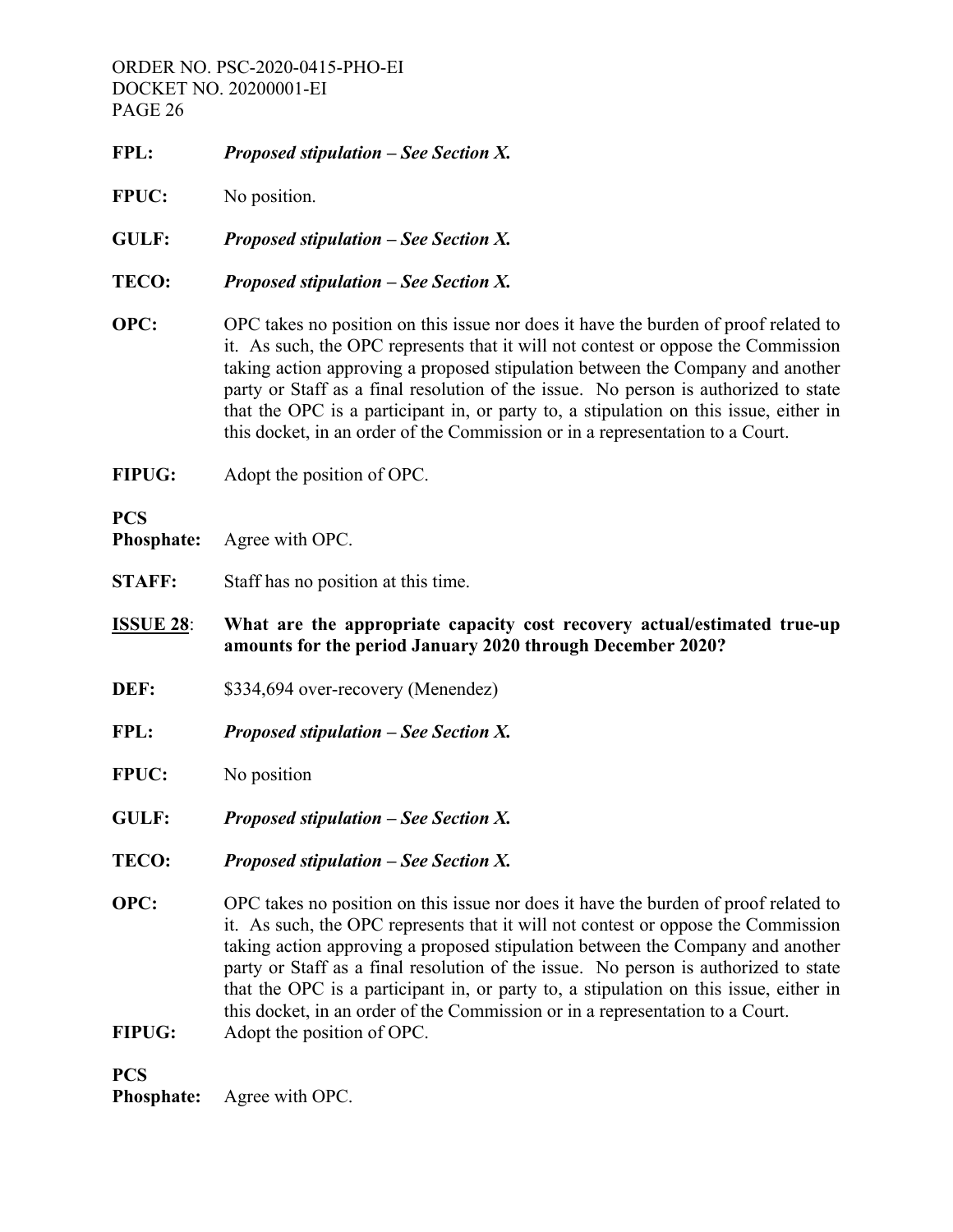- **FPL:** *Proposed stipulation See Section X.* **FPUC:** No position. **GULF:** *Proposed stipulation – See Section X.* **TECO:** *Proposed stipulation – See Section X.* **OPC:** OPC takes no position on this issue nor does it have the burden of proof related to it. As such, the OPC represents that it will not contest or oppose the Commission taking action approving a proposed stipulation between the Company and another party or Staff as a final resolution of the issue. No person is authorized to state that the OPC is a participant in, or party to, a stipulation on this issue, either in this docket, in an order of the Commission or in a representation to a Court.
- **FIPUG:** Adopt the position of OPC.

# **PCS**

**Phosphate:** Agree with OPC.

- **STAFF:** Staff has no position at this time.
- **ISSUE 28**: **What are the appropriate capacity cost recovery actual/estimated true-up amounts for the period January 2020 through December 2020?**
- **DEF:** \$334,694 over-recovery (Menendez)
- **FPL:** *Proposed stipulation See Section X.*
- **FPUC:** No position
- **GULF:** *Proposed stipulation See Section X.*
- **TECO:** *Proposed stipulation See Section X.*
- **OPC:** OPC takes no position on this issue nor does it have the burden of proof related to it. As such, the OPC represents that it will not contest or oppose the Commission taking action approving a proposed stipulation between the Company and another party or Staff as a final resolution of the issue. No person is authorized to state that the OPC is a participant in, or party to, a stipulation on this issue, either in this docket, in an order of the Commission or in a representation to a Court.
- **FIPUG:** Adopt the position of OPC.

**PCS** 

**Phosphate:** Agree with OPC.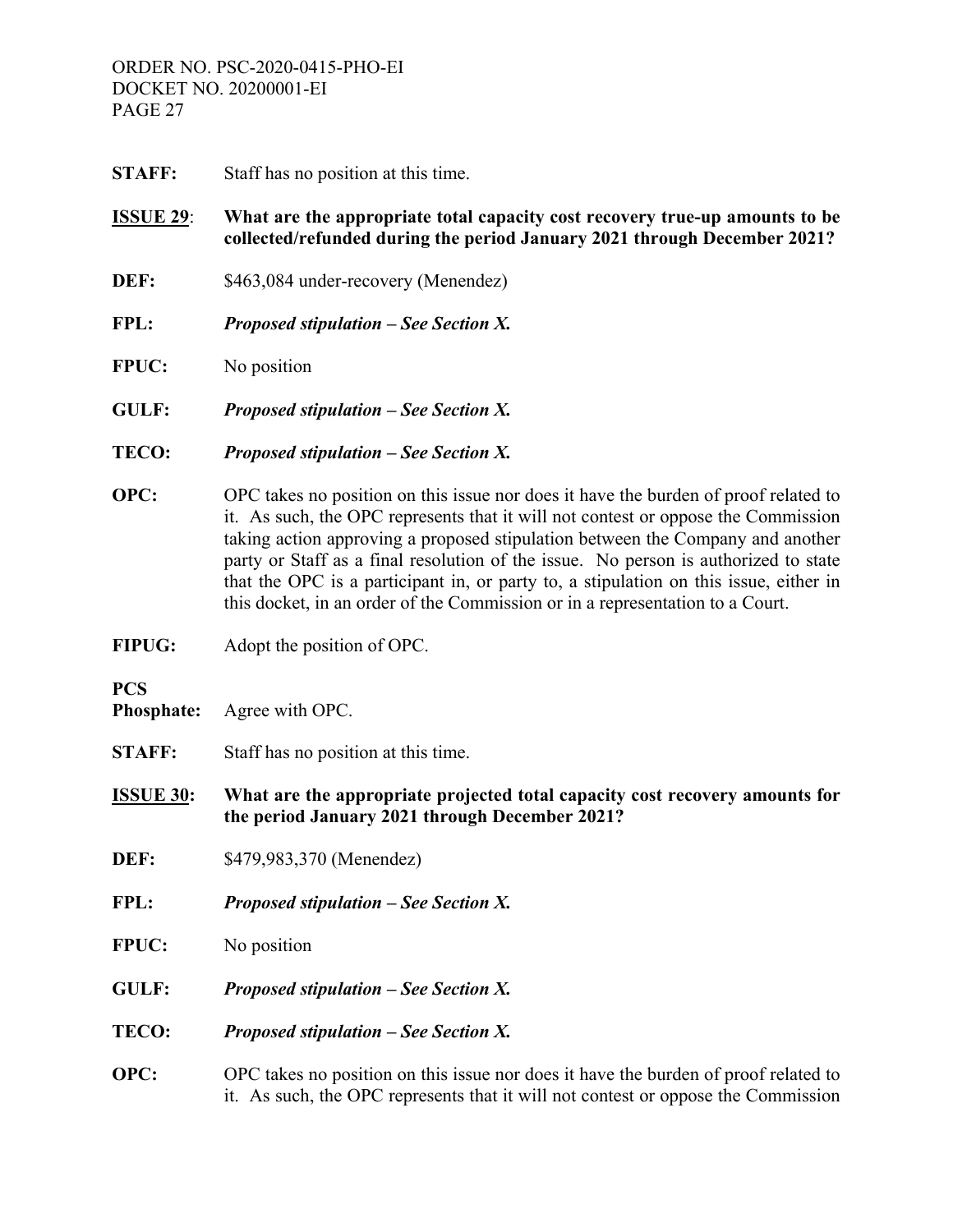**STAFF:** Staff has no position at this time.

# **ISSUE 29**: **What are the appropriate total capacity cost recovery true-up amounts to be collected/refunded during the period January 2021 through December 2021?**

- **DEF:** \$463,084 under-recovery (Menendez)
- **FPL:** *Proposed stipulation See Section X.*
- **FPUC:** No position
- **GULF:** *Proposed stipulation See Section X.*
- **TECO:** *Proposed stipulation See Section X.*
- **OPC:** OPC takes no position on this issue nor does it have the burden of proof related to it. As such, the OPC represents that it will not contest or oppose the Commission taking action approving a proposed stipulation between the Company and another party or Staff as a final resolution of the issue. No person is authorized to state that the OPC is a participant in, or party to, a stipulation on this issue, either in this docket, in an order of the Commission or in a representation to a Court.
- **FIPUG:** Adopt the position of OPC.

**PCS** 

- **Phosphate:** Agree with OPC.
- **STAFF:** Staff has no position at this time.

**ISSUE 30: What are the appropriate projected total capacity cost recovery amounts for the period January 2021 through December 2021?** 

- **DEF:** \$479,983,370 (Menendez)
- **FPL:** *Proposed stipulation See Section X.*
- **FPUC:** No position
- **GULF:** *Proposed stipulation See Section X.*
- **TECO:** *Proposed stipulation See Section X.*
- **OPC:** OPC takes no position on this issue nor does it have the burden of proof related to it. As such, the OPC represents that it will not contest or oppose the Commission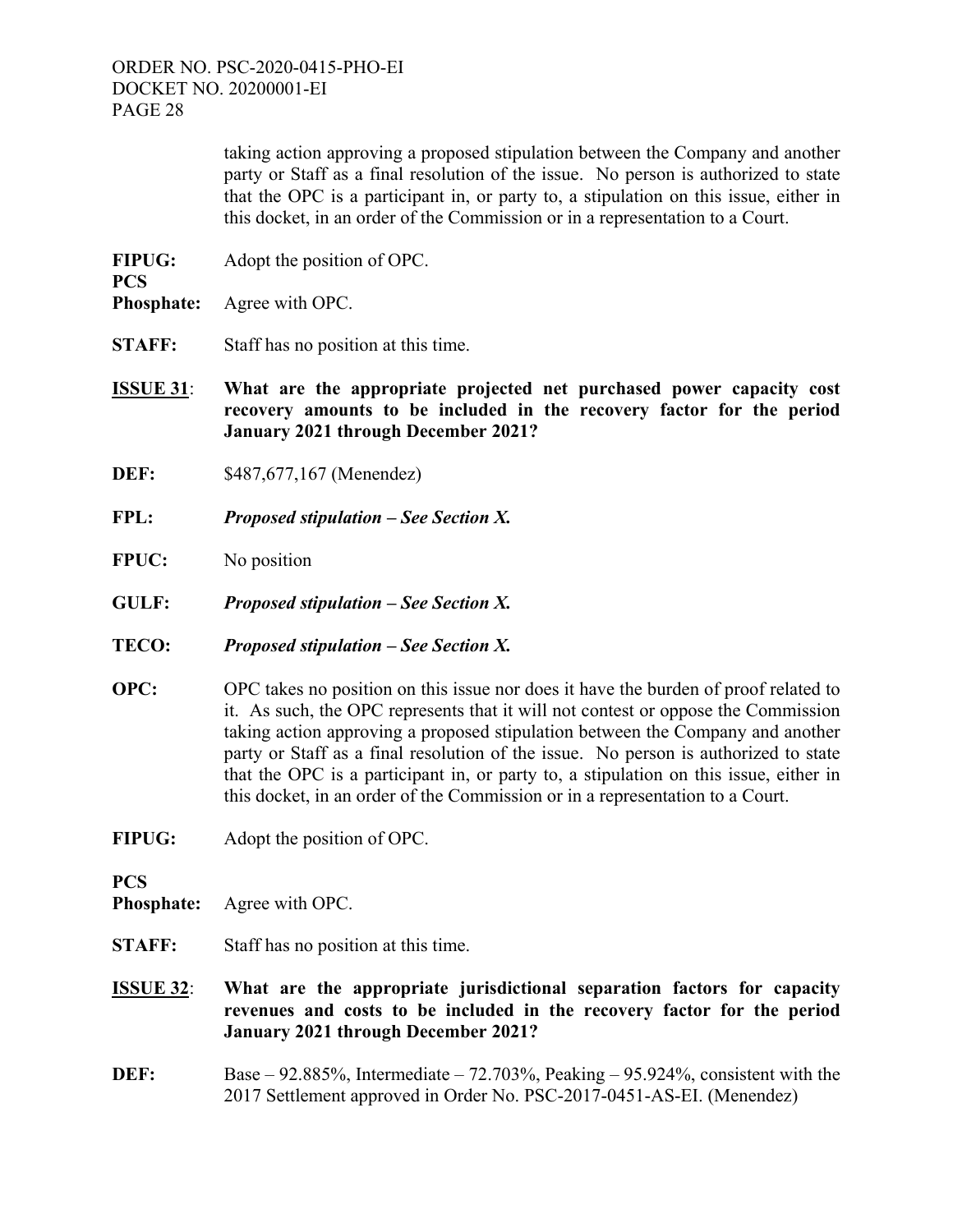> taking action approving a proposed stipulation between the Company and another party or Staff as a final resolution of the issue. No person is authorized to state that the OPC is a participant in, or party to, a stipulation on this issue, either in this docket, in an order of the Commission or in a representation to a Court.

- **FIPUG:** Adopt the position of OPC.
- **Phosphate:** Agree with OPC.

**PCS** 

- **STAFF:** Staff has no position at this time.
- **ISSUE 31**: **What are the appropriate projected net purchased power capacity cost recovery amounts to be included in the recovery factor for the period January 2021 through December 2021?**
- **DEF:** \$487,677,167 (Menendez)
- **FPL:** *Proposed stipulation See Section X.*
- **FPUC:** No position
- **GULF:** *Proposed stipulation See Section X.*
- **TECO:** *Proposed stipulation See Section X.*
- **OPC:** OPC takes no position on this issue nor does it have the burden of proof related to it. As such, the OPC represents that it will not contest or oppose the Commission taking action approving a proposed stipulation between the Company and another party or Staff as a final resolution of the issue. No person is authorized to state that the OPC is a participant in, or party to, a stipulation on this issue, either in this docket, in an order of the Commission or in a representation to a Court.
- **FIPUG:** Adopt the position of OPC.

**PCS** 

- **Phosphate:** Agree with OPC.
- **STAFF:** Staff has no position at this time.
- **ISSUE 32**: **What are the appropriate jurisdictional separation factors for capacity revenues and costs to be included in the recovery factor for the period January 2021 through December 2021?**
- **DEF:** Base 92.885%, Intermediate 72.703%, Peaking 95.924%, consistent with the 2017 Settlement approved in Order No. PSC-2017-0451-AS-EI. (Menendez)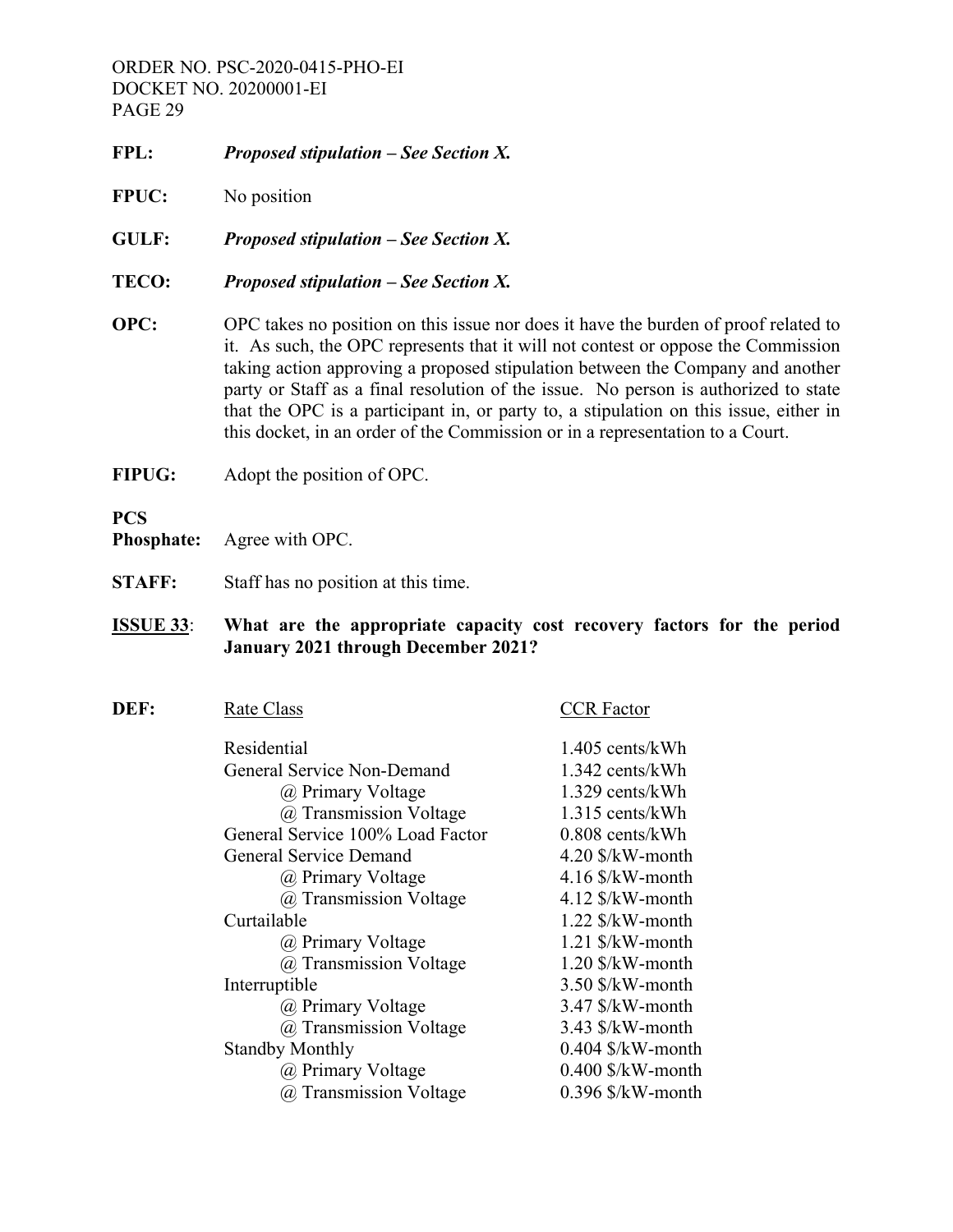- **FPL:** *Proposed stipulation See Section X.*
- **FPUC:** No position
- **GULF:** *Proposed stipulation See Section X.*
- **TECO:** *Proposed stipulation See Section X.*
- **OPC:** OPC takes no position on this issue nor does it have the burden of proof related to it. As such, the OPC represents that it will not contest or oppose the Commission taking action approving a proposed stipulation between the Company and another party or Staff as a final resolution of the issue. No person is authorized to state that the OPC is a participant in, or party to, a stipulation on this issue, either in this docket, in an order of the Commission or in a representation to a Court.
- **FIPUG:** Adopt the position of OPC.

# **PCS**

- **Phosphate:** Agree with OPC.
- **STAFF:** Staff has no position at this time.

# **ISSUE 33**: **What are the appropriate capacity cost recovery factors for the period January 2021 through December 2021?**

| DEF: | Rate Class                       | CCR Factor                         |
|------|----------------------------------|------------------------------------|
|      | Residential                      | $1.405$ cents/kWh                  |
|      | General Service Non-Demand       | 1.342 cents/kWh                    |
|      | @ Primary Voltage                | 1.329 cents/kWh                    |
|      | @ Transmission Voltage           | 1.315 cents/kWh                    |
|      | General Service 100% Load Factor | $0.808$ cents/kWh                  |
|      | General Service Demand           | $4.20$ \$/kW-month                 |
|      | @ Primary Voltage                | $4.16$ \$/kW-month                 |
|      | @ Transmission Voltage           | $4.12$ \$/kW-month                 |
|      | Curtailable                      | $1.22$ \$/kW-month                 |
|      | @ Primary Voltage                | $1.21$ \$/kW-month                 |
|      | @ Transmission Voltage           | $1.20$ \$/kW-month                 |
|      | Interruptible                    | $3.50$ \$/kW-month                 |
|      | @ Primary Voltage                | $3.47$ $\frac{\sqrt{W}}{W}$ -month |
|      | @ Transmission Voltage           | $3.43$ $\frac{\sqrt{W}}{W}$ -month |
|      | <b>Standby Monthly</b>           | $0.404$ \$/kW-month                |
|      | @ Primary Voltage                | $0.400$ \$/kW-month                |
|      | @ Transmission Voltage           | $0.396$ \$/kW-month                |
|      |                                  |                                    |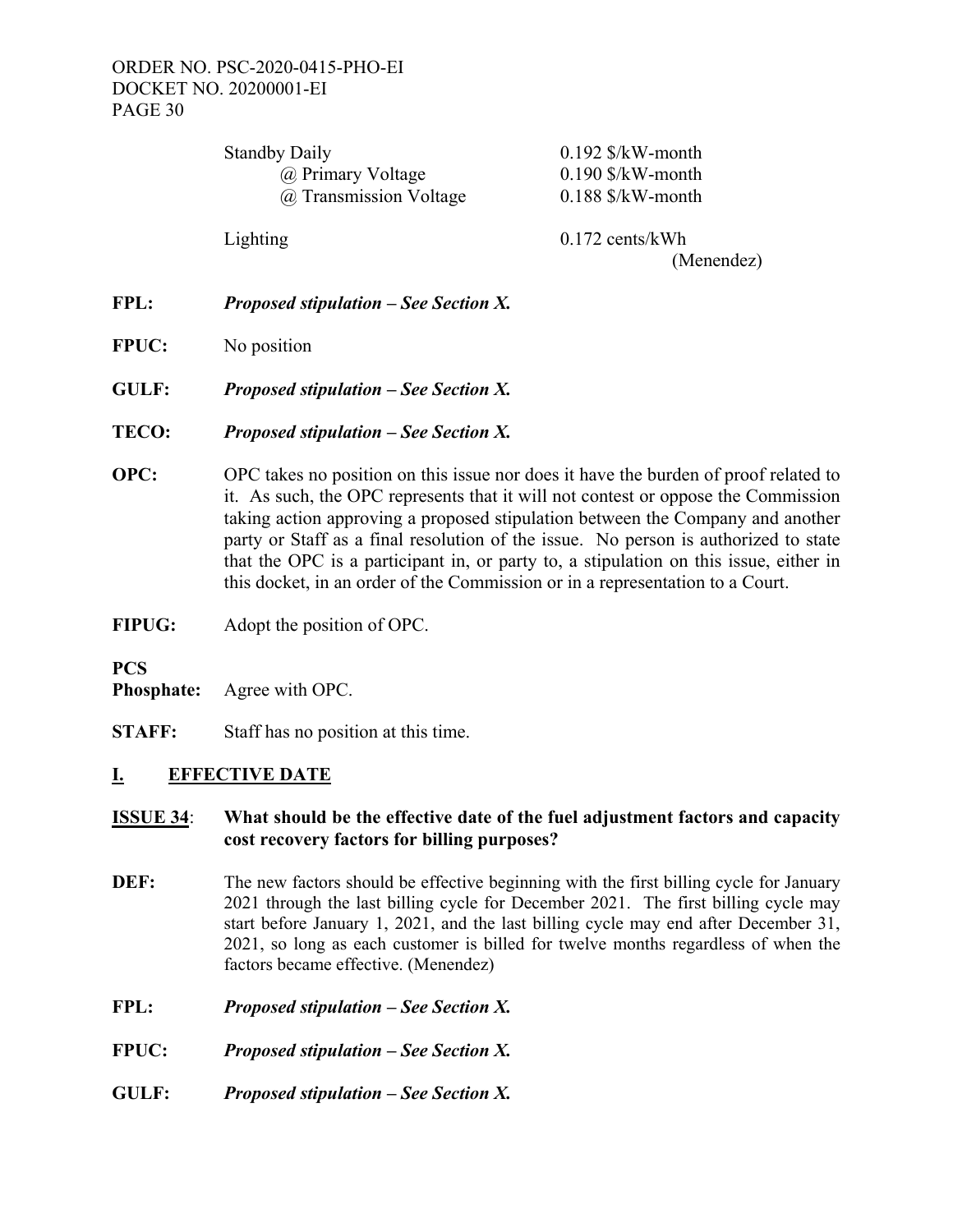| <b>Standby Daily</b>   | $0.192$ \$/kW-month             |
|------------------------|---------------------------------|
| @ Primary Voltage      | $0.190$ \$/kW-month             |
| @ Transmission Voltage | $0.188$ \$/kW-month             |
| Lighting               | $0.172$ cents/kWh<br>(Menendez) |

- **FPL:** *Proposed stipulation See Section X.*
- **FPUC:** No position
- **GULF:** *Proposed stipulation See Section X.*
- **TECO:** *Proposed stipulation See Section X.*
- **OPC:** OPC takes no position on this issue nor does it have the burden of proof related to it. As such, the OPC represents that it will not contest or oppose the Commission taking action approving a proposed stipulation between the Company and another party or Staff as a final resolution of the issue. No person is authorized to state that the OPC is a participant in, or party to, a stipulation on this issue, either in this docket, in an order of the Commission or in a representation to a Court.
- **FIPUG:** Adopt the position of OPC.

# **PCS**

**Phosphate:** Agree with OPC.

**STAFF:** Staff has no position at this time.

# **I. EFFECTIVE DATE**

# **ISSUE 34**: **What should be the effective date of the fuel adjustment factors and capacity cost recovery factors for billing purposes?**

- **DEF:** The new factors should be effective beginning with the first billing cycle for January 2021 through the last billing cycle for December 2021. The first billing cycle may start before January 1, 2021, and the last billing cycle may end after December 31, 2021, so long as each customer is billed for twelve months regardless of when the factors became effective. (Menendez)
- **FPL:** *Proposed stipulation See Section X.*
- **FPUC:** *Proposed stipulation See Section X.*
- **GULF:** *Proposed stipulation See Section X.*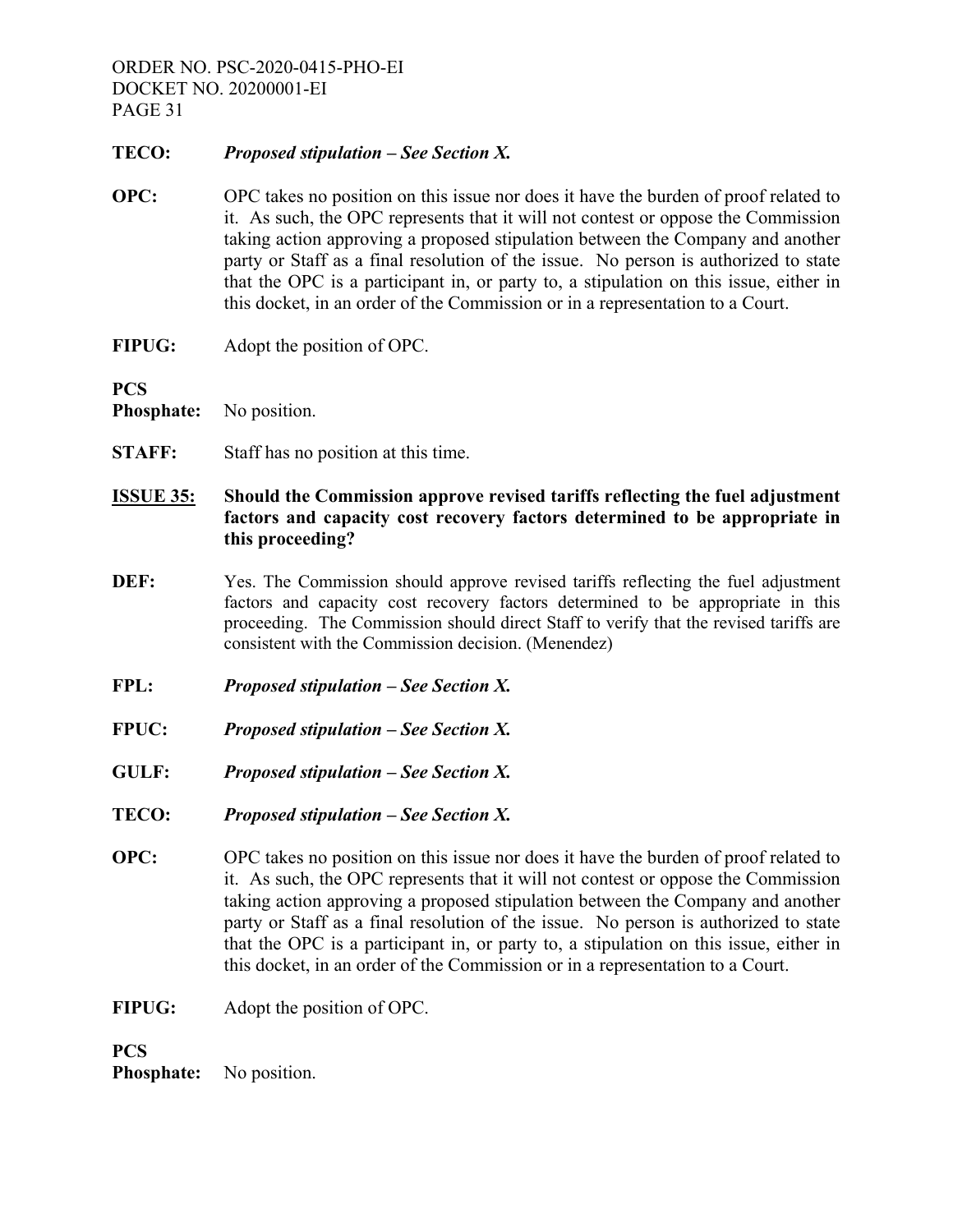# **TECO:** *Proposed stipulation – See Section X.*

- **OPC:** OPC takes no position on this issue nor does it have the burden of proof related to it. As such, the OPC represents that it will not contest or oppose the Commission taking action approving a proposed stipulation between the Company and another party or Staff as a final resolution of the issue. No person is authorized to state that the OPC is a participant in, or party to, a stipulation on this issue, either in this docket, in an order of the Commission or in a representation to a Court.
- **FIPUG:** Adopt the position of OPC.

**PCS** 

- **Phosphate:** No position.
- **STAFF:** Staff has no position at this time.
- **ISSUE 35: Should the Commission approve revised tariffs reflecting the fuel adjustment factors and capacity cost recovery factors determined to be appropriate in this proceeding?**
- **DEF:** Yes. The Commission should approve revised tariffs reflecting the fuel adjustment factors and capacity cost recovery factors determined to be appropriate in this proceeding. The Commission should direct Staff to verify that the revised tariffs are consistent with the Commission decision. (Menendez)
- **FPL:** *Proposed stipulation See Section X.*
- **FPUC:** *Proposed stipulation See Section X.*
- **GULF:** *Proposed stipulation See Section X.*
- **TECO:** *Proposed stipulation See Section X.*
- **OPC:** OPC takes no position on this issue nor does it have the burden of proof related to it. As such, the OPC represents that it will not contest or oppose the Commission taking action approving a proposed stipulation between the Company and another party or Staff as a final resolution of the issue. No person is authorized to state that the OPC is a participant in, or party to, a stipulation on this issue, either in this docket, in an order of the Commission or in a representation to a Court.
- **FIPUG:** Adopt the position of OPC.

# **PCS**

**Phosphate:** No position.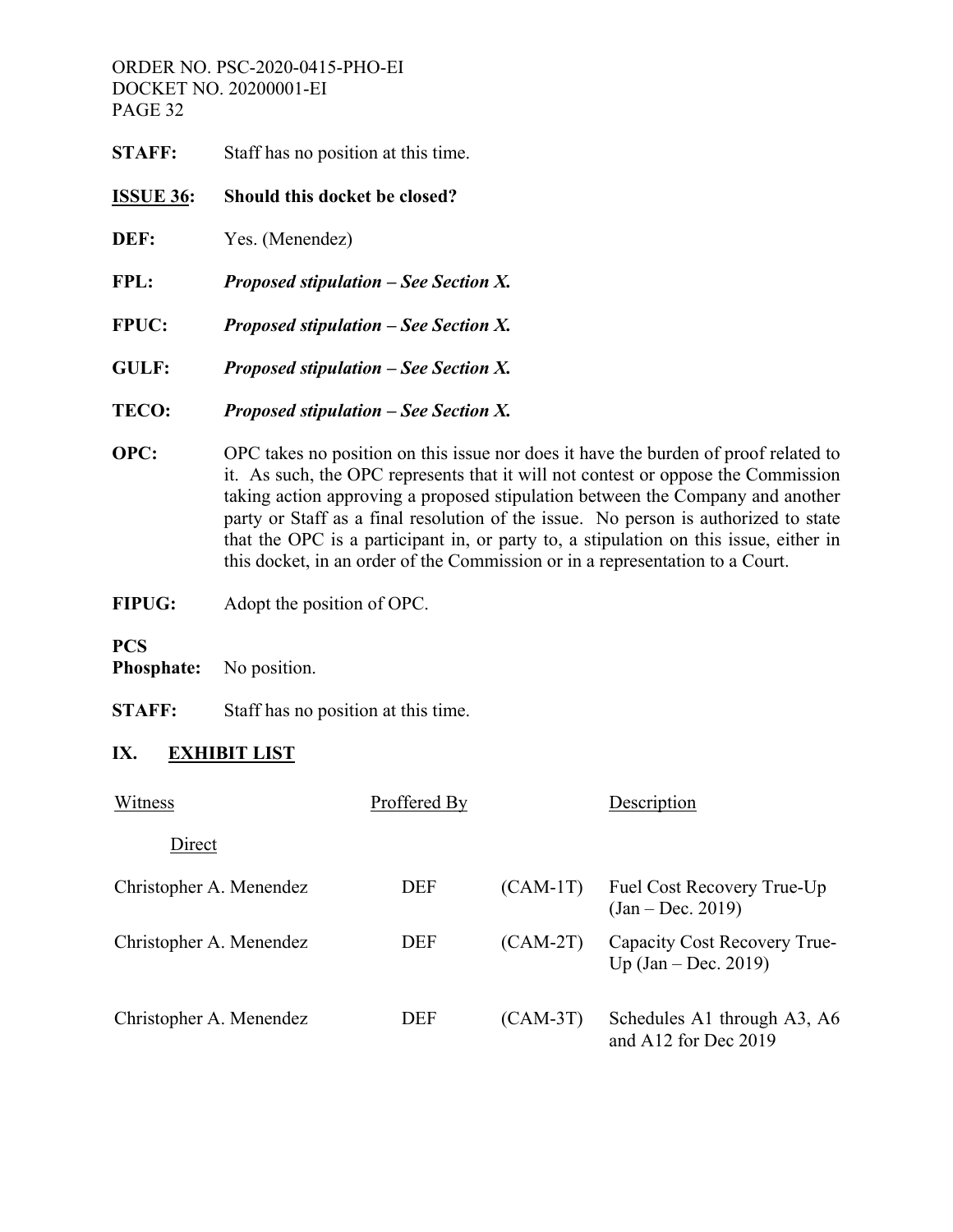| <b>STAFF:</b>    | Staff has no position at this time.          |
|------------------|----------------------------------------------|
| <b>ISSUE 36:</b> | Should this docket be closed?                |
| DEF:             | Yes. (Menendez)                              |
| FPL:             | <b>Proposed stipulation – See Section X.</b> |
| <b>FPUC:</b>     | <b>Proposed stipulation – See Section X.</b> |
| <b>GULF:</b>     | <b>Proposed stipulation – See Section X.</b> |
| TECO:            | <b>Proposed stipulation – See Section X.</b> |
|                  |                                              |

- **OPC:** OPC takes no position on this issue nor does it have the burden of proof related to it. As such, the OPC represents that it will not contest or oppose the Commission taking action approving a proposed stipulation between the Company and another party or Staff as a final resolution of the issue. No person is authorized to state that the OPC is a participant in, or party to, a stipulation on this issue, either in this docket, in an order of the Commission or in a representation to a Court.
- **FIPUG:** Adopt the position of OPC.

# **PCS**

**Phosphate:** No position.

**STAFF:** Staff has no position at this time.

# **IX. EXHIBIT LIST**

| Witness                 | Proffered By |            | Description                                            |
|-------------------------|--------------|------------|--------------------------------------------------------|
| Direct                  |              |            |                                                        |
| Christopher A. Menendez | <b>DEF</b>   | $(CAM-1T)$ | Fuel Cost Recovery True-Up<br>$(Jan - Dec. 2019)$      |
| Christopher A. Menendez | <b>DEF</b>   | $(CAM-2T)$ | Capacity Cost Recovery True-<br>$Up (Jan - Dec. 2019)$ |
| Christopher A. Menendez | DEF          | $(CAM-3T)$ | Schedules A1 through A3, A6<br>and A12 for Dec 2019    |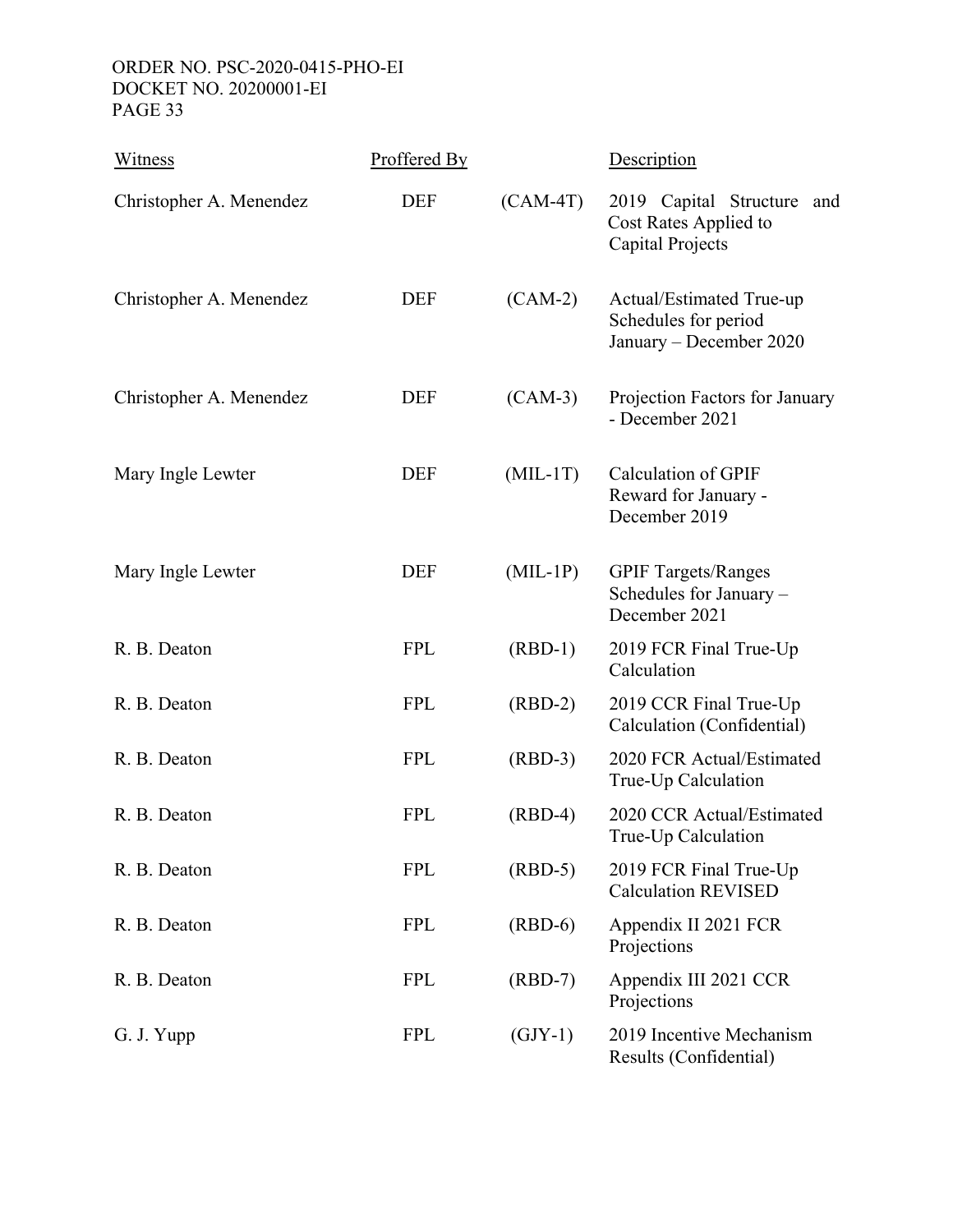| Witness                 | Proffered By |            | Description                                                                 |
|-------------------------|--------------|------------|-----------------------------------------------------------------------------|
| Christopher A. Menendez | <b>DEF</b>   | $(CAM-4T)$ | 2019 Capital Structure<br>and<br>Cost Rates Applied to<br>Capital Projects  |
| Christopher A. Menendez | <b>DEF</b>   | $(CAM-2)$  | Actual/Estimated True-up<br>Schedules for period<br>January - December 2020 |
| Christopher A. Menendez | <b>DEF</b>   | $(CAM-3)$  | Projection Factors for January<br>- December 2021                           |
| Mary Ingle Lewter       | <b>DEF</b>   | $(MIL-1T)$ | <b>Calculation of GPIF</b><br>Reward for January -<br>December 2019         |
| Mary Ingle Lewter       | <b>DEF</b>   | $(MIL-1P)$ | <b>GPIF Targets/Ranges</b><br>Schedules for January -<br>December 2021      |
| R. B. Deaton            | <b>FPL</b>   | $(RBD-1)$  | 2019 FCR Final True-Up<br>Calculation                                       |
| R. B. Deaton            | <b>FPL</b>   | $(RBD-2)$  | 2019 CCR Final True-Up<br>Calculation (Confidential)                        |
| R. B. Deaton            | <b>FPL</b>   | $(RBD-3)$  | 2020 FCR Actual/Estimated<br>True-Up Calculation                            |
| R. B. Deaton            | <b>FPL</b>   | $(RBD-4)$  | 2020 CCR Actual/Estimated<br>True-Up Calculation                            |
| R. B. Deaton            | <b>FPL</b>   | $(RBD-5)$  | 2019 FCR Final True-Up<br><b>Calculation REVISED</b>                        |
| R. B. Deaton            | <b>FPL</b>   | $(RBD-6)$  | Appendix II 2021 FCR<br>Projections                                         |
| R. B. Deaton            | <b>FPL</b>   | $(RBD-7)$  | Appendix III 2021 CCR<br>Projections                                        |
| G. J. Yupp              | <b>FPL</b>   | $(GJY-1)$  | 2019 Incentive Mechanism<br>Results (Confidential)                          |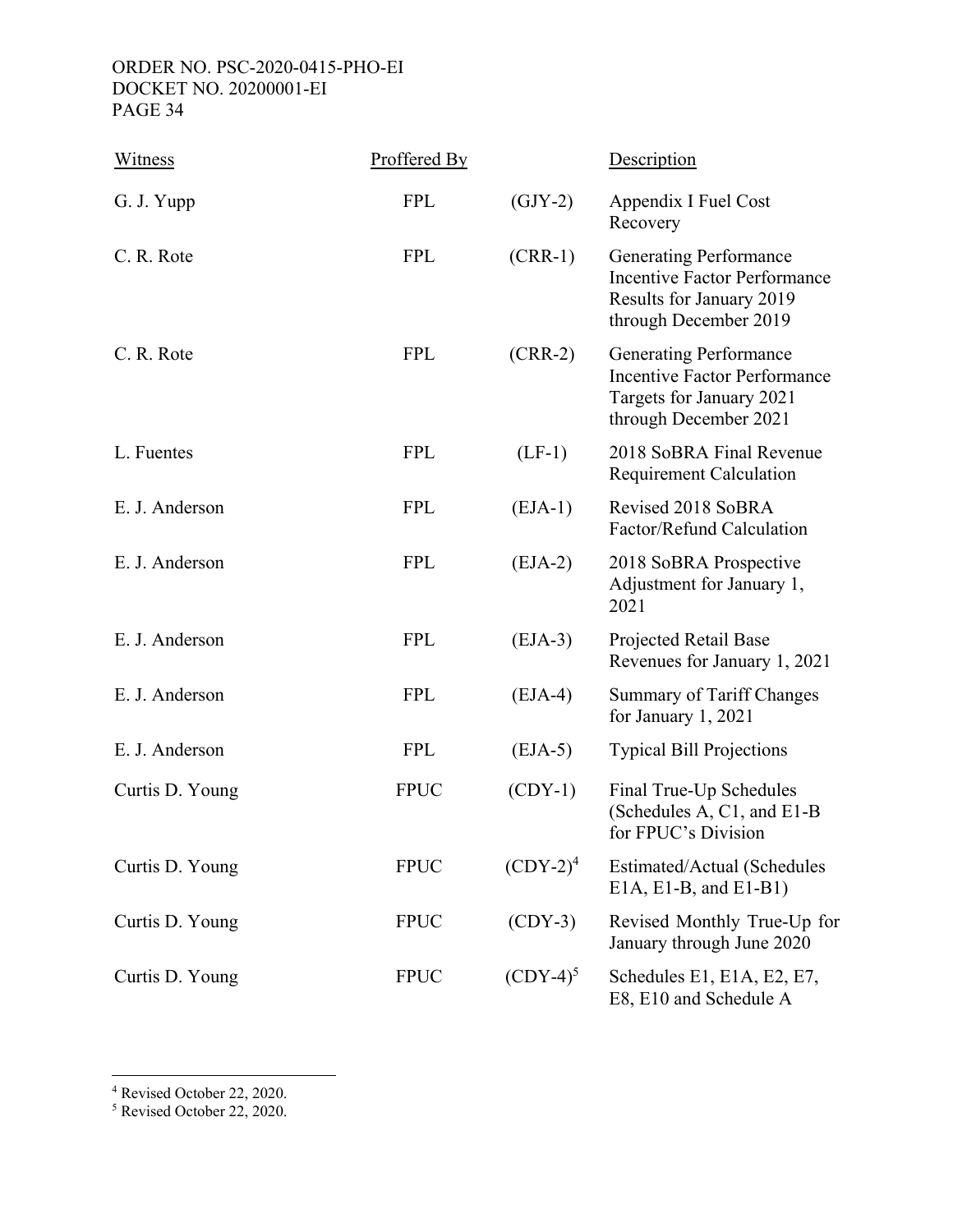| Witness         | Proffered By |             | Description                                                                                                               |
|-----------------|--------------|-------------|---------------------------------------------------------------------------------------------------------------------------|
| G. J. Yupp      | <b>FPL</b>   | $(GJY-2)$   | Appendix I Fuel Cost<br>Recovery                                                                                          |
| C. R. Rote      | <b>FPL</b>   | $(CRR-1)$   | <b>Generating Performance</b><br><b>Incentive Factor Performance</b><br>Results for January 2019<br>through December 2019 |
| C. R. Rote      | <b>FPL</b>   | $(CRR-2)$   | <b>Generating Performance</b><br><b>Incentive Factor Performance</b><br>Targets for January 2021<br>through December 2021 |
| L. Fuentes      | <b>FPL</b>   | $(LF-1)$    | 2018 SoBRA Final Revenue<br><b>Requirement Calculation</b>                                                                |
| E. J. Anderson  | <b>FPL</b>   | $(EJA-1)$   | Revised 2018 SoBRA<br>Factor/Refund Calculation                                                                           |
| E. J. Anderson  | <b>FPL</b>   | $(EJA-2)$   | 2018 SoBRA Prospective<br>Adjustment for January 1,<br>2021                                                               |
| E. J. Anderson  | <b>FPL</b>   | $(EJA-3)$   | Projected Retail Base<br>Revenues for January 1, 2021                                                                     |
| E. J. Anderson  | <b>FPL</b>   | $(EJA-4)$   | Summary of Tariff Changes<br>for January 1, 2021                                                                          |
| E. J. Anderson  | <b>FPL</b>   | $(EJA-5)$   | <b>Typical Bill Projections</b>                                                                                           |
| Curtis D. Young | <b>FPUC</b>  | $(CDY-1)$   | Final True-Up Schedules<br>(Schedules A, C1, and E1-B<br>for FPUC's Division                                              |
| Curtis D. Young | <b>FPUC</b>  | $(CDY-2)4$  | Estimated/Actual (Schedules<br>$E1A, E1-B, and E1-B1)$                                                                    |
| Curtis D. Young | <b>FPUC</b>  | $(CDY-3)$   | Revised Monthly True-Up for<br>January through June 2020                                                                  |
| Curtis D. Young | <b>FPUC</b>  | $(CDY-4)^5$ | Schedules E1, E1A, E2, E7,<br>E8, E10 and Schedule A                                                                      |

4 Revised October 22, 2020. 5 Revised October 22, 2020.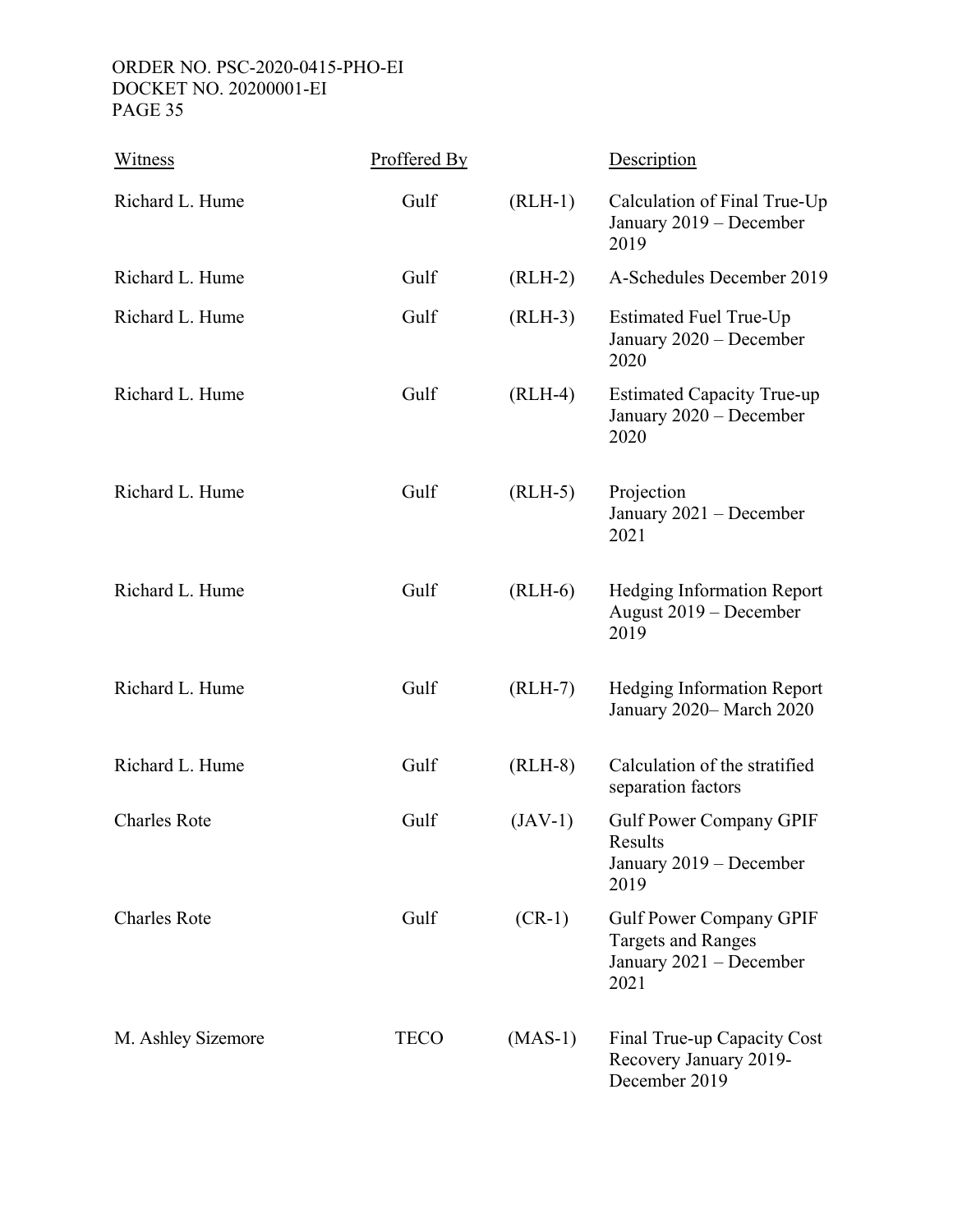| Witness             | Proffered By |           | Description                                                                                    |
|---------------------|--------------|-----------|------------------------------------------------------------------------------------------------|
| Richard L. Hume     | Gulf         | $(RLH-1)$ | Calculation of Final True-Up<br>January 2019 – December<br>2019                                |
| Richard L. Hume     | Gulf         | $(RLH-2)$ | A-Schedules December 2019                                                                      |
| Richard L. Hume     | Gulf         | $(RLH-3)$ | <b>Estimated Fuel True-Up</b><br>January 2020 - December<br>2020                               |
| Richard L. Hume     | Gulf         | $(RLH-4)$ | <b>Estimated Capacity True-up</b><br>January 2020 - December<br>2020                           |
| Richard L. Hume     | Gulf         | $(RLH-5)$ | Projection<br>January 2021 – December<br>2021                                                  |
| Richard L. Hume     | Gulf         | $(RLH-6)$ | <b>Hedging Information Report</b><br>August 2019 – December<br>2019                            |
| Richard L. Hume     | Gulf         | $(RLH-7)$ | <b>Hedging Information Report</b><br>January 2020-March 2020                                   |
| Richard L. Hume     | Gulf         | $(RLH-8)$ | Calculation of the stratified<br>separation factors                                            |
| <b>Charles Rote</b> | Gulf         | $(JAV-1)$ | <b>Gulf Power Company GPIF</b><br>Results<br>January 2019 - December<br>2019                   |
| <b>Charles Rote</b> | Gulf         | $(CR-1)$  | <b>Gulf Power Company GPIF</b><br><b>Targets and Ranges</b><br>January 2021 – December<br>2021 |
| M. Ashley Sizemore  | <b>TECO</b>  | $(MAS-1)$ | Final True-up Capacity Cost<br>Recovery January 2019-<br>December 2019                         |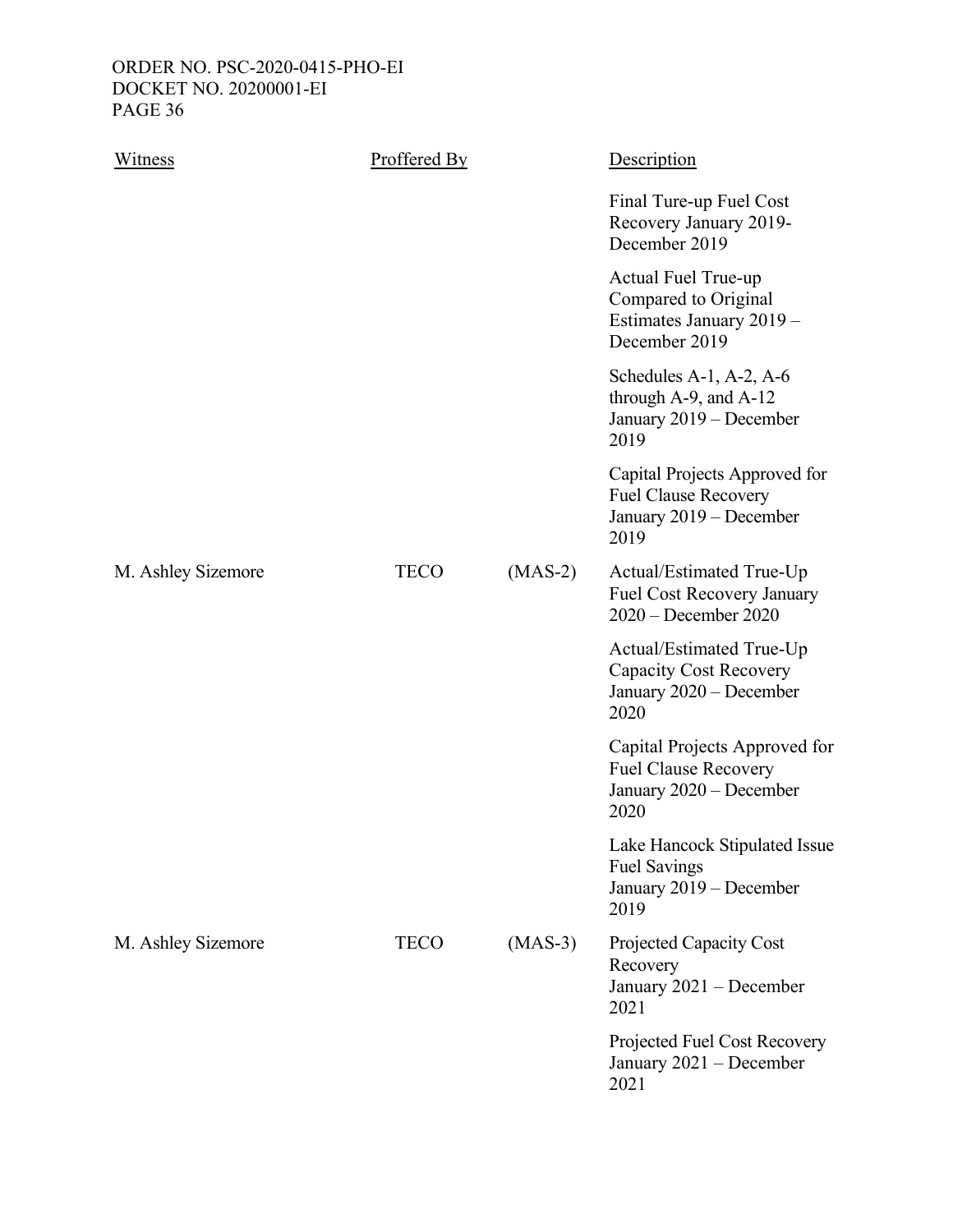| Witness            | Proffered By |           | Description                                                                                     |
|--------------------|--------------|-----------|-------------------------------------------------------------------------------------------------|
|                    |              |           | Final Ture-up Fuel Cost<br>Recovery January 2019-<br>December 2019                              |
|                    |              |           | Actual Fuel True-up<br>Compared to Original<br>Estimates January 2019 -<br>December 2019        |
|                    |              |           | Schedules A-1, A-2, A-6<br>through A-9, and A-12<br>January 2019 - December<br>2019             |
|                    |              |           | Capital Projects Approved for<br><b>Fuel Clause Recovery</b><br>January 2019 - December<br>2019 |
| M. Ashley Sizemore | <b>TECO</b>  | $(MAS-2)$ | Actual/Estimated True-Up<br>Fuel Cost Recovery January<br>$2020 - December 2020$                |
|                    |              |           | Actual/Estimated True-Up<br><b>Capacity Cost Recovery</b><br>January 2020 - December<br>2020    |
|                    |              |           | Capital Projects Approved for<br><b>Fuel Clause Recovery</b><br>January 2020 – December<br>2020 |
|                    |              |           | Lake Hancock Stipulated Issue<br><b>Fuel Savings</b><br>January 2019 - December<br>2019         |
| M. Ashley Sizemore | <b>TECO</b>  | $(MAS-3)$ | Projected Capacity Cost<br>Recovery<br>January 2021 - December<br>2021                          |
|                    |              |           | Projected Fuel Cost Recovery<br>January 2021 – December<br>2021                                 |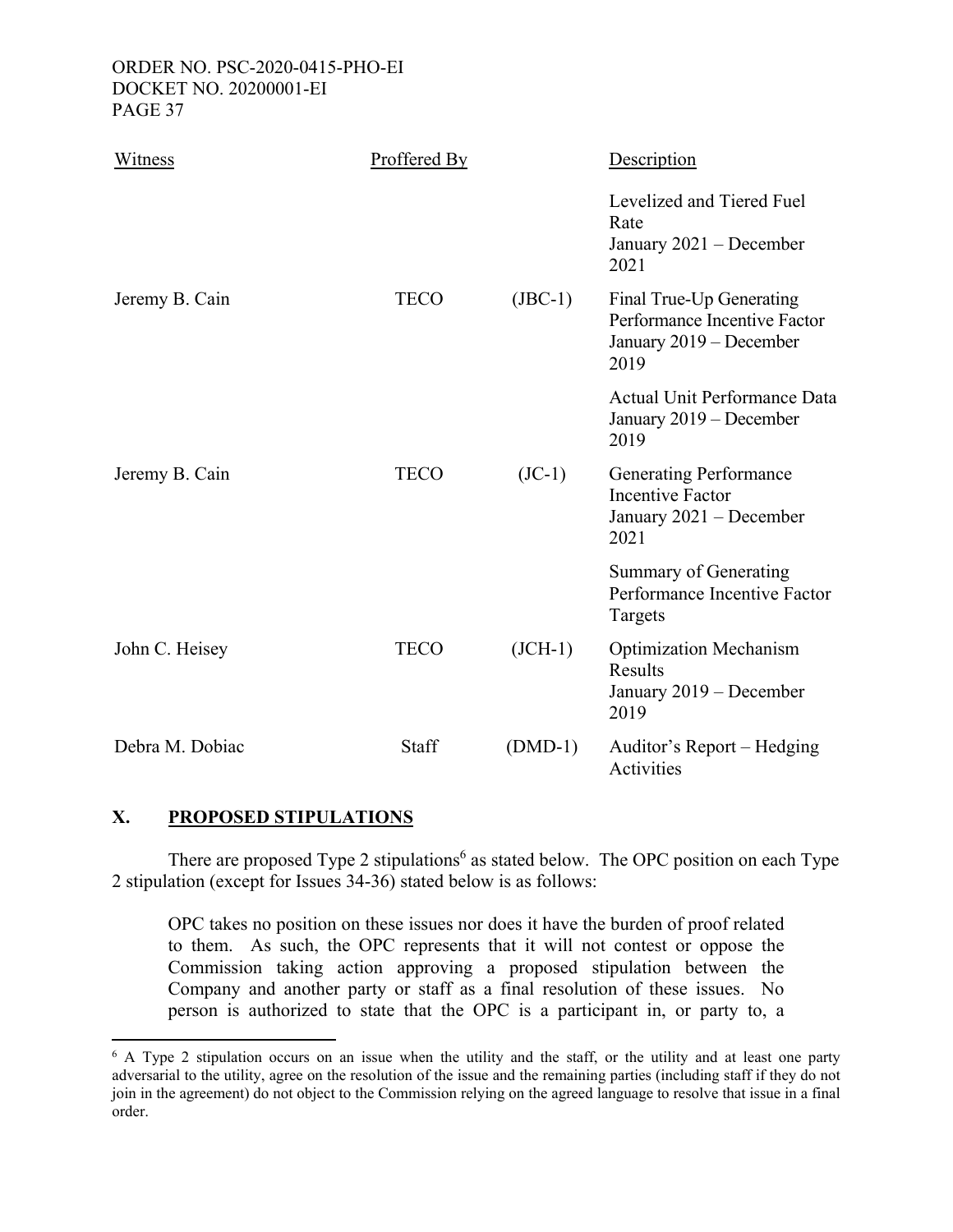| Witness         | Proffered By |            | Description                                                                                 |
|-----------------|--------------|------------|---------------------------------------------------------------------------------------------|
|                 |              |            | Levelized and Tiered Fuel<br>Rate<br>January 2021 – December<br>2021                        |
| Jeremy B. Cain  | <b>TECO</b>  | $($ JBC-1) | Final True-Up Generating<br>Performance Incentive Factor<br>January 2019 - December<br>2019 |
|                 |              |            | <b>Actual Unit Performance Data</b><br>January 2019 – December<br>2019                      |
| Jeremy B. Cain  | <b>TECO</b>  | $(JC-1)$   | <b>Generating Performance</b><br><b>Incentive Factor</b><br>January 2021 - December<br>2021 |
|                 |              |            | Summary of Generating<br>Performance Incentive Factor<br>Targets                            |
| John C. Heisey  | <b>TECO</b>  | $(ICH-1)$  | <b>Optimization Mechanism</b><br>Results<br>January 2019 – December<br>2019                 |
| Debra M. Dobiac | Staff        | $(DMD-1)$  | Auditor's Report – Hedging<br>Activities                                                    |

# **X. PROPOSED STIPULATIONS**

There are proposed Type 2 stipulations<sup>6</sup> as stated below. The OPC position on each Type 2 stipulation (except for Issues 34-36) stated below is as follows:

OPC takes no position on these issues nor does it have the burden of proof related to them. As such, the OPC represents that it will not contest or oppose the Commission taking action approving a proposed stipulation between the Company and another party or staff as a final resolution of these issues. No person is authorized to state that the OPC is a participant in, or party to, a

<sup>&</sup>lt;sup>6</sup> A Type 2 stipulation occurs on an issue when the utility and the staff, or the utility and at least one party adversarial to the utility, agree on the resolution of the issue and the remaining parties (including staff if they do not join in the agreement) do not object to the Commission relying on the agreed language to resolve that issue in a final order.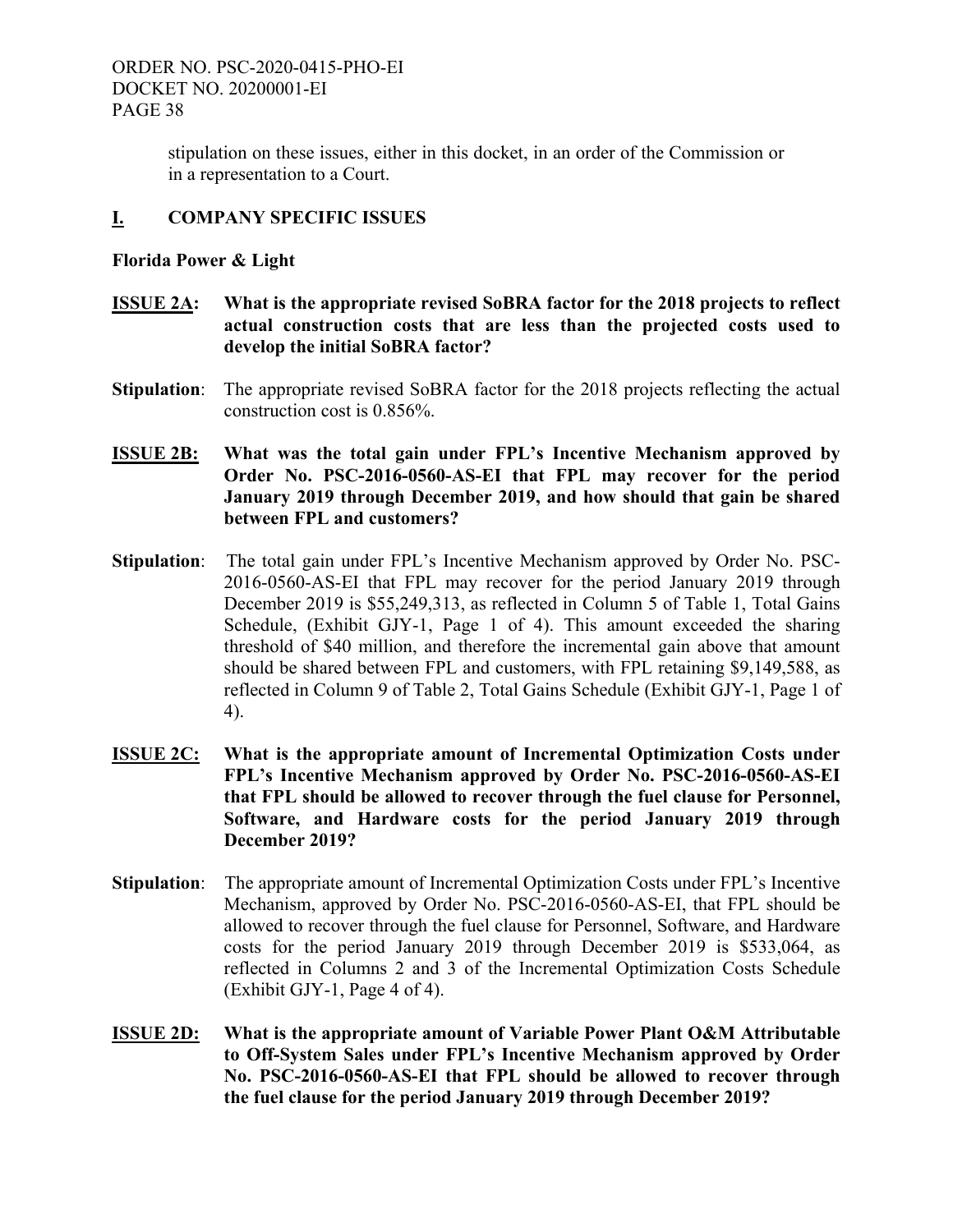stipulation on these issues, either in this docket, in an order of the Commission or in a representation to a Court.

# **I. COMPANY SPECIFIC ISSUES**

# **Florida Power & Light**

- **ISSUE 2A: What is the appropriate revised SoBRA factor for the 2018 projects to reflect actual construction costs that are less than the projected costs used to develop the initial SoBRA factor?**
- **Stipulation:** The appropriate revised SoBRA factor for the 2018 projects reflecting the actual construction cost is 0.856%.
- **ISSUE 2B: What was the total gain under FPL's Incentive Mechanism approved by Order No. PSC-2016-0560-AS-EI that FPL may recover for the period January 2019 through December 2019, and how should that gain be shared between FPL and customers?**
- **Stipulation**: The total gain under FPL's Incentive Mechanism approved by Order No. PSC-2016-0560-AS-EI that FPL may recover for the period January 2019 through December 2019 is \$55,249,313, as reflected in Column 5 of Table 1, Total Gains Schedule, (Exhibit GJY-1, Page 1 of 4). This amount exceeded the sharing threshold of \$40 million, and therefore the incremental gain above that amount should be shared between FPL and customers, with FPL retaining \$9,149,588, as reflected in Column 9 of Table 2, Total Gains Schedule (Exhibit GJY-1, Page 1 of 4).
- **ISSUE 2C: What is the appropriate amount of Incremental Optimization Costs under FPL's Incentive Mechanism approved by Order No. PSC-2016-0560-AS-EI that FPL should be allowed to recover through the fuel clause for Personnel, Software, and Hardware costs for the period January 2019 through December 2019?**
- **Stipulation**: The appropriate amount of Incremental Optimization Costs under FPL's Incentive Mechanism, approved by Order No. PSC-2016-0560-AS-EI, that FPL should be allowed to recover through the fuel clause for Personnel, Software, and Hardware costs for the period January 2019 through December 2019 is \$533,064, as reflected in Columns 2 and 3 of the Incremental Optimization Costs Schedule (Exhibit GJY-1, Page 4 of 4).
- **ISSUE 2D: What is the appropriate amount of Variable Power Plant O&M Attributable to Off-System Sales under FPL's Incentive Mechanism approved by Order No. PSC-2016-0560-AS-EI that FPL should be allowed to recover through the fuel clause for the period January 2019 through December 2019?**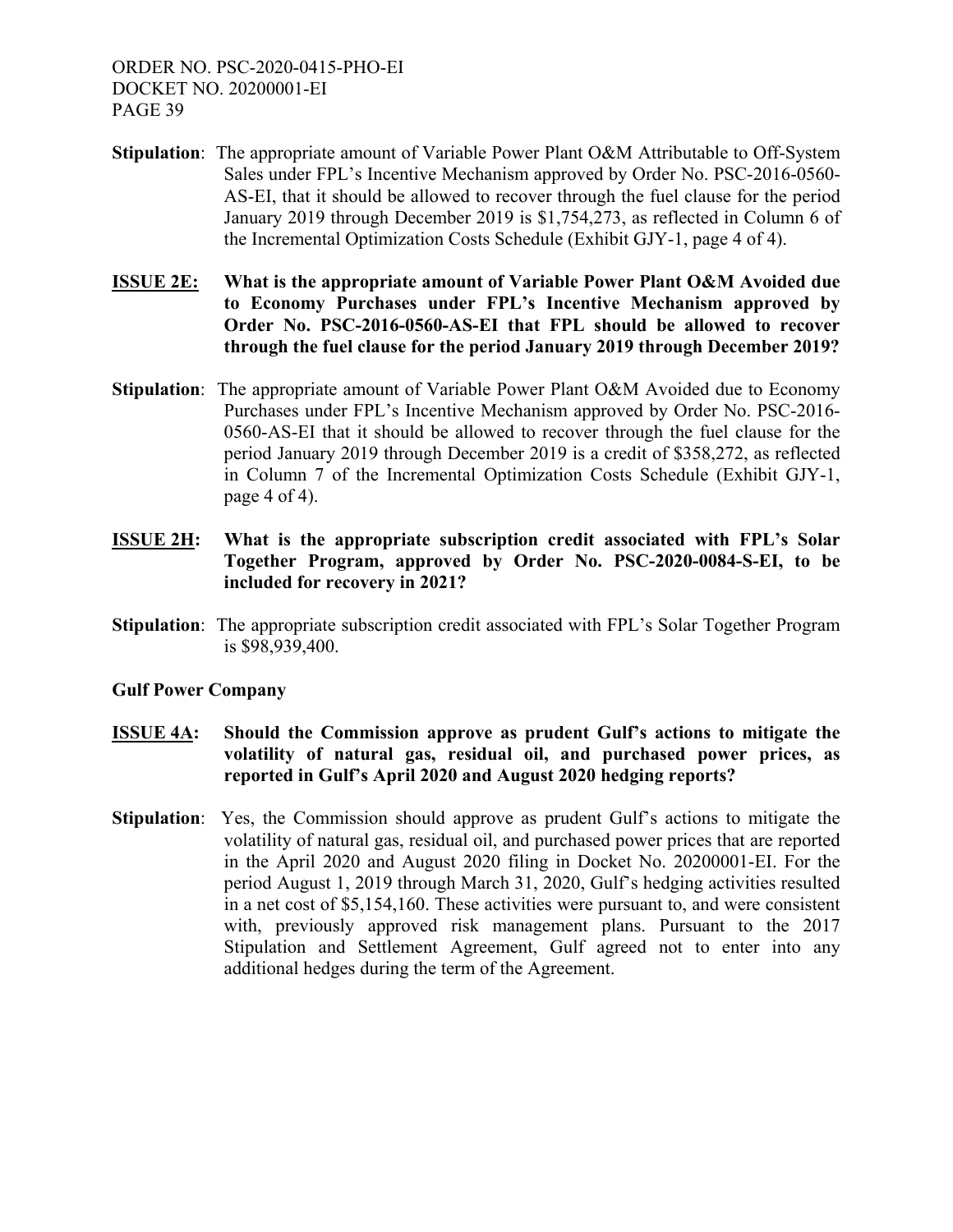- **Stipulation**: The appropriate amount of Variable Power Plant O&M Attributable to Off-System Sales under FPL's Incentive Mechanism approved by Order No. PSC-2016-0560- AS-EI, that it should be allowed to recover through the fuel clause for the period January 2019 through December 2019 is \$1,754,273, as reflected in Column 6 of the Incremental Optimization Costs Schedule (Exhibit GJY-1, page 4 of 4).
- **ISSUE 2E: What is the appropriate amount of Variable Power Plant O&M Avoided due to Economy Purchases under FPL's Incentive Mechanism approved by Order No. PSC-2016-0560-AS-EI that FPL should be allowed to recover through the fuel clause for the period January 2019 through December 2019?**
- **Stipulation**: The appropriate amount of Variable Power Plant O&M Avoided due to Economy Purchases under FPL's Incentive Mechanism approved by Order No. PSC-2016- 0560-AS-EI that it should be allowed to recover through the fuel clause for the period January 2019 through December 2019 is a credit of \$358,272, as reflected in Column 7 of the Incremental Optimization Costs Schedule (Exhibit GJY-1, page 4 of 4).
- **ISSUE 2H: What is the appropriate subscription credit associated with FPL's Solar Together Program, approved by Order No. PSC-2020-0084-S-EI, to be included for recovery in 2021?**
- **Stipulation:** The appropriate subscription credit associated with FPL's Solar Together Program is \$98,939,400.

# **Gulf Power Company**

- **ISSUE 4A: Should the Commission approve as prudent Gulf's actions to mitigate the volatility of natural gas, residual oil, and purchased power prices, as reported in Gulf's April 2020 and August 2020 hedging reports?**
- **Stipulation**: Yes, the Commission should approve as prudent Gulf's actions to mitigate the volatility of natural gas, residual oil, and purchased power prices that are reported in the April 2020 and August 2020 filing in Docket No. 20200001-EI. For the period August 1, 2019 through March 31, 2020, Gulf's hedging activities resulted in a net cost of \$5,154,160. These activities were pursuant to, and were consistent with, previously approved risk management plans. Pursuant to the 2017 Stipulation and Settlement Agreement, Gulf agreed not to enter into any additional hedges during the term of the Agreement.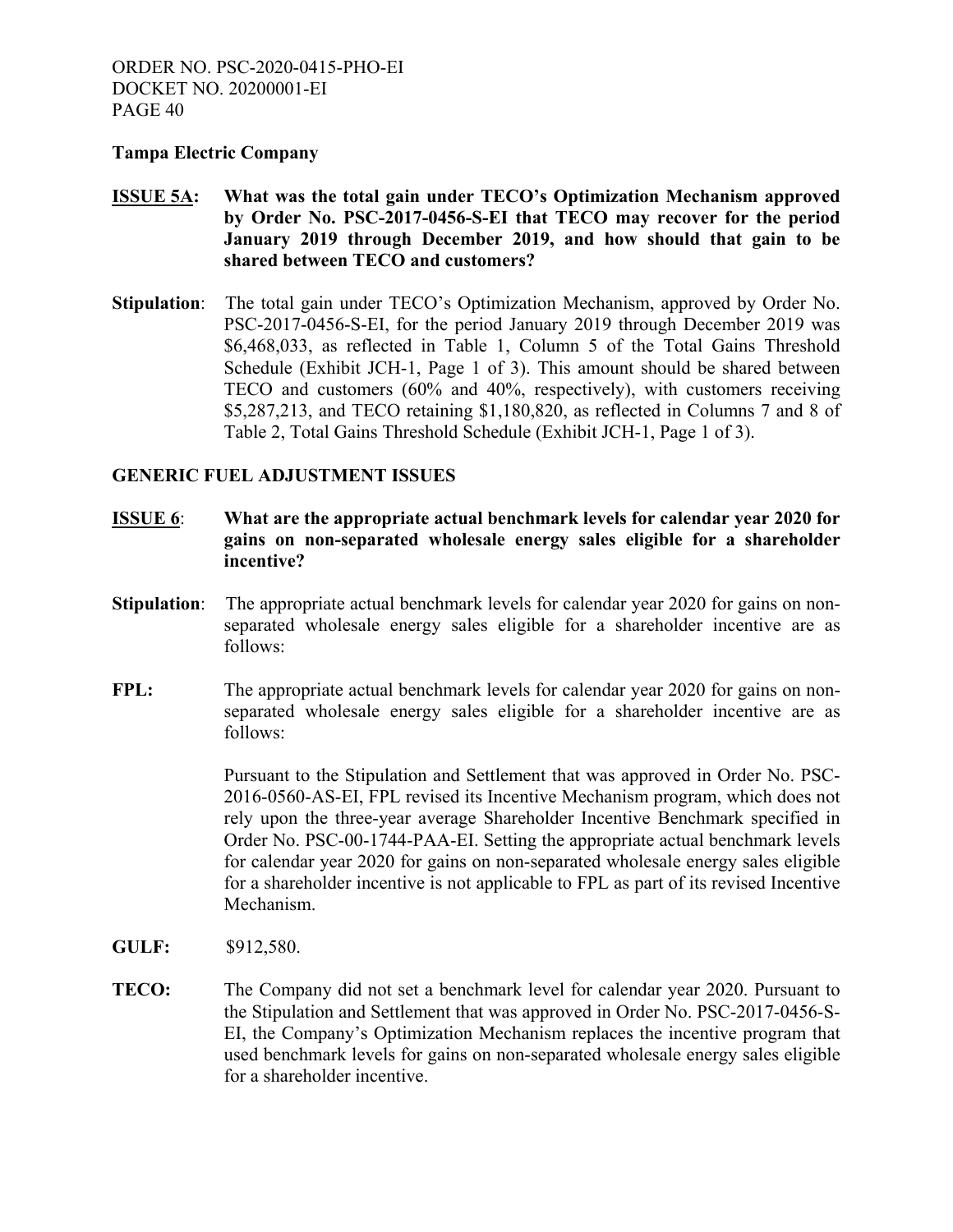#### **Tampa Electric Company**

# **ISSUE 5A: What was the total gain under TECO's Optimization Mechanism approved by Order No. PSC-2017-0456-S-EI that TECO may recover for the period January 2019 through December 2019, and how should that gain to be shared between TECO and customers?**

**Stipulation**: The total gain under TECO's Optimization Mechanism, approved by Order No. PSC-2017-0456-S-EI, for the period January 2019 through December 2019 was \$6,468,033, as reflected in Table 1, Column 5 of the Total Gains Threshold Schedule (Exhibit JCH-1, Page 1 of 3). This amount should be shared between TECO and customers (60% and 40%, respectively), with customers receiving \$5,287,213, and TECO retaining \$1,180,820, as reflected in Columns 7 and 8 of Table 2, Total Gains Threshold Schedule (Exhibit JCH-1, Page 1 of 3).

#### **GENERIC FUEL ADJUSTMENT ISSUES**

- **ISSUE 6**: **What are the appropriate actual benchmark levels for calendar year 2020 for gains on non-separated wholesale energy sales eligible for a shareholder incentive?**
- **Stipulation:** The appropriate actual benchmark levels for calendar year 2020 for gains on non separated wholesale energy sales eligible for a shareholder incentive are as follows:
- **FPL:** The appropriate actual benchmark levels for calendar year 2020 for gains on nonseparated wholesale energy sales eligible for a shareholder incentive are as follows:

 Pursuant to the Stipulation and Settlement that was approved in Order No. PSC-2016-0560-AS-EI, FPL revised its Incentive Mechanism program, which does not rely upon the three-year average Shareholder Incentive Benchmark specified in Order No. PSC-00-1744-PAA-EI. Setting the appropriate actual benchmark levels for calendar year 2020 for gains on non-separated wholesale energy sales eligible for a shareholder incentive is not applicable to FPL as part of its revised Incentive Mechanism.

- **GULF:** \$912,580.
- **TECO:** The Company did not set a benchmark level for calendar year 2020. Pursuant to the Stipulation and Settlement that was approved in Order No. PSC-2017-0456-S-EI, the Company's Optimization Mechanism replaces the incentive program that used benchmark levels for gains on non-separated wholesale energy sales eligible for a shareholder incentive.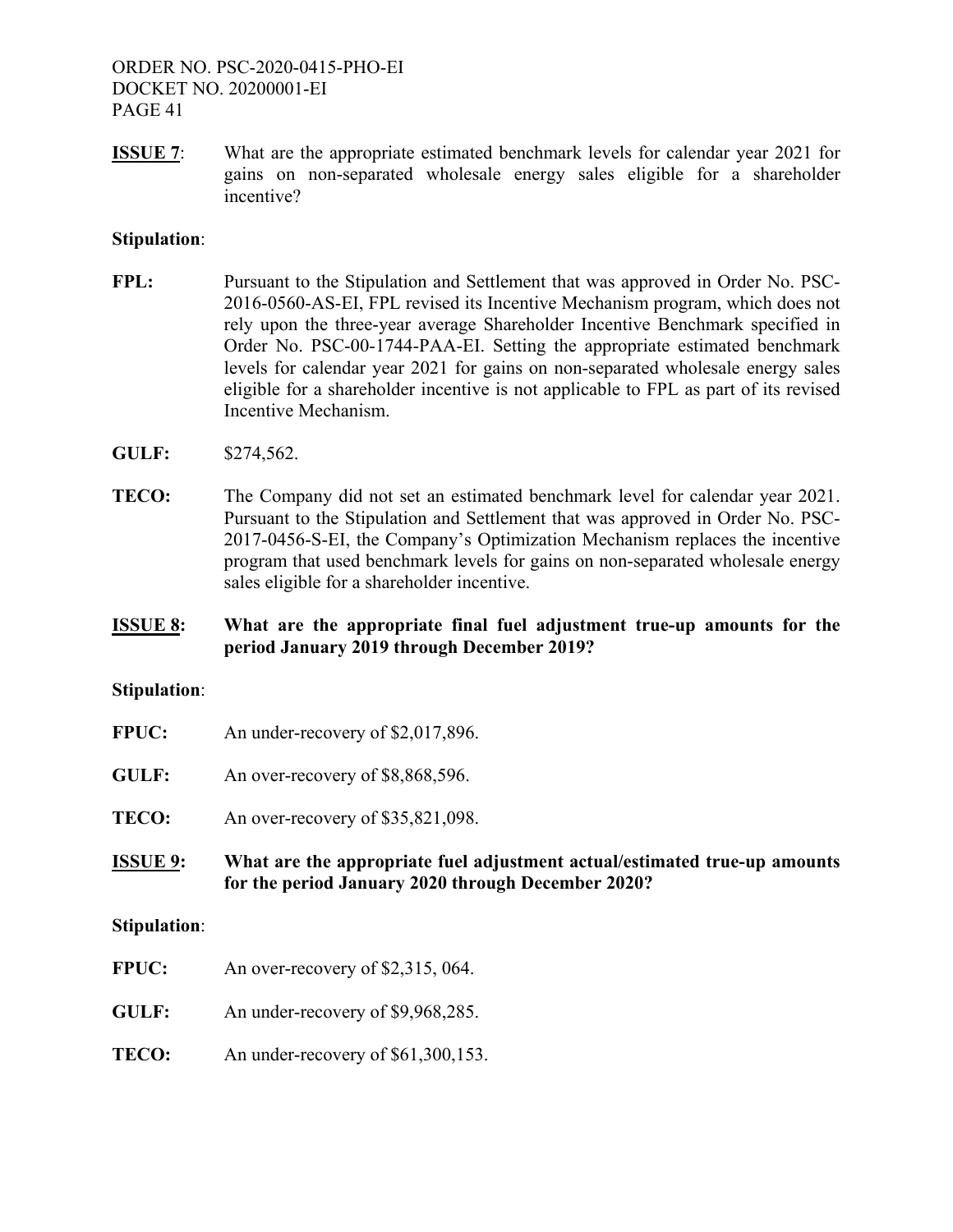**ISSUE 7:** What are the appropriate estimated benchmark levels for calendar year 2021 for gains on non-separated wholesale energy sales eligible for a shareholder incentive?

#### **Stipulation**:

- FPL: Pursuant to the Stipulation and Settlement that was approved in Order No. PSC-2016-0560-AS-EI, FPL revised its Incentive Mechanism program, which does not rely upon the three-year average Shareholder Incentive Benchmark specified in Order No. PSC-00-1744-PAA-EI. Setting the appropriate estimated benchmark levels for calendar year 2021 for gains on non-separated wholesale energy sales eligible for a shareholder incentive is not applicable to FPL as part of its revised Incentive Mechanism.
- **GULF:** \$274,562.
- **TECO:** The Company did not set an estimated benchmark level for calendar year 2021. Pursuant to the Stipulation and Settlement that was approved in Order No. PSC-2017-0456-S-EI, the Company's Optimization Mechanism replaces the incentive program that used benchmark levels for gains on non-separated wholesale energy sales eligible for a shareholder incentive.
- **ISSUE 8: What are the appropriate final fuel adjustment true-up amounts for the period January 2019 through December 2019?**

#### **Stipulation**:

- **FPUC:** An under-recovery of \$2,017,896.
- GULF: An over-recovery of \$8,868,596.
- **TECO:** An over-recovery of \$35,821,098.
- **ISSUE 9: What are the appropriate fuel adjustment actual/estimated true-up amounts for the period January 2020 through December 2020?**

#### **Stipulation**:

- **FPUC:** An over-recovery of \$2,315, 064.
- **GULF:** An under-recovery of \$9,968,285.
- **TECO:** An under-recovery of \$61,300,153.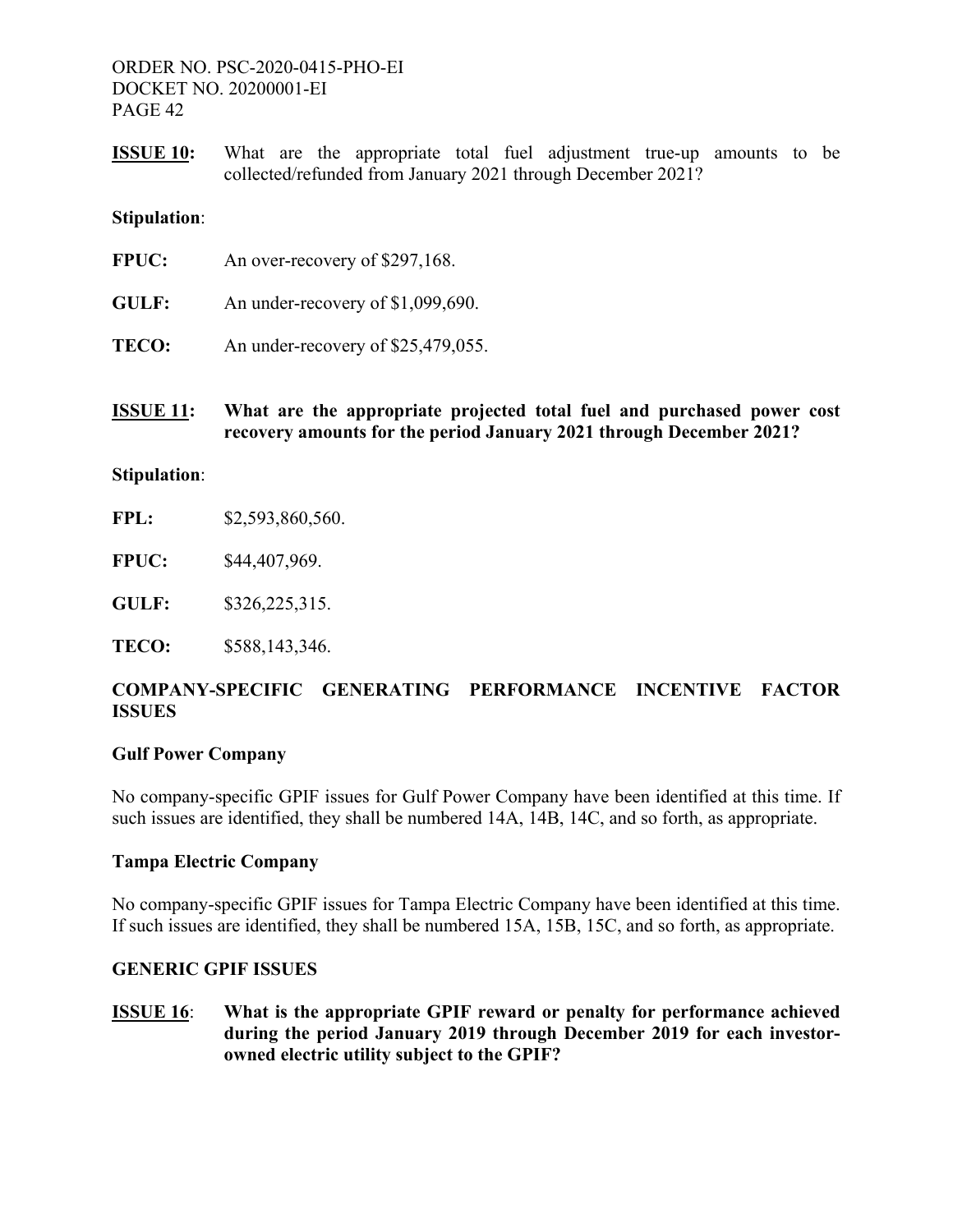**ISSUE 10:** What are the appropriate total fuel adjustment true-up amounts to be collected/refunded from January 2021 through December 2021?

#### **Stipulation**:

| <b>FPUC:</b> | An over-recovery of \$297,168.     |
|--------------|------------------------------------|
| GULF:        | An under-recovery of \$1,099,690.  |
| TECO:        | An under-recovery of \$25,479,055. |

**ISSUE 11: What are the appropriate projected total fuel and purchased power cost recovery amounts for the period January 2021 through December 2021?** 

#### **Stipulation**:

**FPL:** \$2,593,860,560.

**FPUC:** \$44,407,969.

**GULF:** \$326,225,315.

**TECO:** \$588,143,346.

# **COMPANY-SPECIFIC GENERATING PERFORMANCE INCENTIVE FACTOR ISSUES**

# **Gulf Power Company**

No company-specific GPIF issues for Gulf Power Company have been identified at this time. If such issues are identified, they shall be numbered 14A, 14B, 14C, and so forth, as appropriate.

# **Tampa Electric Company**

No company-specific GPIF issues for Tampa Electric Company have been identified at this time. If such issues are identified, they shall be numbered 15A, 15B, 15C, and so forth, as appropriate.

# **GENERIC GPIF ISSUES**

**ISSUE 16**: **What is the appropriate GPIF reward or penalty for performance achieved during the period January 2019 through December 2019 for each investorowned electric utility subject to the GPIF?**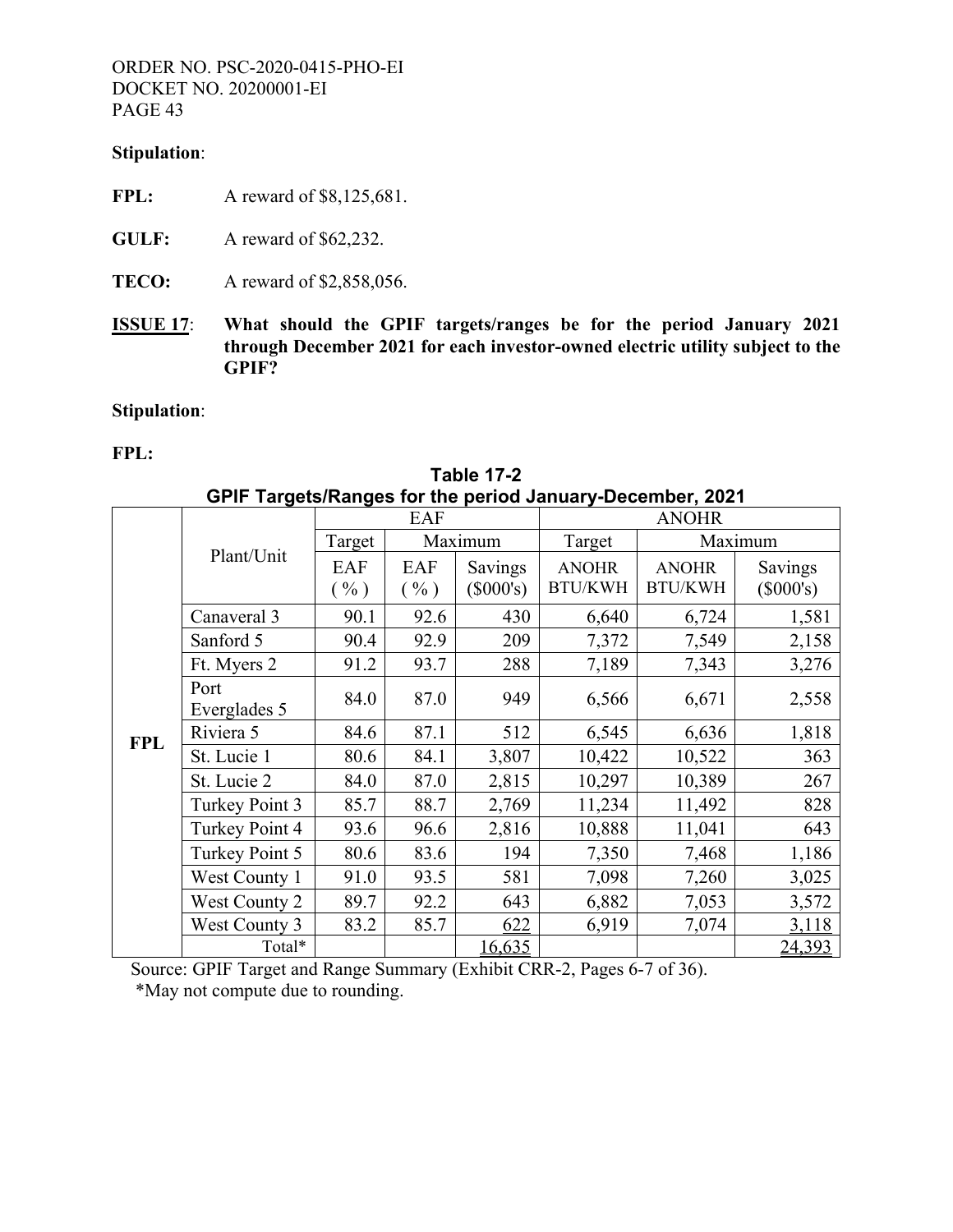#### **Stipulation**:

- **FPL:** A reward of \$8,125,681.
- **GULF:** A reward of \$62,232.
- **TECO:** A reward of \$2,858,056.
- **ISSUE 17**: **What should the GPIF targets/ranges be for the period January 2021 through December 2021 for each investor-owned electric utility subject to the GPIF?**

# **Stipulation**:

#### **FPL:**

|            |                      |                          | EAF                    |                        |                                | <b>ANOHR</b>                   |                        |  |  |
|------------|----------------------|--------------------------|------------------------|------------------------|--------------------------------|--------------------------------|------------------------|--|--|
|            |                      | Target                   |                        | Maximum                | Target                         |                                | Maximum                |  |  |
|            | Plant/Unit           | EAF<br>$\mathcal{O}_0$ ) | EAF<br>$(\frac{0}{0})$ | Savings<br>$(\$000's)$ | <b>ANOHR</b><br><b>BTU/KWH</b> | <b>ANOHR</b><br><b>BTU/KWH</b> | Savings<br>$(\$000's)$ |  |  |
|            | Canaveral 3          | 90.1                     | 92.6                   | 430                    | 6,640                          | 6,724                          | 1,581                  |  |  |
|            | Sanford 5            | 90.4                     | 92.9                   | 209                    | 7,372                          | 7,549                          | 2,158                  |  |  |
|            | Ft. Myers 2          | 91.2                     | 93.7                   | 288                    | 7,189                          | 7,343                          | 3,276                  |  |  |
|            | Port<br>Everglades 5 | 84.0                     | 87.0                   | 949                    | 6,566                          | 6,671                          | 2,558                  |  |  |
| <b>FPL</b> | Riviera 5            | 84.6                     | 87.1                   | 512                    | 6,545                          | 6,636                          | 1,818                  |  |  |
|            | St. Lucie 1          | 80.6                     | 84.1                   | 3,807                  | 10,422                         | 10,522                         | 363                    |  |  |
|            | St. Lucie 2          | 84.0                     | 87.0                   | 2,815                  | 10,297                         | 10,389                         | 267                    |  |  |
|            | Turkey Point 3       | 85.7                     | 88.7                   | 2,769                  | 11,234                         | 11,492                         | 828                    |  |  |
|            | Turkey Point 4       | 93.6                     | 96.6                   | 2,816                  | 10,888                         | 11,041                         | 643                    |  |  |
|            | Turkey Point 5       | 80.6                     | 83.6                   | 194                    | 7,350                          | 7,468                          | 1,186                  |  |  |
|            | West County 1        | 91.0                     | 93.5                   | 581                    | 7,098                          | 7,260                          | 3,025                  |  |  |
|            | West County 2        | 89.7                     | 92.2                   | 643                    | 6,882                          | 7,053                          | 3,572                  |  |  |
|            | West County 3        | 83.2                     | 85.7                   | 622                    | 6,919                          | 7,074                          | 3,118                  |  |  |
|            | Total*               |                          |                        | 16,635                 |                                |                                | 24,393                 |  |  |

**Table 17-2 GPIF Targets/Ranges for the period January-December, 2021**

 Source: GPIF Target and Range Summary (Exhibit CRR-2, Pages 6-7 of 36). \*May not compute due to rounding.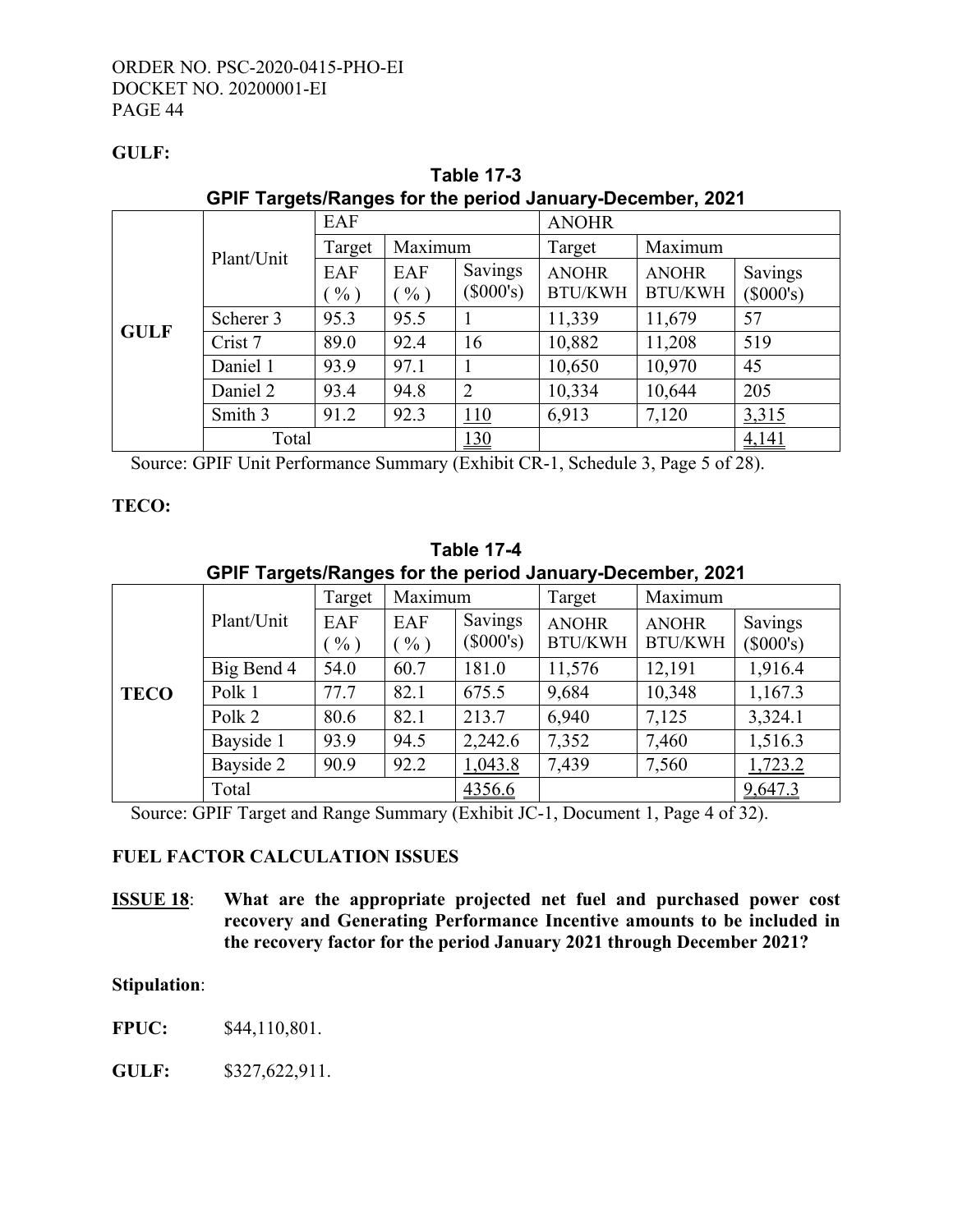# **GULF:**

| GPIF Targets/Ranges for the period January-December, 2021 |            |               |               |                        |                                |                                |                        |
|-----------------------------------------------------------|------------|---------------|---------------|------------------------|--------------------------------|--------------------------------|------------------------|
|                                                           |            | EAF           |               |                        | <b>ANOHR</b>                   |                                |                        |
|                                                           | Plant/Unit | Target        | Maximum       |                        | Target                         | Maximum                        |                        |
|                                                           |            | EAF<br>$\%$ ) | EAF<br>$\%$ ) | Savings<br>$(\$000's)$ | <b>ANOHR</b><br><b>BTU/KWH</b> | <b>ANOHR</b><br><b>BTU/KWH</b> | Savings<br>$(\$000's)$ |
| <b>GULF</b>                                               | Scherer 3  | 95.3          | 95.5          |                        | 11,339                         | 11,679                         | 57                     |
|                                                           | Crist 7    | 89.0          | 92.4          | 16                     | 10,882                         | 11,208                         | 519                    |
|                                                           | Daniel 1   | 93.9          | 97.1          |                        | 10,650                         | 10,970                         | 45                     |
|                                                           | Daniel 2   | 93.4          | 94.8          | $\overline{2}$         | 10,334                         | 10,644                         | 205                    |
|                                                           | Smith 3    | 91.2          | 92.3          | 110                    | 6,913                          | 7,120                          | 3,315                  |
|                                                           | Total      |               |               | 130                    |                                |                                | 4,141                  |

**Table 17-3 GPIF Targets/Ranges for the period January-December, 2021**

Source: GPIF Unit Performance Summary (Exhibit CR-1, Schedule 3, Page 5 of 28).

# **TECO:**

**Table 17-4 GPIF Targets/Ranges for the period January-December, 2021**

|             |            | Target        | Maximum       |                        | Target                         | Maximum                        |                        |
|-------------|------------|---------------|---------------|------------------------|--------------------------------|--------------------------------|------------------------|
|             | Plant/Unit | EAF<br>$\%$ ) | EAF<br>$\%$ ) | Savings<br>$(\$000's)$ | <b>ANOHR</b><br><b>BTU/KWH</b> | <b>ANOHR</b><br><b>BTU/KWH</b> | Savings<br>$(\$000's)$ |
|             | Big Bend 4 | 54.0          | 60.7          | 181.0                  | 11,576                         | 12,191                         | 1,916.4                |
| <b>TECO</b> | Polk 1     | 77.7          | 82.1          | 675.5                  | 9,684                          | 10,348                         | 1,167.3                |
|             | Polk 2     | 80.6          | 82.1          | 213.7                  | 6,940                          | 7,125                          | 3,324.1                |
|             | Bayside 1  | 93.9          | 94.5          | 2,242.6                | 7,352                          | 7,460                          | 1,516.3                |
|             | Bayside 2  | 90.9          | 92.2          | 1,043.8                | 7,439                          | 7,560                          | 1,723.2                |
|             | Total      |               |               | 4356.6                 |                                |                                | 9,647.3                |

Source: GPIF Target and Range Summary (Exhibit JC-1, Document 1, Page 4 of 32).

# **FUEL FACTOR CALCULATION ISSUES**

**ISSUE 18**: **What are the appropriate projected net fuel and purchased power cost recovery and Generating Performance Incentive amounts to be included in the recovery factor for the period January 2021 through December 2021?**

# **Stipulation**:

**FPUC:** \$44,110,801.

**GULF:** \$327,622,911.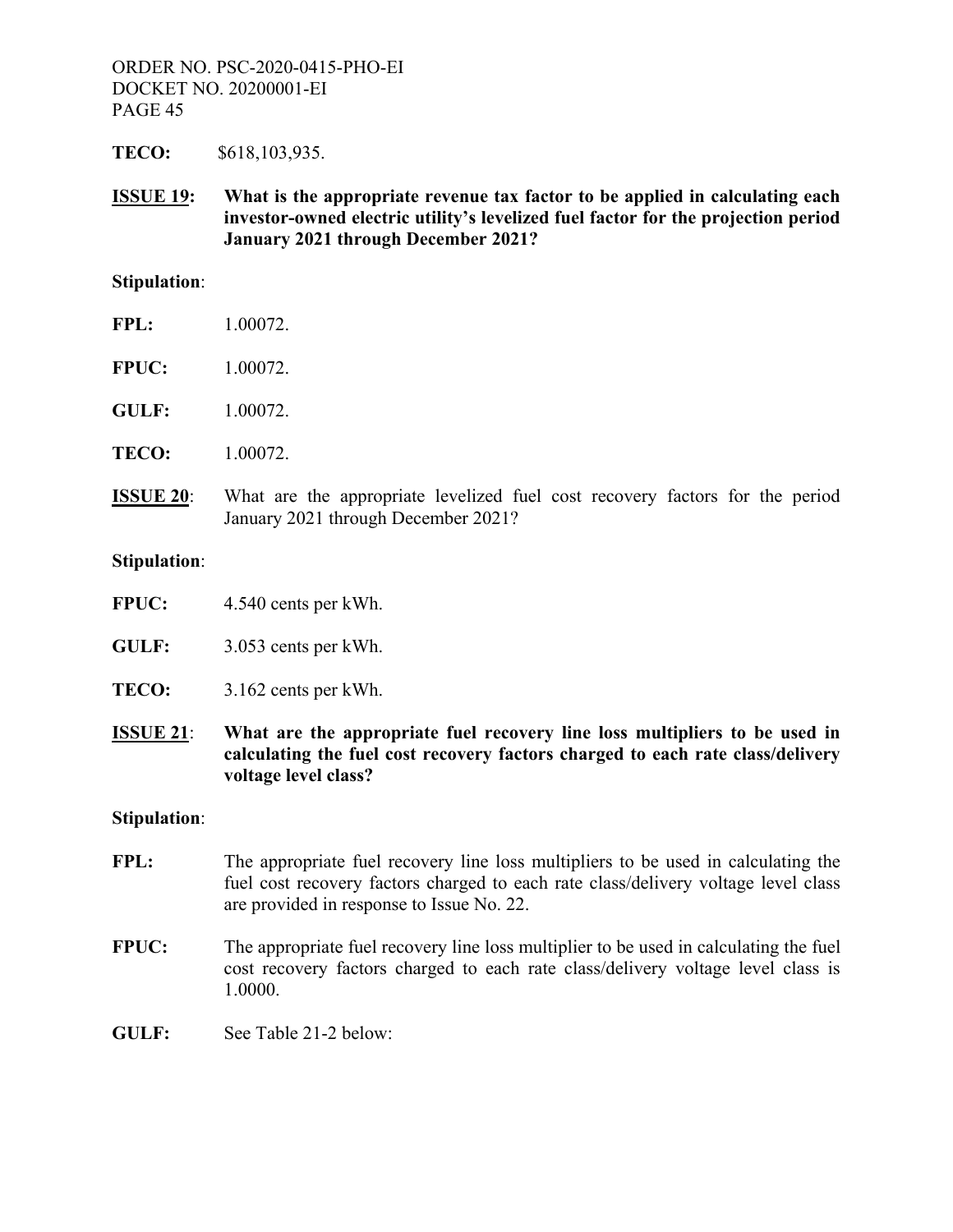**TECO:** \$618,103,935.

**ISSUE 19: What is the appropriate revenue tax factor to be applied in calculating each investor-owned electric utility's levelized fuel factor for the projection period January 2021 through December 2021?** 

#### **Stipulation**:

| FPL: | 1.00072. |
|------|----------|
|      |          |

- **FPUC:** 1.00072.
- **GULF:** 1.00072.
- **TECO:** 1.00072.
- **ISSUE 20**: What are the appropriate levelized fuel cost recovery factors for the period January 2021 through December 2021?

#### **Stipulation**:

- **FPUC:** 4.540 cents per kWh.
- **GULF:** 3.053 cents per kWh.
- **TECO:** 3.162 cents per kWh.
- **ISSUE 21**: **What are the appropriate fuel recovery line loss multipliers to be used in calculating the fuel cost recovery factors charged to each rate class/delivery voltage level class?**

#### **Stipulation**:

- FPL: The appropriate fuel recovery line loss multipliers to be used in calculating the fuel cost recovery factors charged to each rate class/delivery voltage level class are provided in response to Issue No. 22.
- **FPUC:** The appropriate fuel recovery line loss multiplier to be used in calculating the fuel cost recovery factors charged to each rate class/delivery voltage level class is 1.0000.
- **GULF:** See Table 21-2 below: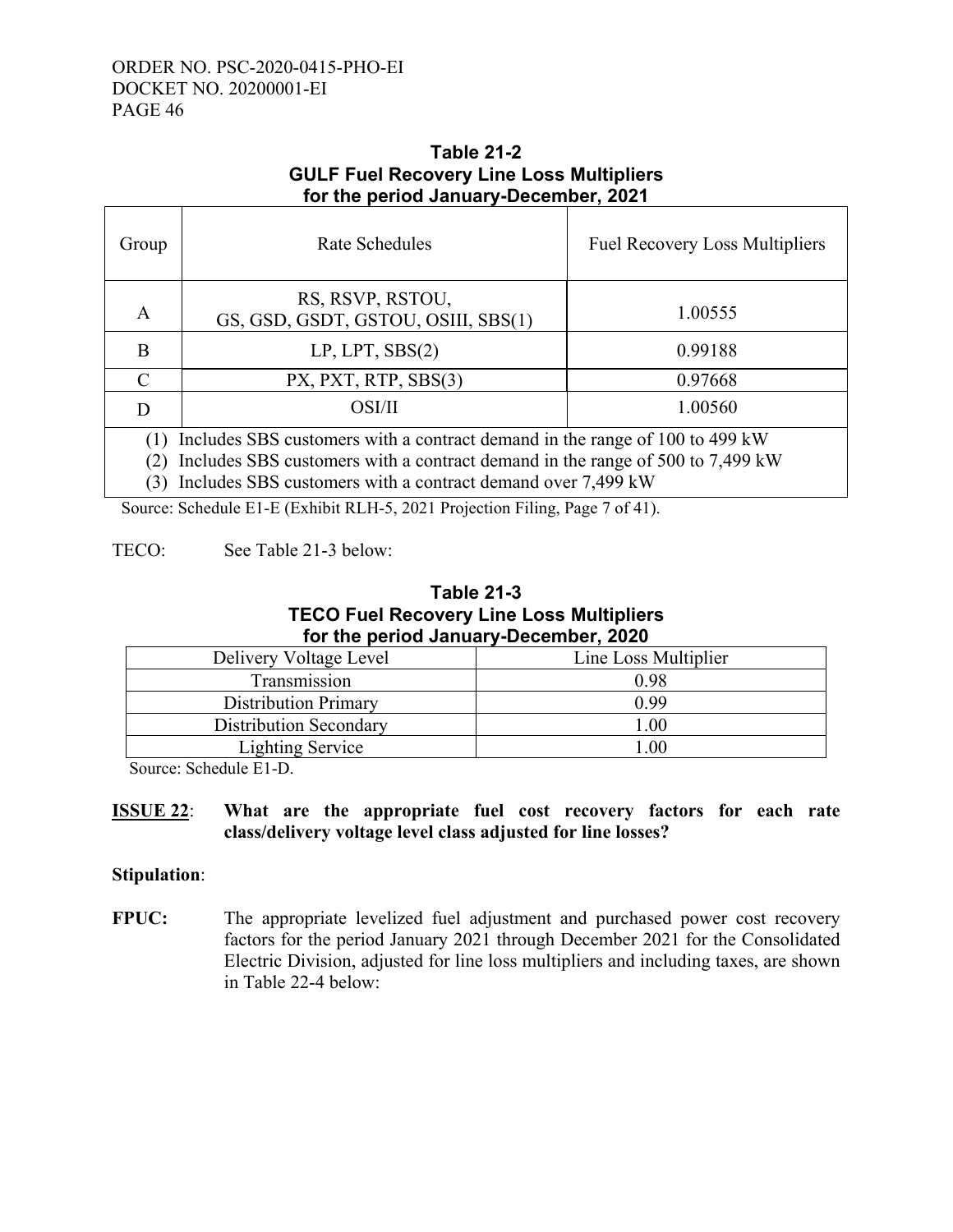#### **Table 21-2 GULF Fuel Recovery Line Loss Multipliers for the period January-December, 2021**

| Group                                                                                                                                                                                                                       | Rate Schedules                                          | <b>Fuel Recovery Loss Multipliers</b> |  |  |  |  |
|-----------------------------------------------------------------------------------------------------------------------------------------------------------------------------------------------------------------------------|---------------------------------------------------------|---------------------------------------|--|--|--|--|
| A                                                                                                                                                                                                                           | RS, RSVP, RSTOU,<br>GS, GSD, GSDT, GSTOU, OSIII, SBS(1) | 1.00555                               |  |  |  |  |
| B                                                                                                                                                                                                                           | LP, LPT, SBS(2)                                         | 0.99188                               |  |  |  |  |
| $\mathcal{C}$                                                                                                                                                                                                               | PX, PXT, RTP, SBS(3)                                    | 0.97668                               |  |  |  |  |
| D                                                                                                                                                                                                                           | OSI/II                                                  | 1.00560                               |  |  |  |  |
| Includes SBS customers with a contract demand in the range of 100 to 499 kW<br>Includes SBS customers with a contract demand in the range of 500 to 7,499 kW<br>Includes SBS customers with a contract demand over 7,499 kW |                                                         |                                       |  |  |  |  |

Source: Schedule E1-E (Exhibit RLH-5, 2021 Projection Filing, Page 7 of 41).

# TECO: See Table 21-3 below:

# **Table 21-3 TECO Fuel Recovery Line Loss Multipliers for the period January-December, 2020**

| Delivery Voltage Level        | Line Loss Multiplier |
|-------------------------------|----------------------|
| Transmission                  | 0.98                 |
| <b>Distribution Primary</b>   | 0.99                 |
| <b>Distribution Secondary</b> | .00                  |
| Lighting Service              | $\alpha$             |

Source: Schedule E1-D.

# **ISSUE 22**: **What are the appropriate fuel cost recovery factors for each rate class/delivery voltage level class adjusted for line losses?**

# **Stipulation**:

FPUC: The appropriate levelized fuel adjustment and purchased power cost recovery factors for the period January 2021 through December 2021 for the Consolidated Electric Division, adjusted for line loss multipliers and including taxes, are shown in Table 22-4 below: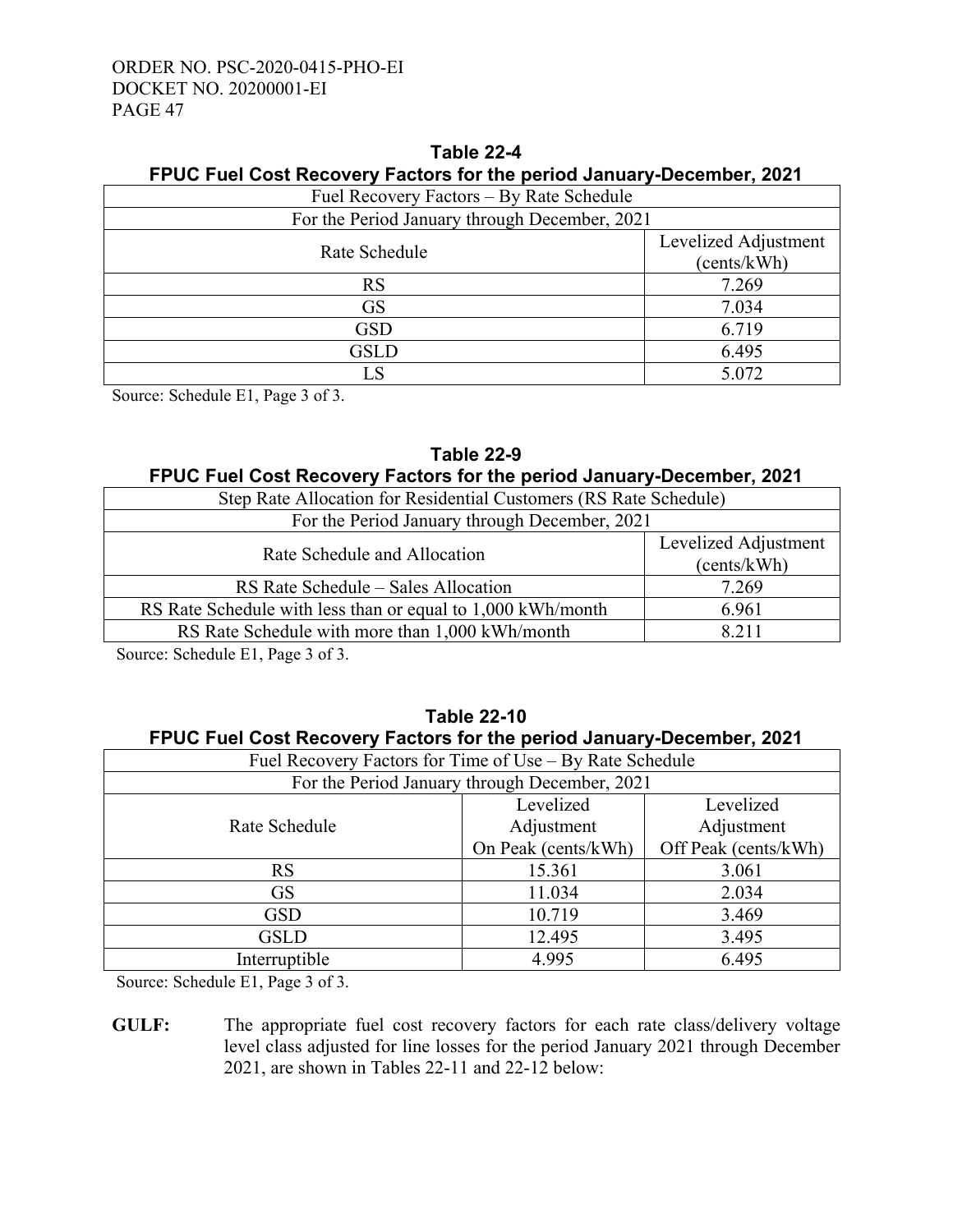| <b>FFUC FUST NOST RECOVETY FACTOLS TOF THE DEFIOU JAILMALY-DECEMBER, 2021</b> |                      |  |  |  |  |  |  |
|-------------------------------------------------------------------------------|----------------------|--|--|--|--|--|--|
| Fuel Recovery Factors – By Rate Schedule                                      |                      |  |  |  |  |  |  |
| For the Period January through December, 2021                                 |                      |  |  |  |  |  |  |
| Rate Schedule                                                                 | Levelized Adjustment |  |  |  |  |  |  |
|                                                                               | (cents/kWh)          |  |  |  |  |  |  |
| RS                                                                            | 7.269                |  |  |  |  |  |  |
| <b>GS</b>                                                                     | 7.034                |  |  |  |  |  |  |
| <b>GSD</b>                                                                    | 6.719                |  |  |  |  |  |  |
| <b>GSLD</b>                                                                   | 6.495                |  |  |  |  |  |  |
| LS                                                                            | 5.072                |  |  |  |  |  |  |

# **Table 22-4 FPUC Fuel Cost Recovery Factors for the period January-December, 2021**

Source: Schedule E1, Page 3 of 3.

# **Table 22-9**

# **FPUC Fuel Cost Recovery Factors for the period January-December, 2021**

| Step Rate Allocation for Residential Customers (RS Rate Schedule)   |       |  |
|---------------------------------------------------------------------|-------|--|
| For the Period January through December, 2021                       |       |  |
| Levelized Adjustment<br>Rate Schedule and Allocation<br>(cents/kWh) |       |  |
| RS Rate Schedule – Sales Allocation                                 | 7.269 |  |
| RS Rate Schedule with less than or equal to 1,000 kWh/month         | 6.961 |  |
| RS Rate Schedule with more than 1,000 kWh/month                     | 8 211 |  |
|                                                                     |       |  |

Source: Schedule E1, Page 3 of 3.

# **Table 22-10 FPUC Fuel Cost Recovery Factors for the period January-December, 2021**

| Fuel Recovery Factors for Time of Use – By Rate Schedule |                     |                      |  |  |  |
|----------------------------------------------------------|---------------------|----------------------|--|--|--|
| For the Period January through December, 2021            |                     |                      |  |  |  |
|                                                          | Levelized           | Levelized            |  |  |  |
| Rate Schedule                                            | Adjustment          | Adjustment           |  |  |  |
|                                                          | On Peak (cents/kWh) | Off Peak (cents/kWh) |  |  |  |
| <b>RS</b>                                                | 15.361<br>3.061     |                      |  |  |  |
| <b>GS</b>                                                | 2.034<br>11.034     |                      |  |  |  |
| <b>GSD</b>                                               | 3.469<br>10.719     |                      |  |  |  |
| <b>GSLD</b>                                              | 12.495<br>3.495     |                      |  |  |  |
| Interruptible                                            | 6.495<br>4.995      |                      |  |  |  |

Source: Schedule E1, Page 3 of 3.

**GULF:** The appropriate fuel cost recovery factors for each rate class/delivery voltage level class adjusted for line losses for the period January 2021 through December 2021, are shown in Tables 22-11 and 22-12 below: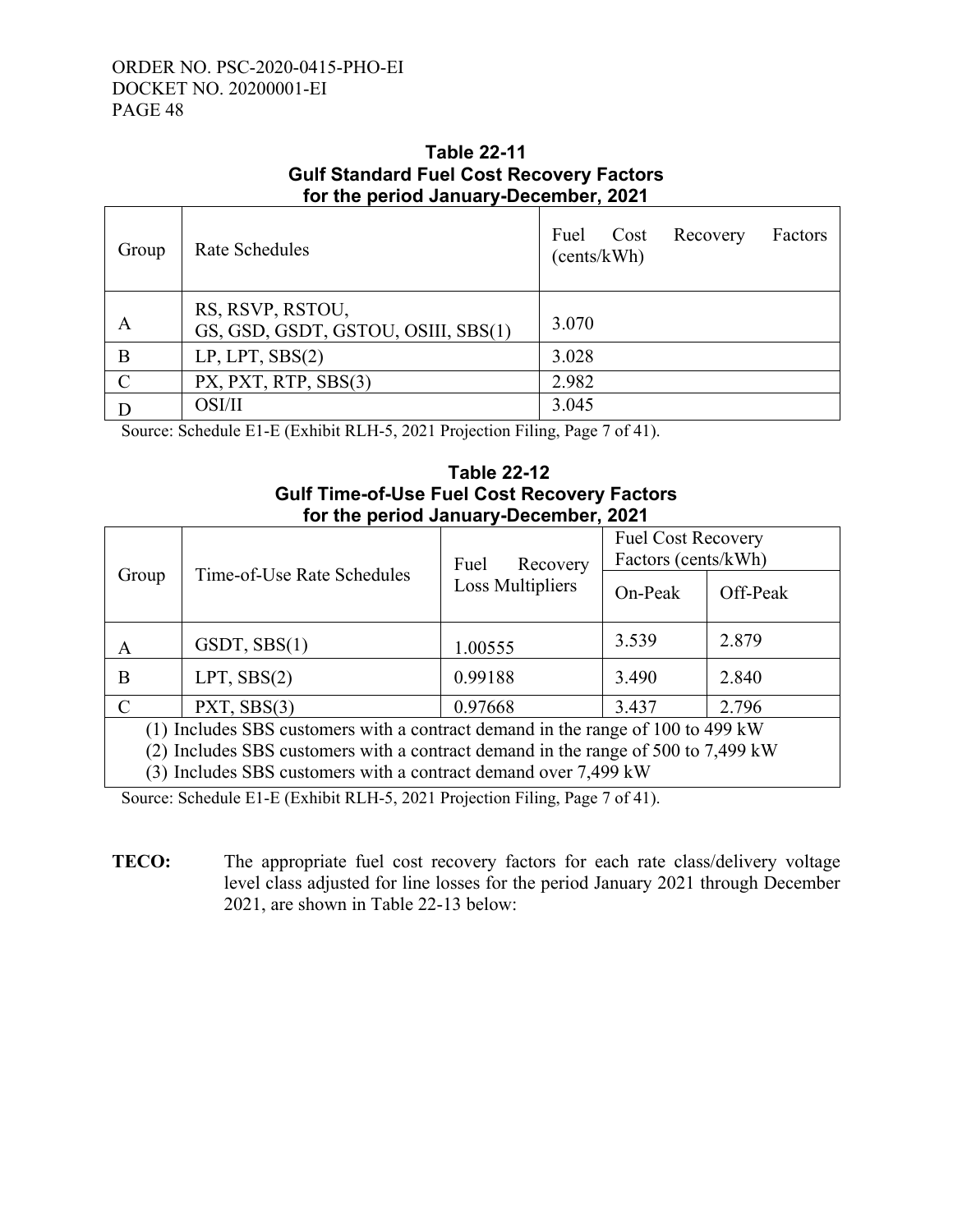Г

┑

# **Table 22-11 Gulf Standard Fuel Cost Recovery Factors for the period January-December, 2021**

| Group         | Rate Schedules                                          | Fuel<br>Factors<br>Recovery<br>Cost<br>(cents/kWh) |
|---------------|---------------------------------------------------------|----------------------------------------------------|
| А             | RS, RSVP, RSTOU,<br>GS, GSD, GSDT, GSTOU, OSIII, SBS(1) | 3.070                                              |
| B             | LP, LPT, SBS(2)                                         | 3.028                                              |
| $\mathcal{C}$ | PX, PXT, RTP, SBS(3)                                    | 2.982                                              |
|               | OSI/II                                                  | 3.045                                              |

Source: Schedule E1-E (Exhibit RLH-5, 2021 Projection Filing, Page 7 of 41).

# **Table 22-12 Gulf Time-of-Use Fuel Cost Recovery Factors for the period January-December, 2021**

|                                                                                   | Fuel<br>Recovery           |                  | <b>Fuel Cost Recovery</b><br>Factors (cents/kWh) |          |
|-----------------------------------------------------------------------------------|----------------------------|------------------|--------------------------------------------------|----------|
| Group                                                                             | Time-of-Use Rate Schedules | Loss Multipliers | On-Peak                                          | Off-Peak |
| A                                                                                 | GSDT, SBS(1)               | 1.00555          | 3.539                                            | 2.879    |
| В                                                                                 | $LPT$ , $SBS(2)$           | 0.99188          | 3.490                                            | 2.840    |
| C                                                                                 | PXT, SBS(3)                | 0.97668          | 3.437                                            | 2.796    |
| (1) Includes SBS customers with a contract demand in the range of 100 to 499 kW   |                            |                  |                                                  |          |
| (2) Includes SBS customers with a contract demand in the range of 500 to 7,499 kW |                            |                  |                                                  |          |
| (3) Includes SBS customers with a contract demand over 7,499 kW                   |                            |                  |                                                  |          |

Source: Schedule E1-E (Exhibit RLH-5, 2021 Projection Filing, Page 7 of 41).

**TECO:** The appropriate fuel cost recovery factors for each rate class/delivery voltage level class adjusted for line losses for the period January 2021 through December 2021, are shown in Table 22-13 below: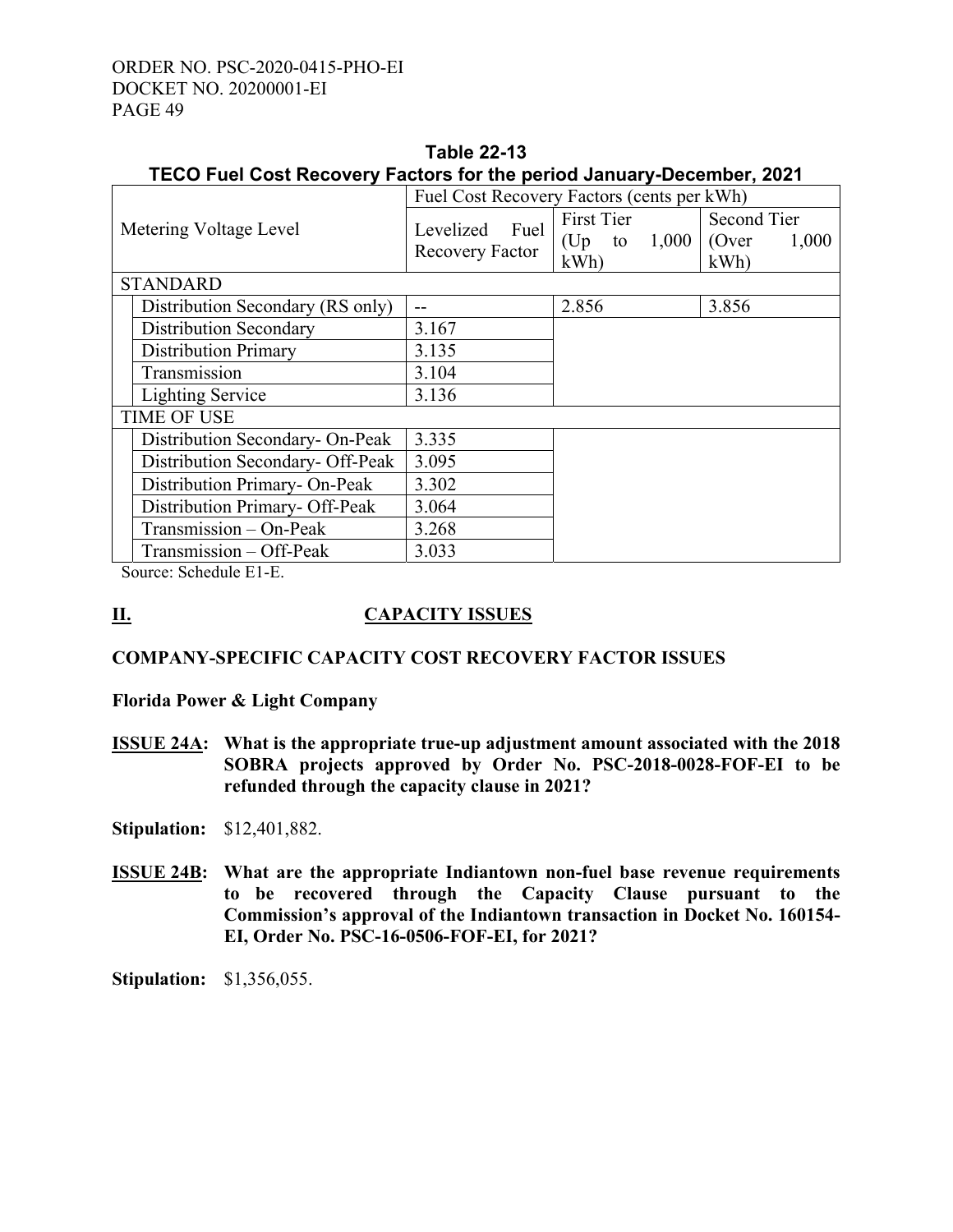| TECO Fuel Cost Recovery Factors for the period January-December, 2021 |                                            |                                       |                                      |
|-----------------------------------------------------------------------|--------------------------------------------|---------------------------------------|--------------------------------------|
|                                                                       | Fuel Cost Recovery Factors (cents per kWh) |                                       |                                      |
| Metering Voltage Level                                                | Levelized<br>Fuel<br>Recovery Factor       | First Tier<br>(Up to $1,000$ )<br>kWh | Second Tier<br>(Over<br>1,000<br>kWh |
| <b>STANDARD</b>                                                       |                                            |                                       |                                      |
| Distribution Secondary (RS only)                                      |                                            | 2.856                                 | 3.856                                |
| Distribution Secondary                                                | 3.167                                      |                                       |                                      |
| <b>Distribution Primary</b>                                           | 3.135                                      |                                       |                                      |
| Transmission                                                          | 3.104                                      |                                       |                                      |
| <b>Lighting Service</b>                                               | 3.136                                      |                                       |                                      |
| <b>TIME OF USE</b>                                                    |                                            |                                       |                                      |
| Distribution Secondary- On-Peak                                       | 3.335                                      |                                       |                                      |
| Distribution Secondary- Off-Peak                                      | 3.095                                      |                                       |                                      |
| Distribution Primary- On-Peak                                         | 3.302                                      |                                       |                                      |
| Distribution Primary- Off-Peak                                        | 3.064                                      |                                       |                                      |
| Transmission - On-Peak                                                | 3.268                                      |                                       |                                      |
| Transmission – Off-Peak                                               | 3.033                                      |                                       |                                      |

# **Table 22-13**

Source: Schedule E1-E.

# **II. CAPACITY ISSUES**

# **COMPANY-SPECIFIC CAPACITY COST RECOVERY FACTOR ISSUES**

**Florida Power & Light Company** 

**ISSUE 24A: What is the appropriate true-up adjustment amount associated with the 2018 SOBRA projects approved by Order No. PSC-2018-0028-FOF-EI to be refunded through the capacity clause in 2021?**

**Stipulation:** \$12,401,882.

**ISSUE 24B: What are the appropriate Indiantown non-fuel base revenue requirements to be recovered through the Capacity Clause pursuant to the Commission's approval of the Indiantown transaction in Docket No. 160154- EI, Order No. PSC-16-0506-FOF-EI, for 2021?** 

**Stipulation:** \$1,356,055.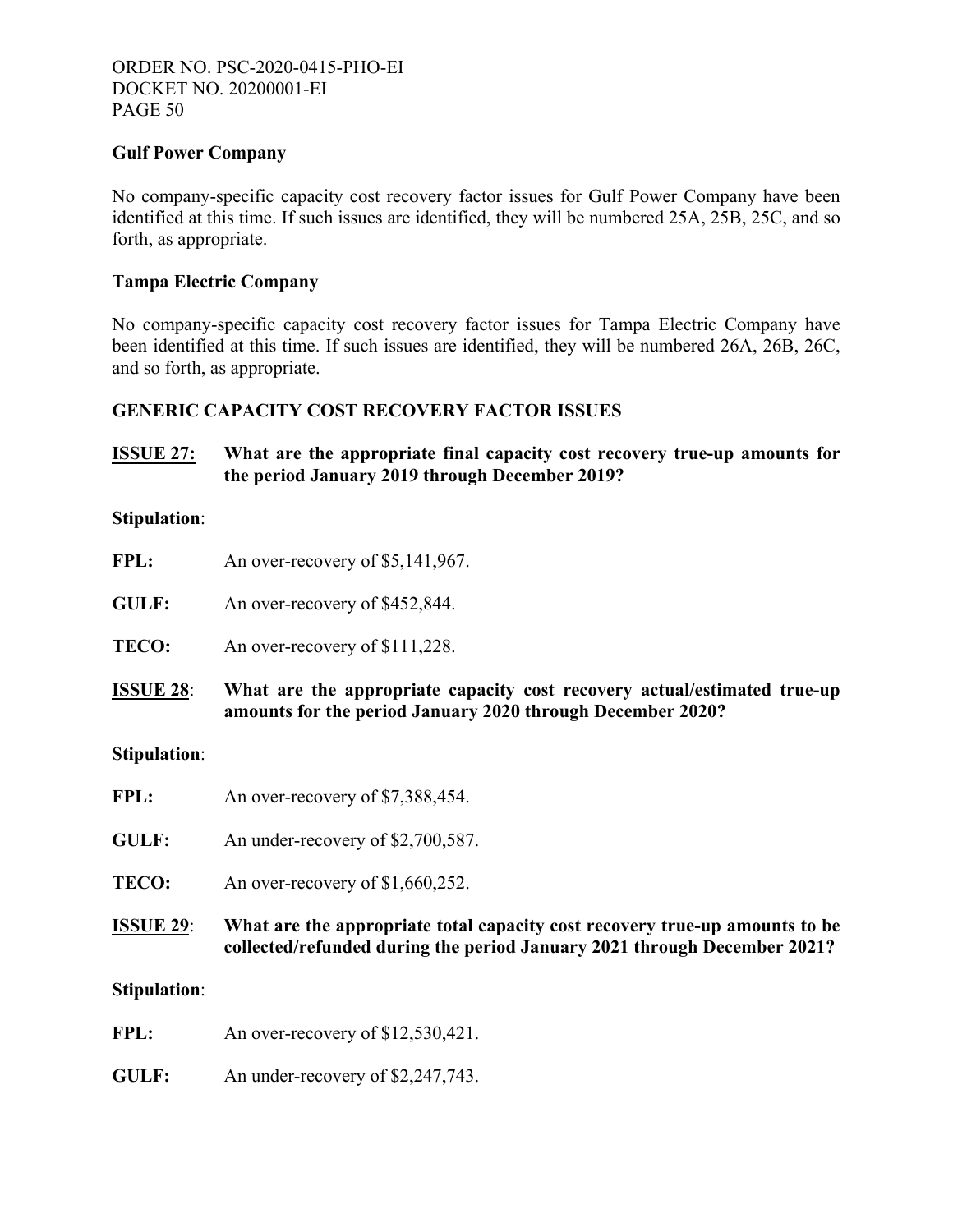# **Gulf Power Company**

No company-specific capacity cost recovery factor issues for Gulf Power Company have been identified at this time. If such issues are identified, they will be numbered 25A, 25B, 25C, and so forth, as appropriate.

# **Tampa Electric Company**

No company-specific capacity cost recovery factor issues for Tampa Electric Company have been identified at this time. If such issues are identified, they will be numbered 26A, 26B, 26C, and so forth, as appropriate.

# **GENERIC CAPACITY COST RECOVERY FACTOR ISSUES**

# **ISSUE 27: What are the appropriate final capacity cost recovery true-up amounts for the period January 2019 through December 2019?**

#### **Stipulation**:

| FPL: | An over-recovery of \$5,141,967. |
|------|----------------------------------|
|------|----------------------------------|

GULF: An over-recovery of \$452,844.

**TECO:** An over-recovery of \$111,228.

**ISSUE 28**: **What are the appropriate capacity cost recovery actual/estimated true-up amounts for the period January 2020 through December 2020?**

#### **Stipulation**:

- FPL: An over-recovery of \$7,388,454.
- **GULF:** An under-recovery of \$2,700,587.

**TECO:** An over-recovery of \$1,660,252.

**ISSUE 29**: **What are the appropriate total capacity cost recovery true-up amounts to be collected/refunded during the period January 2021 through December 2021?** 

#### **Stipulation**:

- FPL: An over-recovery of \$12,530,421.
- **GULF:** An under-recovery of \$2,247,743.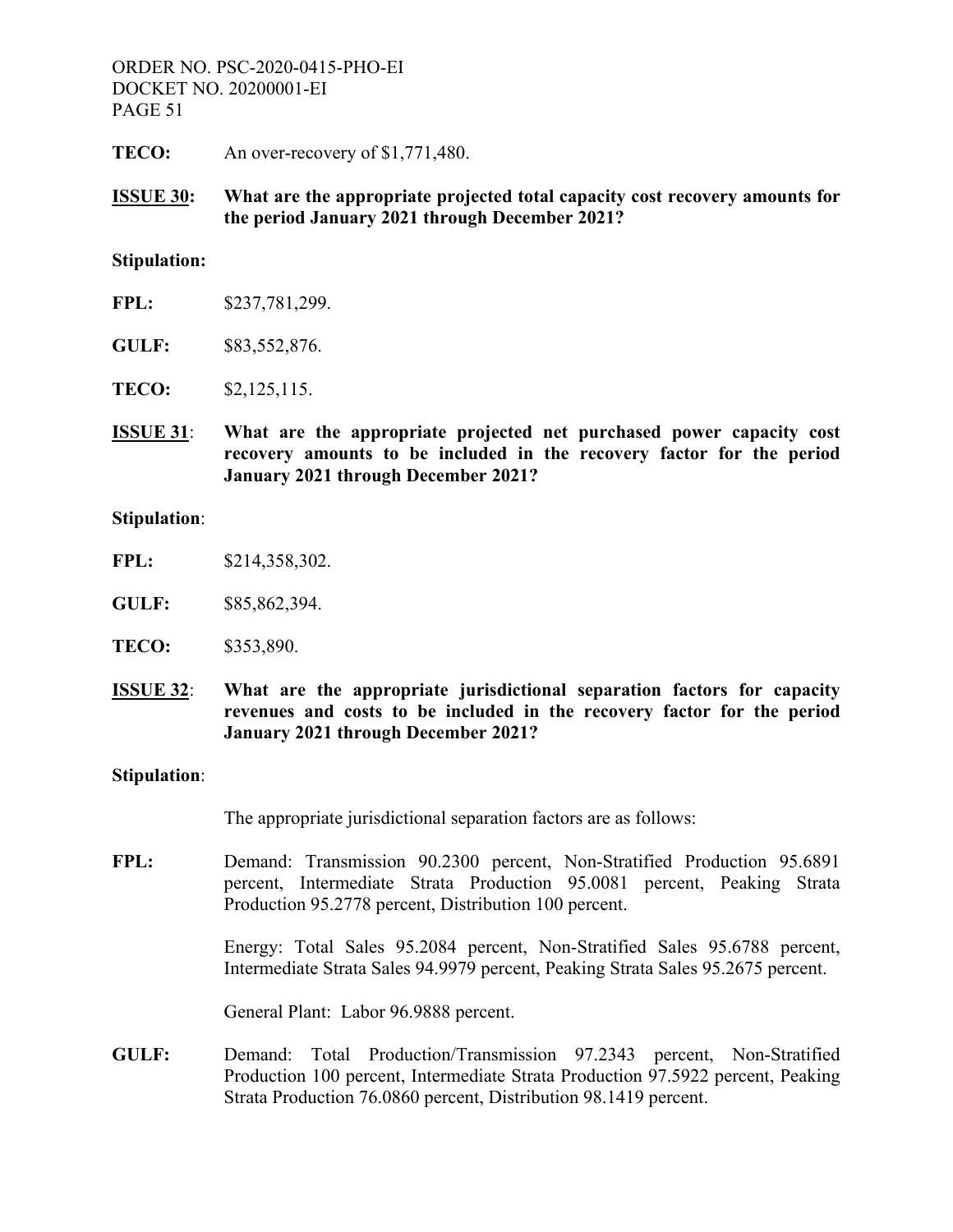**TECO:** An over-recovery of \$1,771,480.

**ISSUE 30: What are the appropriate projected total capacity cost recovery amounts for the period January 2021 through December 2021?** 

#### **Stipulation:**

- **FPL:** \$237,781,299.
- **GULF:** \$83,552,876.
- **TECO:** \$2,125,115.
- **ISSUE 31**: **What are the appropriate projected net purchased power capacity cost recovery amounts to be included in the recovery factor for the period January 2021 through December 2021?**

#### **Stipulation**:

- **FPL:** \$214,358,302.
- **GULF:** \$85,862,394.
- **TECO:** \$353,890.
- **ISSUE 32**: **What are the appropriate jurisdictional separation factors for capacity revenues and costs to be included in the recovery factor for the period January 2021 through December 2021?**

#### **Stipulation**:

The appropriate jurisdictional separation factors are as follows:

**FPL:** Demand: Transmission 90.2300 percent, Non-Stratified Production 95.6891 percent, Intermediate Strata Production 95.0081 percent, Peaking Strata Production 95.2778 percent, Distribution 100 percent.

> Energy: Total Sales 95.2084 percent, Non-Stratified Sales 95.6788 percent, Intermediate Strata Sales 94.9979 percent, Peaking Strata Sales 95.2675 percent.

General Plant: Labor 96.9888 percent.

**GULF:** Demand: Total Production/Transmission 97.2343 percent, Non-Stratified Production 100 percent, Intermediate Strata Production 97.5922 percent, Peaking Strata Production 76.0860 percent, Distribution 98.1419 percent.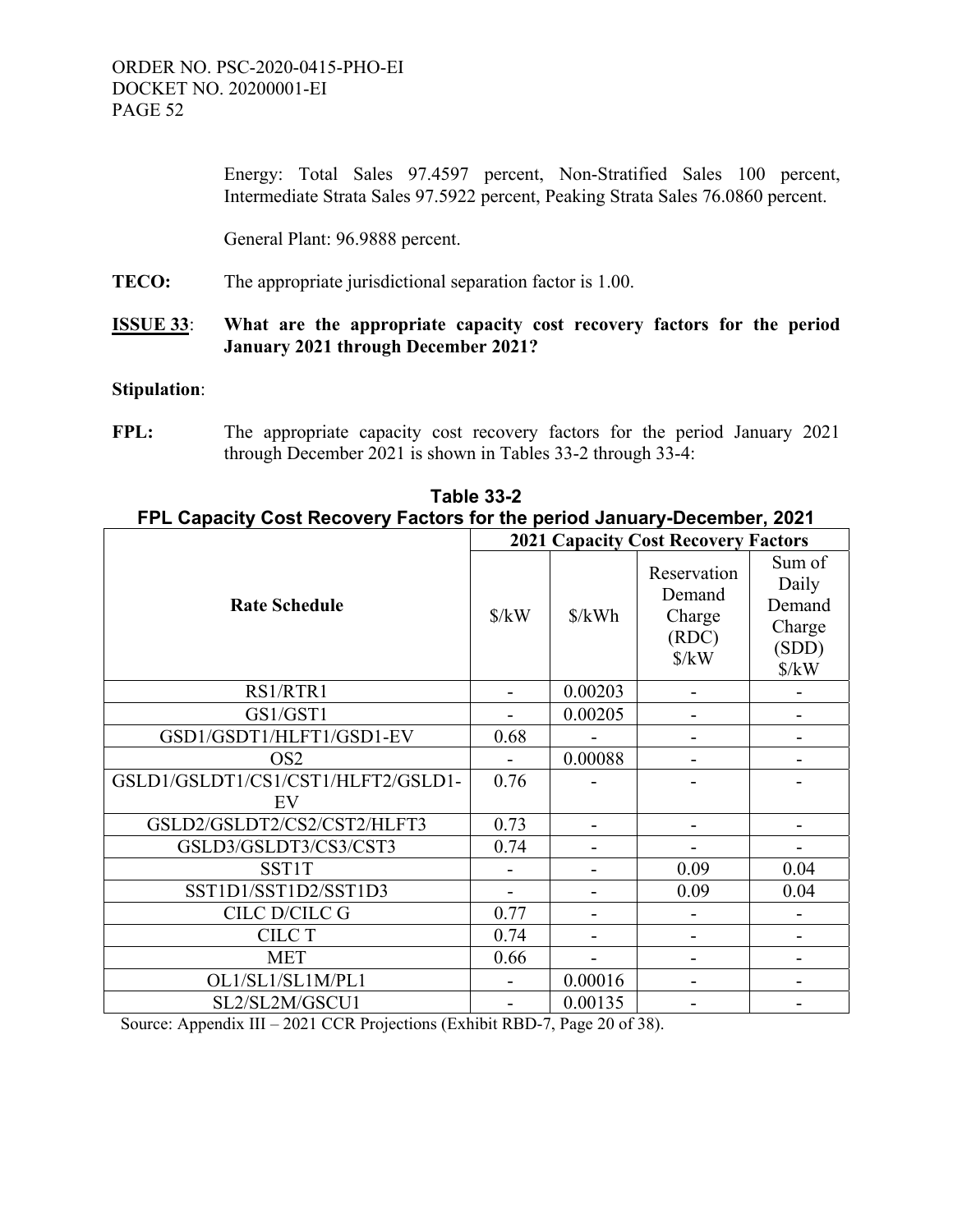Energy: Total Sales 97.4597 percent, Non-Stratified Sales 100 percent, Intermediate Strata Sales 97.5922 percent, Peaking Strata Sales 76.0860 percent.

General Plant: 96.9888 percent.

**TECO:** The appropriate jurisdictional separation factor is 1.00.

# **ISSUE 33**: **What are the appropriate capacity cost recovery factors for the period January 2021 through December 2021?**

#### **Stipulation**:

**FPL:** The appropriate capacity cost recovery factors for the period January 2021 through December 2021 is shown in Tables 33-2 through 33-4:

|                                    | <b>2021 Capacity Cost Recovery Factors</b> |                      |                                                                         |                                                                      |
|------------------------------------|--------------------------------------------|----------------------|-------------------------------------------------------------------------|----------------------------------------------------------------------|
| <b>Rate Schedule</b>               | $\frac{\text{S}}{\text{K}}$                | $\frac{\delta}{kWh}$ | Reservation<br>Demand<br>Charge<br>(RDC)<br>$\frac{\text{S}}{\text{K}}$ | Sum of<br>Daily<br>Demand<br>Charge<br>(SDD)<br>$\frac{\sqrt{2}}{N}$ |
| RS1/RTR1                           |                                            | 0.00203              |                                                                         |                                                                      |
| GS1/GST1                           |                                            | 0.00205              |                                                                         |                                                                      |
| GSD1/GSDT1/HLFT1/GSD1-EV           | 0.68                                       |                      |                                                                         |                                                                      |
| OS <sub>2</sub>                    |                                            | 0.00088              |                                                                         |                                                                      |
| GSLD1/GSLDT1/CS1/CST1/HLFT2/GSLD1- | 0.76                                       |                      |                                                                         |                                                                      |
| EV                                 |                                            |                      |                                                                         |                                                                      |
| GSLD2/GSLDT2/CS2/CST2/HLFT3        | 0.73                                       |                      |                                                                         |                                                                      |
| GSLD3/GSLDT3/CS3/CST3              | 0.74                                       |                      |                                                                         |                                                                      |
| <b>SST1T</b>                       |                                            |                      | 0.09                                                                    | 0.04                                                                 |
| SST1D1/SST1D2/SST1D3               |                                            |                      | 0.09                                                                    | 0.04                                                                 |
| CILC D/CILC G                      | 0.77                                       |                      |                                                                         |                                                                      |
| <b>CILC T</b>                      | 0.74                                       |                      |                                                                         |                                                                      |
| <b>MET</b>                         | 0.66                                       |                      |                                                                         |                                                                      |
| OL1/SL1/SL1M/PL1                   |                                            | 0.00016              |                                                                         |                                                                      |
| SL2/SL2M/GSCU1                     |                                            | 0.00135              |                                                                         |                                                                      |

**Table 33-2 FPL Capacity Cost Recovery Factors for the period January-December, 2021**

Source: Appendix III – 2021 CCR Projections (Exhibit RBD-7, Page 20 of 38).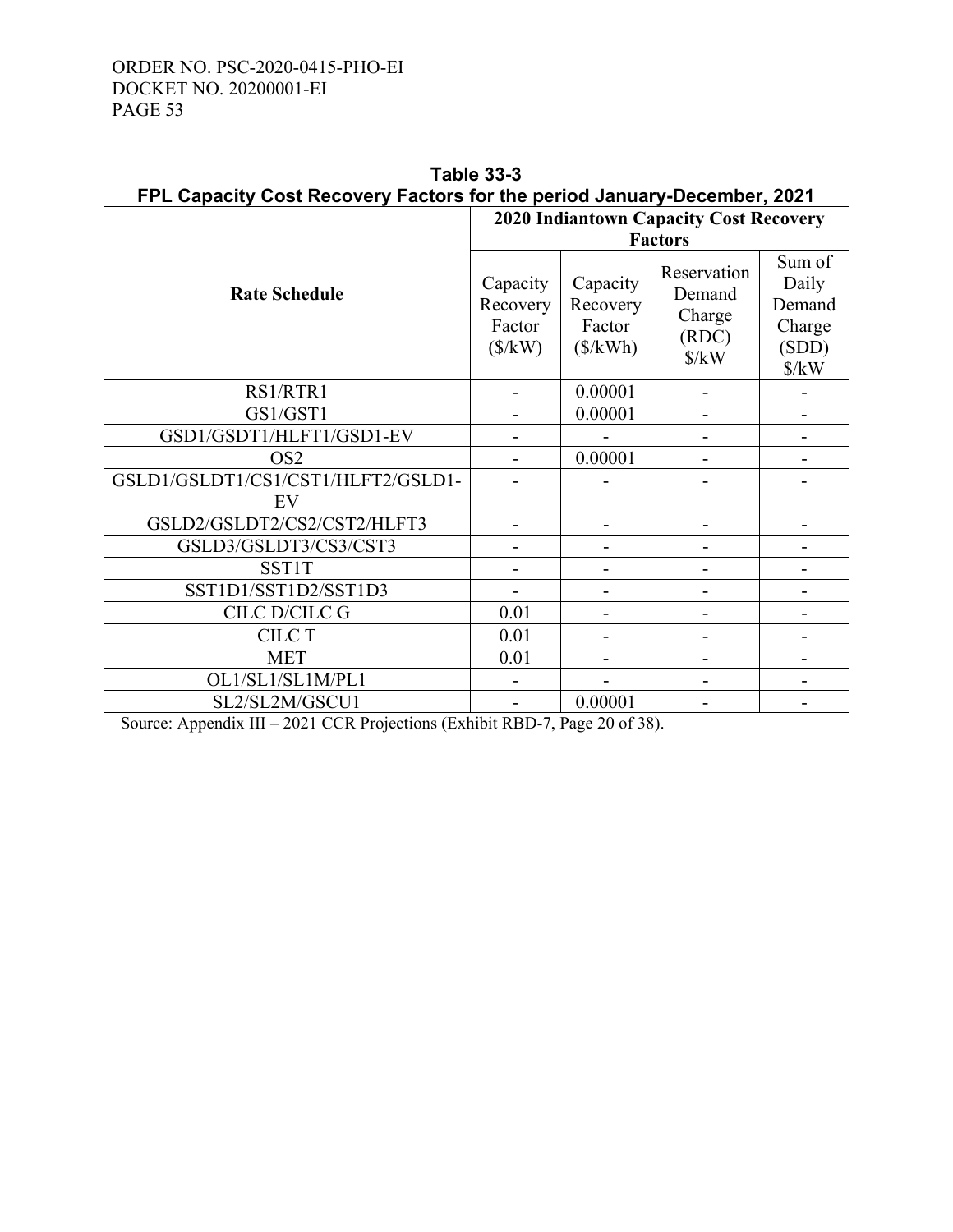|                                          | <b>2020 Indiantown Capacity Cost Recovery</b>      |                                            |                                                                         |                                                                      |
|------------------------------------------|----------------------------------------------------|--------------------------------------------|-------------------------------------------------------------------------|----------------------------------------------------------------------|
|                                          | <b>Factors</b>                                     |                                            |                                                                         |                                                                      |
| <b>Rate Schedule</b>                     | Capacity<br>Recovery<br>Factor<br>$(\frac{S}{kW})$ | Capacity<br>Recovery<br>Factor<br>(\$/kWh) | Reservation<br>Demand<br>Charge<br>(RDC)<br>$\frac{\text{S}}{\text{K}}$ | Sum of<br>Daily<br>Demand<br>Charge<br>(SDD)<br>$\frac{\sqrt{2}}{N}$ |
| RS1/RTR1                                 |                                                    | 0.00001                                    |                                                                         |                                                                      |
| GS1/GST1                                 |                                                    | 0.00001                                    |                                                                         |                                                                      |
| GSD1/GSDT1/HLFT1/GSD1-EV                 |                                                    |                                            |                                                                         |                                                                      |
| OS <sub>2</sub>                          |                                                    | 0.00001                                    |                                                                         |                                                                      |
| GSLD1/GSLDT1/CS1/CST1/HLFT2/GSLD1-<br>EV |                                                    |                                            |                                                                         |                                                                      |
| GSLD2/GSLDT2/CS2/CST2/HLFT3              |                                                    |                                            |                                                                         |                                                                      |
| GSLD3/GSLDT3/CS3/CST3                    |                                                    |                                            |                                                                         |                                                                      |
| <b>SST1T</b>                             |                                                    |                                            |                                                                         |                                                                      |
| SST1D1/SST1D2/SST1D3                     |                                                    |                                            |                                                                         |                                                                      |
| CILC D/CILC G                            | 0.01                                               |                                            |                                                                         |                                                                      |
| <b>CILC T</b>                            | 0.01                                               |                                            |                                                                         |                                                                      |
| <b>MET</b>                               | 0.01                                               |                                            |                                                                         |                                                                      |
| OL1/SL1/SL1M/PL1                         |                                                    |                                            |                                                                         |                                                                      |
| SL2/SL2M/GSCU1                           |                                                    | 0.00001                                    |                                                                         |                                                                      |

**Table 33-3 FPL Capacity Cost Recovery Factors for the period January-December, 2021**

Source: Appendix III – 2021 CCR Projections (Exhibit RBD-7, Page 20 of 38).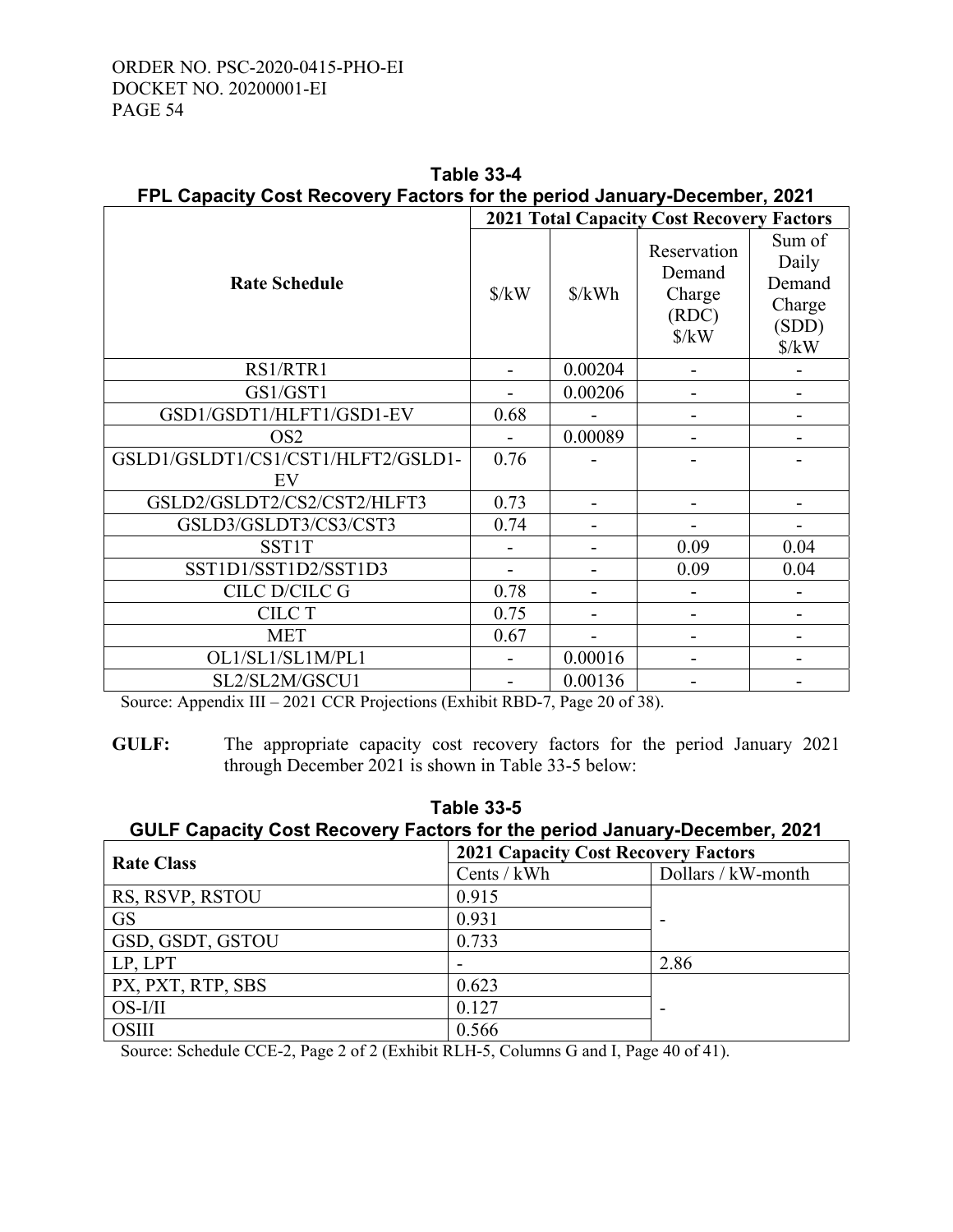|                                    | <b>2021 Total Capacity Cost Recovery Factors</b> |                      |                                                                 |                                                                      |
|------------------------------------|--------------------------------------------------|----------------------|-----------------------------------------------------------------|----------------------------------------------------------------------|
| <b>Rate Schedule</b>               | $\frac{\text{S}}{\text{K}}$                      | $\frac{\delta}{kWh}$ | Reservation<br>Demand<br>Charge<br>(RDC)<br>$\frac{\gamma}{kW}$ | Sum of<br>Daily<br>Demand<br>Charge<br>(SDD)<br>$\frac{\sqrt{2}}{N}$ |
| RS1/RTR1                           |                                                  | 0.00204              |                                                                 |                                                                      |
| GS1/GST1                           |                                                  | 0.00206              |                                                                 |                                                                      |
| GSD1/GSDT1/HLFT1/GSD1-EV           | 0.68                                             |                      |                                                                 | ۰                                                                    |
| OS <sub>2</sub>                    |                                                  | 0.00089              |                                                                 |                                                                      |
| GSLD1/GSLDT1/CS1/CST1/HLFT2/GSLD1- | 0.76                                             |                      |                                                                 |                                                                      |
| EV                                 |                                                  |                      |                                                                 |                                                                      |
| GSLD2/GSLDT2/CS2/CST2/HLFT3        | 0.73                                             |                      |                                                                 |                                                                      |
| GSLD3/GSLDT3/CS3/CST3              | 0.74                                             |                      |                                                                 |                                                                      |
| <b>SST1T</b>                       |                                                  |                      | 0.09                                                            | 0.04                                                                 |
| SST1D1/SST1D2/SST1D3               |                                                  |                      | 0.09                                                            | 0.04                                                                 |
| CILC D/CILC G                      | 0.78                                             |                      |                                                                 |                                                                      |
| <b>CILC T</b>                      | 0.75                                             |                      |                                                                 |                                                                      |
| <b>MET</b>                         | 0.67                                             |                      |                                                                 |                                                                      |
| OL1/SL1/SL1M/PL1                   |                                                  | 0.00016              |                                                                 |                                                                      |
| SL2/SL2M/GSCU1                     |                                                  | 0.00136              |                                                                 |                                                                      |

**Table 33-4 FPL Capacity Cost Recovery Factors for the period January-December, 2021**

Source: Appendix III – 2021 CCR Projections (Exhibit RBD-7, Page 20 of 38).

**GULF:** The appropriate capacity cost recovery factors for the period January 2021 through December 2021 is shown in Table 33-5 below:

| <b>Table 33-5</b><br>GULF Capacity Cost Recovery Factors for the period January-December, 2021 |               |                       |  |
|------------------------------------------------------------------------------------------------|---------------|-----------------------|--|
| <b>2021 Capacity Cost Recovery Factors</b>                                                     |               |                       |  |
| <b>Rate Class</b>                                                                              | Cents / $kWh$ | Dollars / $kW$ -month |  |
| RS, RSVP, RSTOU                                                                                | 0.915         |                       |  |
| <b>GS</b>                                                                                      | 0.931         |                       |  |
| GSD, GSDT, GSTOU                                                                               | 0.733         |                       |  |

Source: Schedule CCE-2, Page 2 of 2 (Exhibit RLH-5, Columns G and I, Page 40 of 41).

 $LP, LPT$  2.86

OS-I/II 0.127 | -

PX, PXT, RTP, SBS 0.623

OSIII 0.566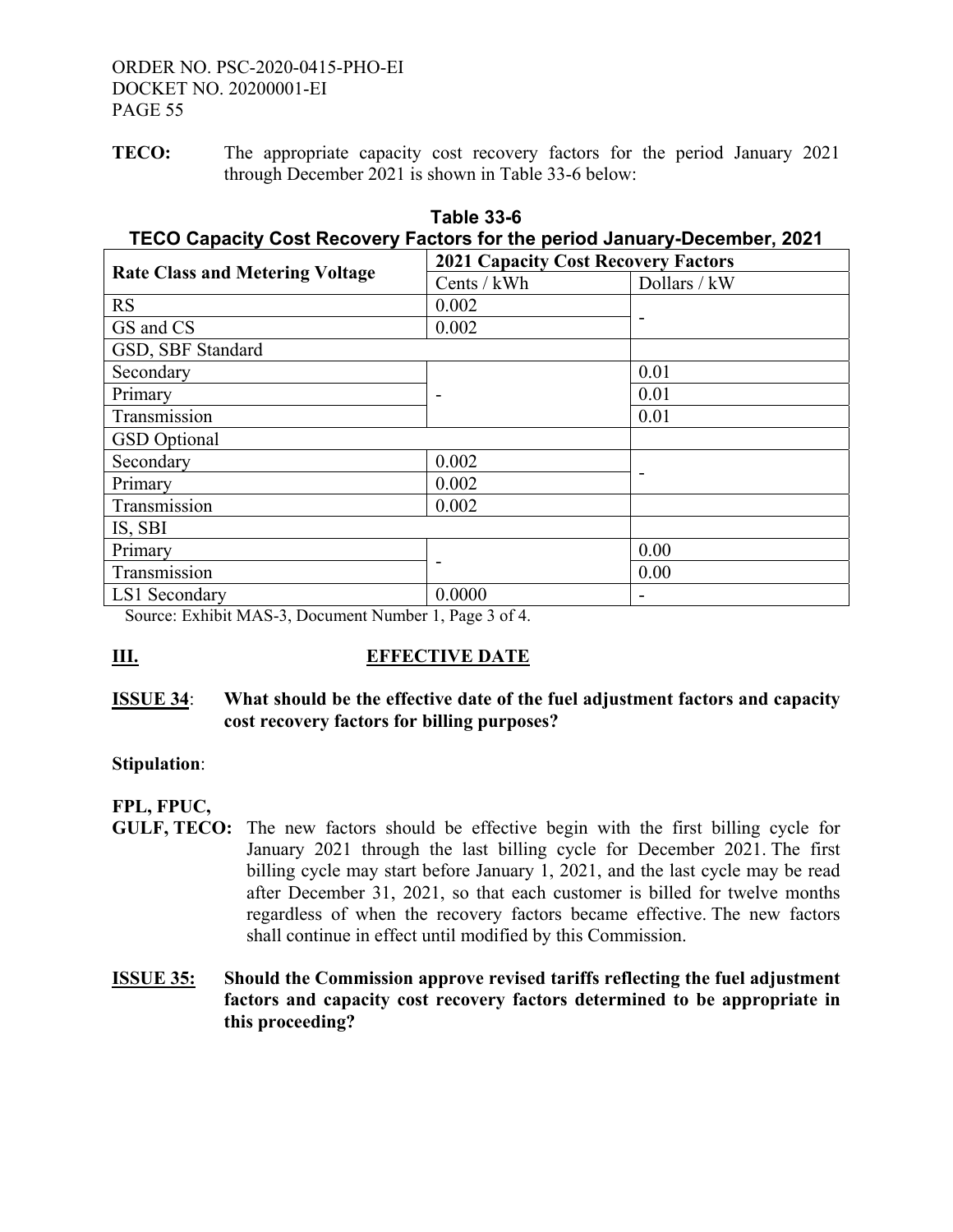**TECO:** The appropriate capacity cost recovery factors for the period January 2021 through December 2021 is shown in Table 33-6 below:

| TECO Capacity Cost Recovery Factors for the period January-December, 2021 |                                            |              |  |  |
|---------------------------------------------------------------------------|--------------------------------------------|--------------|--|--|
| <b>Rate Class and Metering Voltage</b>                                    | <b>2021 Capacity Cost Recovery Factors</b> |              |  |  |
|                                                                           | Cents / kWh                                | Dollars / kW |  |  |
| RS                                                                        | 0.002                                      |              |  |  |
| GS and CS                                                                 | 0.002                                      |              |  |  |
| GSD, SBF Standard                                                         |                                            |              |  |  |
| Secondary                                                                 |                                            | 0.01         |  |  |
| Primary                                                                   |                                            | 0.01         |  |  |
| Transmission                                                              |                                            | 0.01         |  |  |
| <b>GSD</b> Optional                                                       |                                            |              |  |  |
| Secondary                                                                 | 0.002                                      |              |  |  |
| Primary                                                                   | 0.002                                      |              |  |  |
| Transmission                                                              | 0.002                                      |              |  |  |
| IS, SBI                                                                   |                                            |              |  |  |
| Primary                                                                   |                                            | 0.00         |  |  |
| Transmission                                                              |                                            | 0.00         |  |  |
| LS1 Secondary                                                             | 0.0000                                     |              |  |  |

# **Table 33-6 TECO Capacity Cost Recovery Factors for the period January-December, 2021**

Source: Exhibit MAS-3, Document Number 1, Page 3 of 4.

# **III.** EFFECTIVE DATE

# **ISSUE 34**: **What should be the effective date of the fuel adjustment factors and capacity cost recovery factors for billing purposes?**

# **Stipulation**:

# **FPL, FPUC,**

- **GULF, TECO:** The new factors should be effective begin with the first billing cycle for January 2021 through the last billing cycle for December 2021. The first billing cycle may start before January 1, 2021, and the last cycle may be read after December 31, 2021, so that each customer is billed for twelve months regardless of when the recovery factors became effective. The new factors shall continue in effect until modified by this Commission.
- **ISSUE 35: Should the Commission approve revised tariffs reflecting the fuel adjustment factors and capacity cost recovery factors determined to be appropriate in this proceeding?**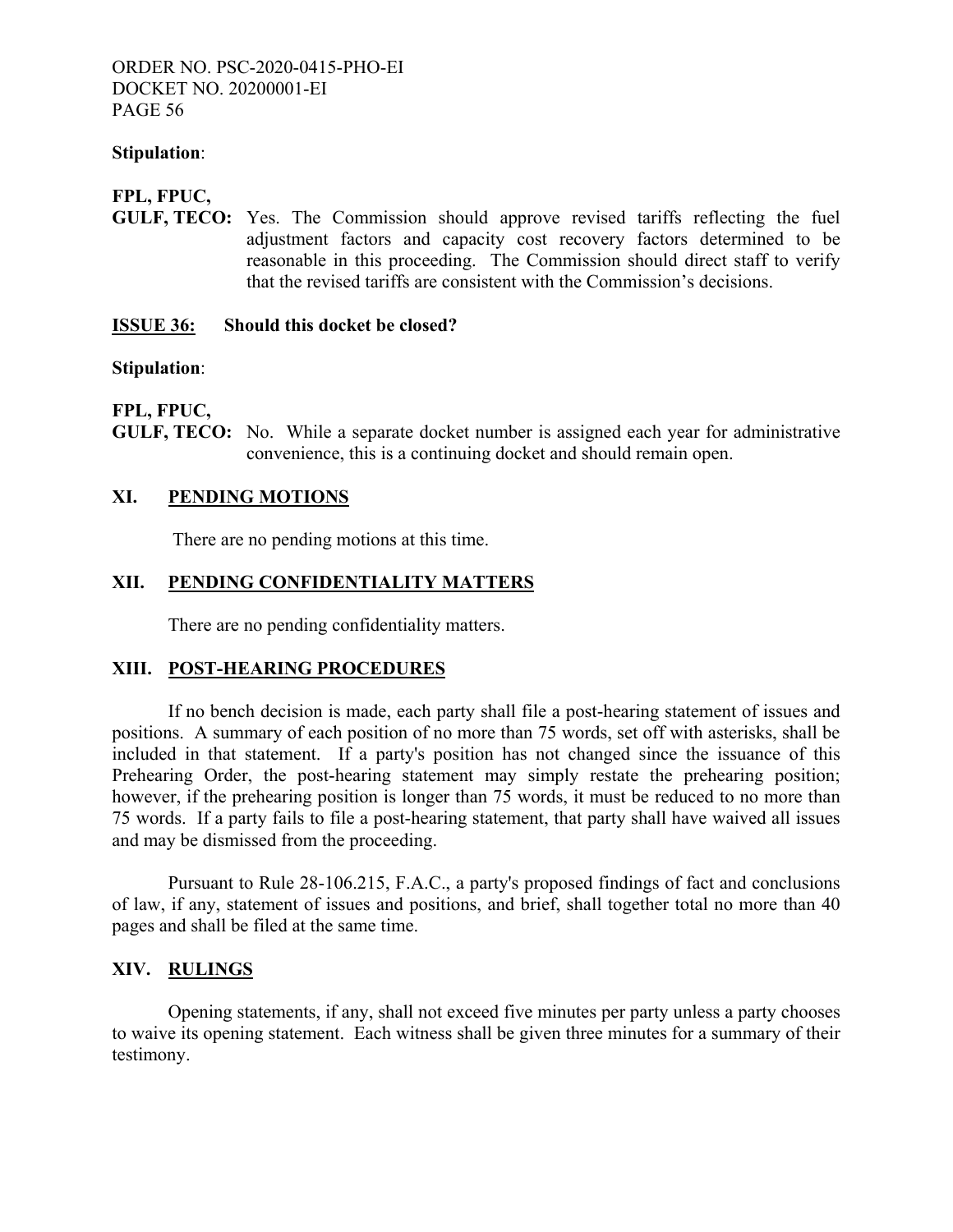#### **Stipulation**:

# **FPL, FPUC,**

**GULF, TECO:** Yes. The Commission should approve revised tariffs reflecting the fuel adjustment factors and capacity cost recovery factors determined to be reasonable in this proceeding. The Commission should direct staff to verify that the revised tariffs are consistent with the Commission's decisions.

#### **ISSUE 36: Should this docket be closed?**

#### **Stipulation**:

# **FPL, FPUC,**

**GULF, TECO:** No. While a separate docket number is assigned each year for administrative convenience, this is a continuing docket and should remain open.

# **XI. PENDING MOTIONS**

There are no pending motions at this time.

# **XII. PENDING CONFIDENTIALITY MATTERS**

There are no pending confidentiality matters.

# **XIII. POST-HEARING PROCEDURES**

 If no bench decision is made, each party shall file a post-hearing statement of issues and positions. A summary of each position of no more than 75 words, set off with asterisks, shall be included in that statement. If a party's position has not changed since the issuance of this Prehearing Order, the post-hearing statement may simply restate the prehearing position; however, if the prehearing position is longer than 75 words, it must be reduced to no more than 75 words. If a party fails to file a post-hearing statement, that party shall have waived all issues and may be dismissed from the proceeding.

 Pursuant to Rule 28-106.215, F.A.C., a party's proposed findings of fact and conclusions of law, if any, statement of issues and positions, and brief, shall together total no more than 40 pages and shall be filed at the same time.

# **XIV. RULINGS**

Opening statements, if any, shall not exceed five minutes per party unless a party chooses to waive its opening statement. Each witness shall be given three minutes for a summary of their testimony.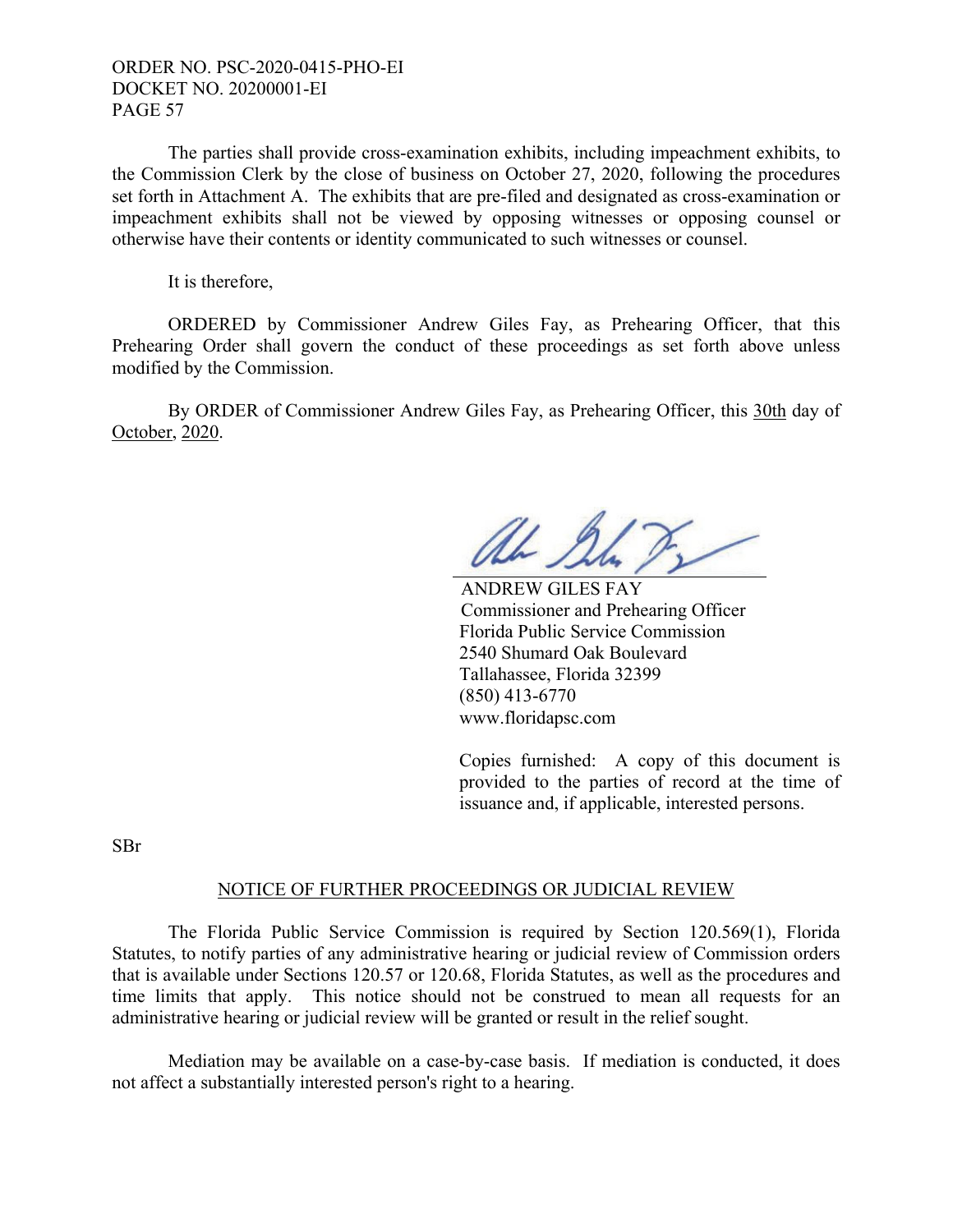The parties shall provide cross-examination exhibits, including impeachment exhibits, to the Commission Clerk by the close of business on October 27, 2020, following the procedures set forth in Attachment A. The exhibits that are pre-filed and designated as cross-examination or impeachment exhibits shall not be viewed by opposing witnesses or opposing counsel or otherwise have their contents or identity communicated to such witnesses or counsel.

It is therefore,

 ORDERED by Commissioner Andrew Giles Fay, as Prehearing Officer, that this Prehearing Order shall govern the conduct of these proceedings as set forth above unless modified by the Commission.

 By ORDER of Commissioner Andrew Giles Fay, as Prehearing Officer, this 30th day of October, 2020.

Uhr II

 ANDREW GILES FAY Commissioner and Prehearing Officer Florida Public Service Commission 2540 Shumard Oak Boulevard Tallahassee, Florida 32399 (850) 413-6770 www.floridapsc.com

Copies furnished: A copy of this document is provided to the parties of record at the time of issuance and, if applicable, interested persons.

SBr

#### NOTICE OF FURTHER PROCEEDINGS OR JUDICIAL REVIEW

 The Florida Public Service Commission is required by Section 120.569(1), Florida Statutes, to notify parties of any administrative hearing or judicial review of Commission orders that is available under Sections 120.57 or 120.68, Florida Statutes, as well as the procedures and time limits that apply. This notice should not be construed to mean all requests for an administrative hearing or judicial review will be granted or result in the relief sought.

 Mediation may be available on a case-by-case basis. If mediation is conducted, it does not affect a substantially interested person's right to a hearing.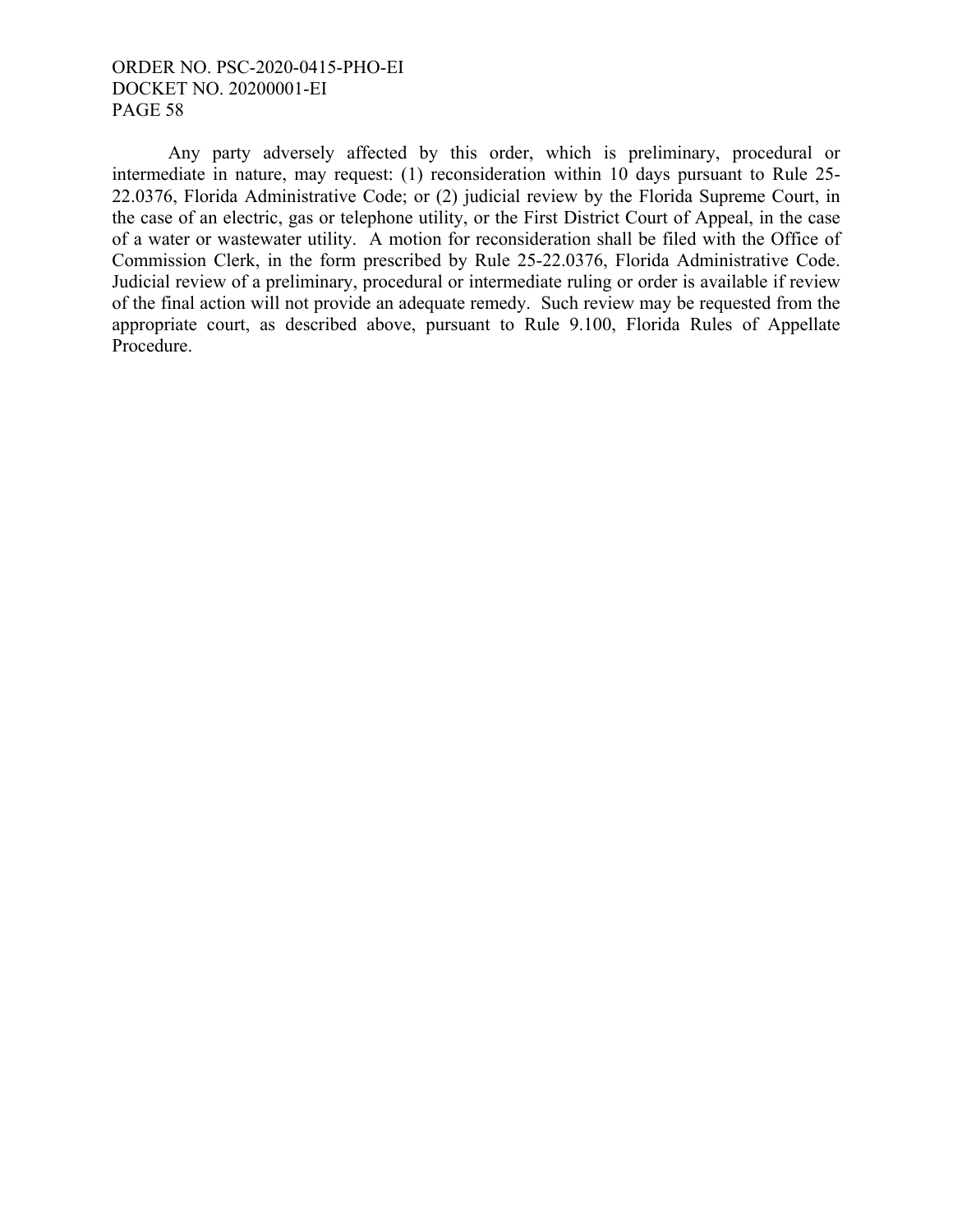Any party adversely affected by this order, which is preliminary, procedural or intermediate in nature, may request: (1) reconsideration within 10 days pursuant to Rule 25- 22.0376, Florida Administrative Code; or (2) judicial review by the Florida Supreme Court, in the case of an electric, gas or telephone utility, or the First District Court of Appeal, in the case of a water or wastewater utility. A motion for reconsideration shall be filed with the Office of Commission Clerk, in the form prescribed by Rule 25-22.0376, Florida Administrative Code. Judicial review of a preliminary, procedural or intermediate ruling or order is available if review of the final action will not provide an adequate remedy. Such review may be requested from the appropriate court, as described above, pursuant to Rule 9.100, Florida Rules of Appellate Procedure.